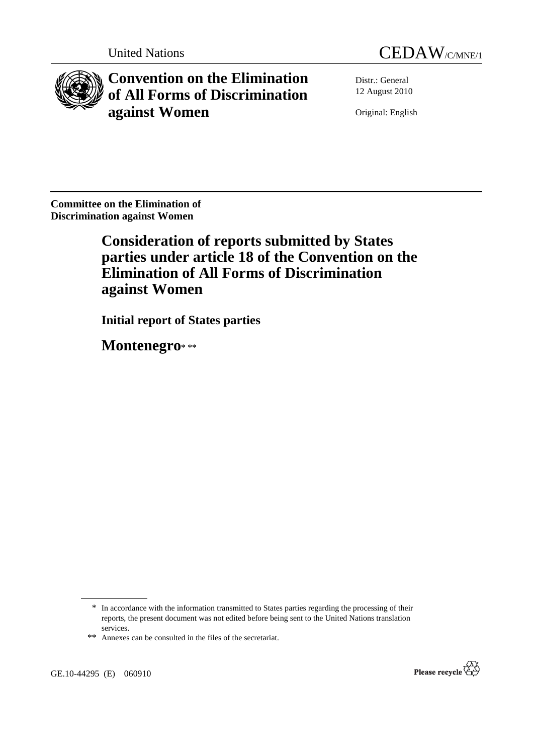



**Convention on the Elimination of All Forms of Discrimination against Women** 

Distr.: General 12 August 2010

Original: English

**Committee on the Elimination of Discrimination against Women** 

> **Consideration of reports submitted by States parties under article 18 of the Convention on the Elimination of All Forms of Discrimination against Women**

 **Initial report of States parties** 

 **Montenegro**\* \*\*



<sup>\*</sup> In accordance with the information transmitted to States parties regarding the processing of their reports, the present document was not edited before being sent to the United Nations translation services.

<sup>\*\*</sup> Annexes can be consulted in the files of the secretariat.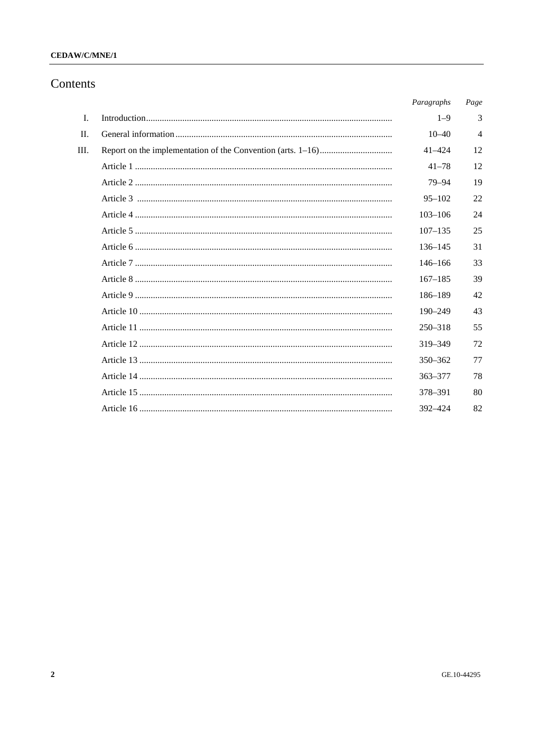## CEDAW/C/MNE/1

# Contents

| Paragraphs  | Page           |
|-------------|----------------|
| $1 - 9$     | 3              |
| $10 - 40$   | $\overline{4}$ |
| $41 - 424$  | 12             |
| $41 - 78$   | 12             |
| 79-94       | 19             |
| $95 - 102$  | 22             |
| $103 - 106$ | 24             |
| $107 - 135$ | 25             |
| $136 - 145$ | 31             |
| $146 - 166$ | 33             |
| $167 - 185$ | 39             |
| 186-189     | 42             |
| $190 - 249$ | 43             |
| $250 - 318$ | 55             |
| 319-349     | 72             |
| $350 - 362$ | 77             |
| $363 - 377$ | 78             |
| 378-391     | 80             |
| 392-424     | 82             |
|             |                |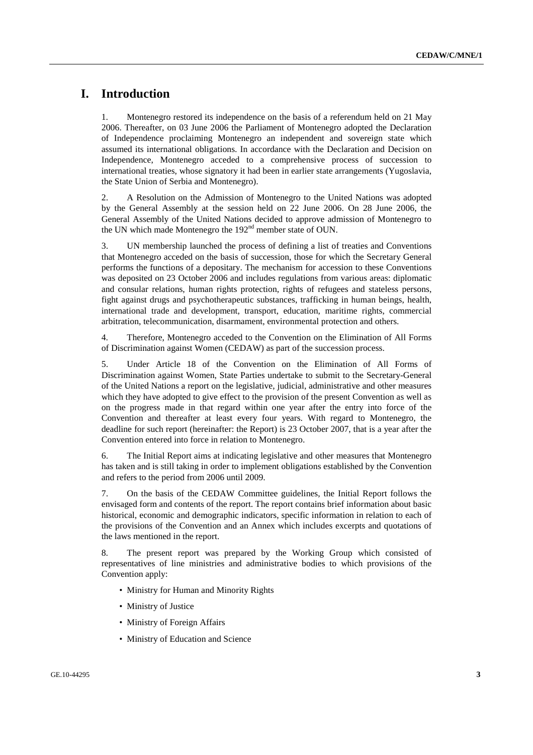# **I. Introduction**

1. Montenegro restored its independence on the basis of a referendum held on 21 May 2006. Thereafter, on 03 June 2006 the Parliament of Montenegro adopted the Declaration of Independence proclaiming Montenegro an independent and sovereign state which assumed its international obligations. In accordance with the Declaration and Decision on Independence, Montenegro acceded to a comprehensive process of succession to international treaties, whose signatory it had been in earlier state arrangements (Yugoslavia, the State Union of Serbia and Montenegro).

2. A Resolution on the Admission of Montenegro to the United Nations was adopted by the General Assembly at the session held on 22 June 2006. On 28 June 2006, the General Assembly of the United Nations decided to approve admission of Montenegro to the UN which made Montenegro the 192<sup>nd</sup> member state of OUN.

3. UN membership launched the process of defining a list of treaties and Conventions that Montenegro acceded on the basis of succession, those for which the Secretary General performs the functions of a depositary. The mechanism for accession to these Conventions was deposited on 23 October 2006 and includes regulations from various areas: diplomatic and consular relations, human rights protection, rights of refugees and stateless persons, fight against drugs and psychotherapeutic substances, trafficking in human beings, health, international trade and development, transport, education, maritime rights, commercial arbitration, telecommunication, disarmament, environmental protection and others.

4. Therefore, Montenegro acceded to the Convention on the Elimination of All Forms of Discrimination against Women (CEDAW) as part of the succession process.

5. Under Article 18 of the Convention on the Elimination of All Forms of Discrimination against Women, State Parties undertake to submit to the Secretary-General of the United Nations a report on the legislative, judicial, administrative and other measures which they have adopted to give effect to the provision of the present Convention as well as on the progress made in that regard within one year after the entry into force of the Convention and thereafter at least every four years. With regard to Montenegro, the deadline for such report (hereinafter: the Report) is 23 October 2007, that is a year after the Convention entered into force in relation to Montenegro.

6. The Initial Report aims at indicating legislative and other measures that Montenegro has taken and is still taking in order to implement obligations established by the Convention and refers to the period from 2006 until 2009.

7. On the basis of the CEDAW Committee guidelines, the Initial Report follows the envisaged form and contents of the report. The report contains brief information about basic historical, economic and demographic indicators, specific information in relation to each of the provisions of the Convention and an Annex which includes excerpts and quotations of the laws mentioned in the report.

8. The present report was prepared by the Working Group which consisted of representatives of line ministries and administrative bodies to which provisions of the Convention apply:

- Ministry for Human and Minority Rights
- Ministry of Justice
- Ministry of Foreign Affairs
- Ministry of Education and Science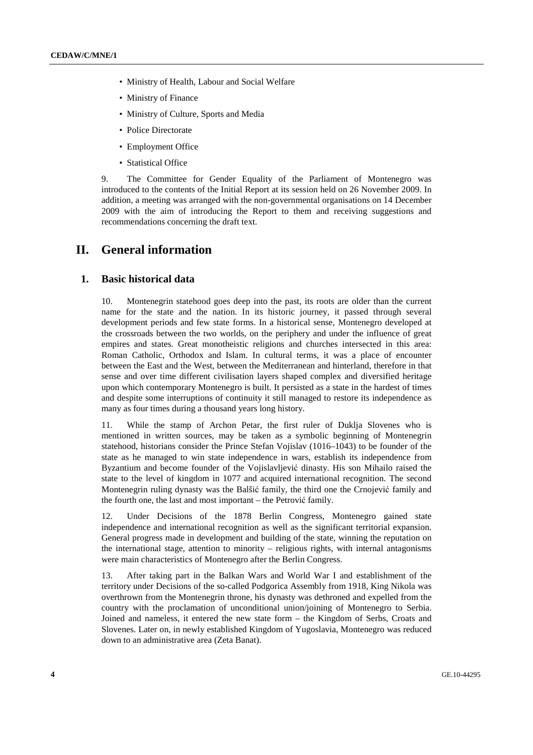- Ministry of Health, Labour and Social Welfare
- Ministry of Finance
- Ministry of Culture, Sports and Media
- Police Directorate
- Employment Office
- Statistical Office

9. The Committee for Gender Equality of the Parliament of Montenegro was introduced to the contents of the Initial Report at its session held on 26 November 2009. In addition, a meeting was arranged with the non-governmental organisations on 14 December 2009 with the aim of introducing the Report to them and receiving suggestions and recommendations concerning the draft text.

# **II. General information**

### **1. Basic historical data**

10. Montenegrin statehood goes deep into the past, its roots are older than the current name for the state and the nation. In its historic journey, it passed through several development periods and few state forms. In a historical sense, Montenegro developed at the crossroads between the two worlds, on the periphery and under the influence of great empires and states. Great monotheistic religions and churches intersected in this area: Roman Catholic, Orthodox and Islam. In cultural terms, it was a place of encounter between the East and the West, between the Mediterranean and hinterland, therefore in that sense and over time different civilisation layers shaped complex and diversified heritage upon which contemporary Montenegro is built. It persisted as a state in the hardest of times and despite some interruptions of continuity it still managed to restore its independence as many as four times during a thousand years long history.

11. While the stamp of Archon Petar, the first ruler of Duklja Slovenes who is mentioned in written sources, may be taken as a symbolic beginning of Montenegrin statehood, historians consider the Prince Stefan Vojislav (1016–1043) to be founder of the state as he managed to win state independence in wars, establish its independence from Byzantium and become founder of the Vojislavljević dinasty. His son Mihailo raised the state to the level of kingdom in 1077 and acquired international recognition. The second Montenegrin ruling dynasty was the Balšić family, the third one the Crnojević family and the fourth one, the last and most important – the Petrović family.

12. Under Decisions of the 1878 Berlin Congress, Montenegro gained state independence and international recognition as well as the significant territorial expansion. General progress made in development and building of the state, winning the reputation on the international stage, attention to minority – religious rights, with internal antagonisms were main characteristics of Montenegro after the Berlin Congress.

13. After taking part in the Balkan Wars and World War I and establishment of the territory under Decisions of the so-called Podgorica Assembly from 1918, King Nikola was overthrown from the Montenegrin throne, his dynasty was dethroned and expelled from the country with the proclamation of unconditional union/joining of Montenegro to Serbia. Joined and nameless, it entered the new state form – the Kingdom of Serbs, Croats and Slovenes. Later on, in newly established Kingdom of Yugoslavia, Montenegro was reduced down to an administrative area (Zeta Banat).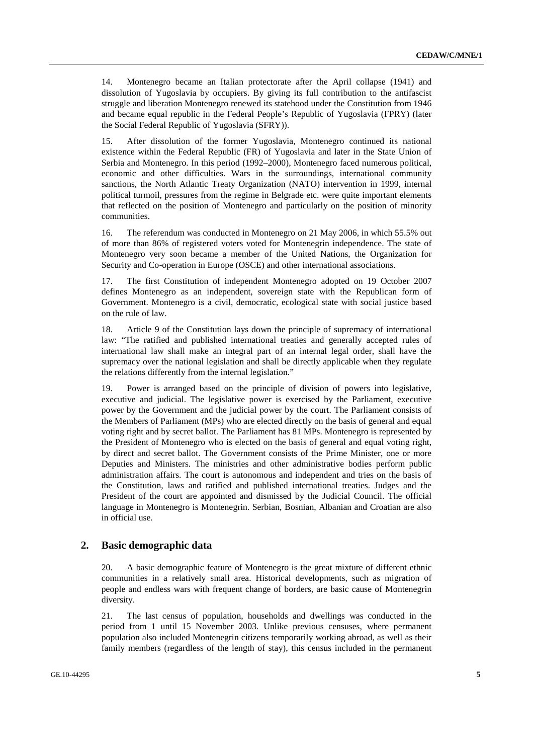14. Montenegro became an Italian protectorate after the April collapse (1941) and dissolution of Yugoslavia by occupiers. By giving its full contribution to the antifascist struggle and liberation Montenegro renewed its statehood under the Constitution from 1946 and became equal republic in the Federal People's Republic of Yugoslavia (FPRY) (later the Social Federal Republic of Yugoslavia (SFRY)).

15. After dissolution of the former Yugoslavia, Montenegro continued its national existence within the Federal Republic (FR) of Yugoslavia and later in the State Union of Serbia and Montenegro. In this period (1992–2000), Montenegro faced numerous political, economic and other difficulties. Wars in the surroundings, international community sanctions, the North Atlantic Treaty Organization (NATO) intervention in 1999, internal political turmoil, pressures from the regime in Belgrade etc. were quite important elements that reflected on the position of Montenegro and particularly on the position of minority communities.

16. The referendum was conducted in Montenegro on 21 May 2006, in which 55.5% out of more than 86% of registered voters voted for Montenegrin independence. The state of Montenegro very soon became a member of the United Nations, the Organization for Security and Co-operation in Europe (OSCE) and other international associations.

17. The first Constitution of independent Montenegro adopted on 19 October 2007 defines Montenegro as an independent, sovereign state with the Republican form of Government. Montenegro is a civil, democratic, ecological state with social justice based on the rule of law.

18. Article 9 of the Constitution lays down the principle of supremacy of international law: "The ratified and published international treaties and generally accepted rules of international law shall make an integral part of an internal legal order, shall have the supremacy over the national legislation and shall be directly applicable when they regulate the relations differently from the internal legislation."

19. Power is arranged based on the principle of division of powers into legislative, executive and judicial. The legislative power is exercised by the Parliament, executive power by the Government and the judicial power by the court. The Parliament consists of the Members of Parliament (MPs) who are elected directly on the basis of general and equal voting right and by secret ballot. The Parliament has 81 MPs. Montenegro is represented by the President of Montenegro who is elected on the basis of general and equal voting right, by direct and secret ballot. The Government consists of the Prime Minister, one or more Deputies and Ministers. The ministries and other administrative bodies perform public administration affairs. The court is autonomous and independent and tries on the basis of the Constitution, laws and ratified and published international treaties. Judges and the President of the court are appointed and dismissed by the Judicial Council. The official language in Montenegro is Montenegrin. Serbian, Bosnian, Albanian and Croatian are also in official use.

## **2. Basic demographic data**

20. A basic demographic feature of Montenegro is the great mixture of different ethnic communities in a relatively small area. Historical developments, such as migration of people and endless wars with frequent change of borders, are basic cause of Montenegrin diversity.

21. The last census of population, households and dwellings was conducted in the period from 1 until 15 November 2003. Unlike previous censuses, where permanent population also included Montenegrin citizens temporarily working abroad, as well as their family members (regardless of the length of stay), this census included in the permanent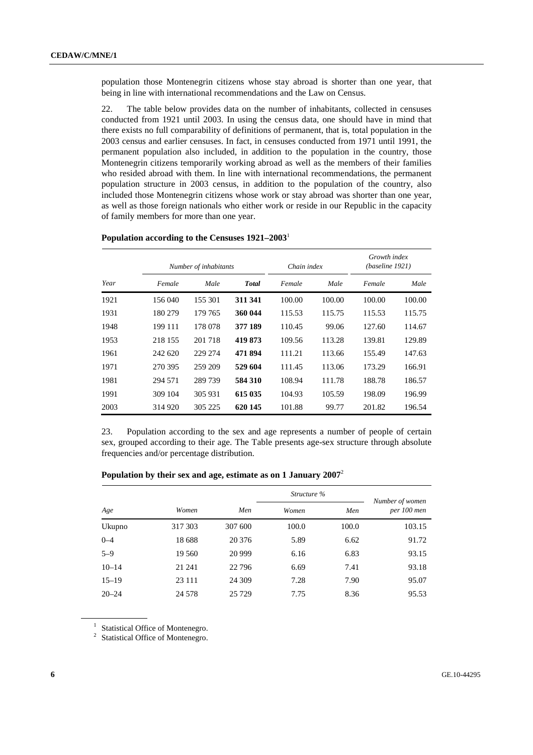population those Montenegrin citizens whose stay abroad is shorter than one year, that being in line with international recommendations and the Law on Census.

22. The table below provides data on the number of inhabitants, collected in censuses conducted from 1921 until 2003. In using the census data, one should have in mind that there exists no full comparability of definitions of permanent, that is, total population in the 2003 census and earlier censuses. In fact, in censuses conducted from 1971 until 1991, the permanent population also included, in addition to the population in the country, those Montenegrin citizens temporarily working abroad as well as the members of their families who resided abroad with them. In line with international recommendations, the permanent population structure in 2003 census, in addition to the population of the country, also included those Montenegrin citizens whose work or stay abroad was shorter than one year, as well as those foreign nationals who either work or reside in our Republic in the capacity of family members for more than one year.

|      |         | Number of inhabitants |              | Chain index |        | Growth index<br>(baseline 1921) |        |
|------|---------|-----------------------|--------------|-------------|--------|---------------------------------|--------|
| Year | Female  | Male                  | <b>Total</b> | Female      | Male   | Female                          | Male   |
| 1921 | 156 040 | 155 301               | 311 341      | 100.00      | 100.00 | 100.00                          | 100.00 |
| 1931 | 180 279 | 179 765               | 360 044      | 115.53      | 115.75 | 115.53                          | 115.75 |
| 1948 | 199 111 | 178 078               | 377 189      | 110.45      | 99.06  | 127.60                          | 114.67 |
| 1953 | 218 155 | 201 718               | 419 873      | 109.56      | 113.28 | 139.81                          | 129.89 |
| 1961 | 242 620 | 229 274               | 471 894      | 111.21      | 113.66 | 155.49                          | 147.63 |
| 1971 | 270 395 | 259 209               | 529 604      | 111.45      | 113.06 | 173.29                          | 166.91 |
| 1981 | 294 571 | 289739                | 584 310      | 108.94      | 111.78 | 188.78                          | 186.57 |
| 1991 | 309 104 | 305 931               | 615 035      | 104.93      | 105.59 | 198.09                          | 196.99 |
| 2003 | 314 920 | 305 225               | 620 145      | 101.88      | 99.77  | 201.82                          | 196.54 |

### **Population according to the Censuses 1921–2003**<sup>1</sup>

23. Population according to the sex and age represents a number of people of certain sex, grouped according to their age. The Table presents age-sex structure through absolute frequencies and/or percentage distribution.

| Population by their sex and age, estimate as on 1 January 2007 <sup>2</sup> |  |
|-----------------------------------------------------------------------------|--|
|                                                                             |  |

|           |          |         | Structure % |       | Number of women |
|-----------|----------|---------|-------------|-------|-----------------|
| Age       | Women    | Men     | Women       | Men   | per 100 men     |
| Ukupno    | 317 303  | 307 600 | 100.0       | 100.0 | 103.15          |
| $0 - 4$   | 18688    | 20 37 6 | 5.89        | 6.62  | 91.72           |
| $5 - 9$   | 19 560   | 20 9 99 | 6.16        | 6.83  | 93.15           |
| $10 - 14$ | 21 24 1  | 22 796  | 6.69        | 7.41  | 93.18           |
| $15 - 19$ | 23 111   | 24 309  | 7.28        | 7.90  | 95.07           |
| $20 - 24$ | 24 5 7 8 | 25 7 29 | 7.75        | 8.36  | 95.53           |

<sup>1</sup> Statistical Office of Montenegro.

<sup>2</sup> Statistical Office of Montenegro.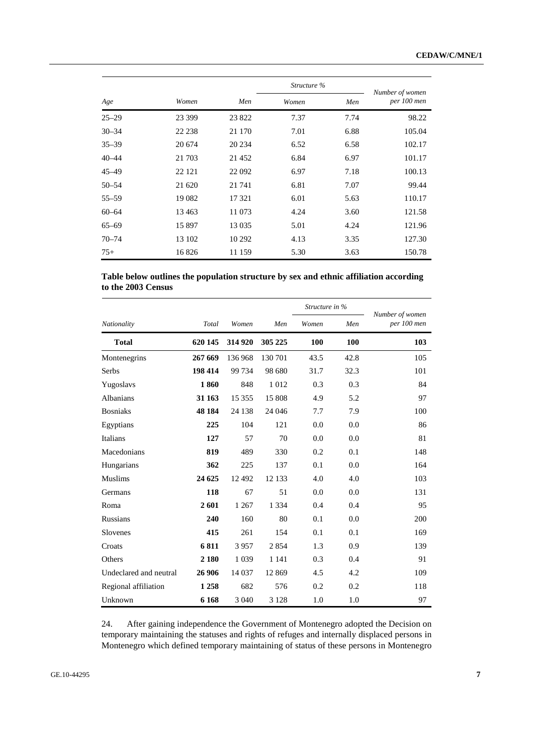|           |         | Structure % |       |      |                                |
|-----------|---------|-------------|-------|------|--------------------------------|
| Age       | Women   | Men         | Women | Men  | Number of women<br>per 100 men |
| $25 - 29$ | 23 399  | 23 822      | 7.37  | 7.74 | 98.22                          |
| $30 - 34$ | 22 238  | 21 170      | 7.01  | 6.88 | 105.04                         |
| $35 - 39$ | 20 674  | 20 234      | 6.52  | 6.58 | 102.17                         |
| $40 - 44$ | 21 703  | 21 4 5 2    | 6.84  | 6.97 | 101.17                         |
| $45 - 49$ | 22 12 1 | 22 092      | 6.97  | 7.18 | 100.13                         |
| $50 - 54$ | 21 620  | 21 741      | 6.81  | 7.07 | 99.44                          |
| $55 - 59$ | 19 0 82 | 17 321      | 6.01  | 5.63 | 110.17                         |
| $60 - 64$ | 13463   | 11 073      | 4.24  | 3.60 | 121.58                         |
| $65 - 69$ | 15 897  | 13 0 35     | 5.01  | 4.24 | 121.96                         |
| $70 - 74$ | 13 102  | 10 29 2     | 4.13  | 3.35 | 127.30                         |
| $75+$     | 16826   | 11 159      | 5.30  | 3.63 | 150.78                         |

|                    | Table below outlines the population structure by sex and ethnic affiliation according |  |
|--------------------|---------------------------------------------------------------------------------------|--|
| to the 2003 Census |                                                                                       |  |

|                        |         |          |         | Structure in % |      | Number of women |
|------------------------|---------|----------|---------|----------------|------|-----------------|
| Nationality            | Total   | Women    | Men     | Women          | Men  | per 100 men     |
| <b>Total</b>           | 620 145 | 314 920  | 305 225 | 100            | 100  | 103             |
| Montenegrins           | 267 669 | 136 968  | 130 701 | 43.5           | 42.8 | 105             |
| Serbs                  | 198 414 | 99 734   | 98 680  | 31.7           | 32.3 | 101             |
| Yugoslavs              | 1860    | 848      | 1012    | 0.3            | 0.3  | 84              |
| Albanians              | 31 163  | 15 3 5 5 | 15 808  | 4.9            | 5.2  | 97              |
| <b>Bosniaks</b>        | 48 184  | 24 138   | 24 04 6 | 7.7            | 7.9  | 100             |
| Egyptians              | 225     | 104      | 121     | 0.0            | 0.0  | 86              |
| Italians               | 127     | 57       | 70      | 0.0            | 0.0  | 81              |
| Macedonians            | 819     | 489      | 330     | 0.2            | 0.1  | 148             |
| Hungarians             | 362     | 225      | 137     | 0.1            | 0.0  | 164             |
| <b>Muslims</b>         | 24 625  | 12 4 9 2 | 12 133  | 4.0            | 4.0  | 103             |
| Germans                | 118     | 67       | 51      | 0.0            | 0.0  | 131             |
| Roma                   | 2601    | 1 2 6 7  | 1 3 3 4 | 0.4            | 0.4  | 95              |
| <b>Russians</b>        | 240     | 160      | 80      | 0.1            | 0.0  | 200             |
| Slovenes               | 415     | 261      | 154     | 0.1            | 0.1  | 169             |
| Croats                 | 6811    | 3957     | 2854    | 1.3            | 0.9  | 139             |
| Others                 | 2 1 8 0 | 1 0 3 9  | 1 1 4 1 | 0.3            | 0.4  | 91              |
| Undeclared and neutral | 26 906  | 14 0 37  | 12869   | 4.5            | 4.2  | 109             |
| Regional affiliation   | 1 2 5 8 | 682      | 576     | 0.2            | 0.2  | 118             |
| Unknown                | 6 1 6 8 | 3 0 4 0  | 3 1 2 8 | 1.0            | 1.0  | 97              |

24. After gaining independence the Government of Montenegro adopted the Decision on temporary maintaining the statuses and rights of refuges and internally displaced persons in Montenegro which defined temporary maintaining of status of these persons in Montenegro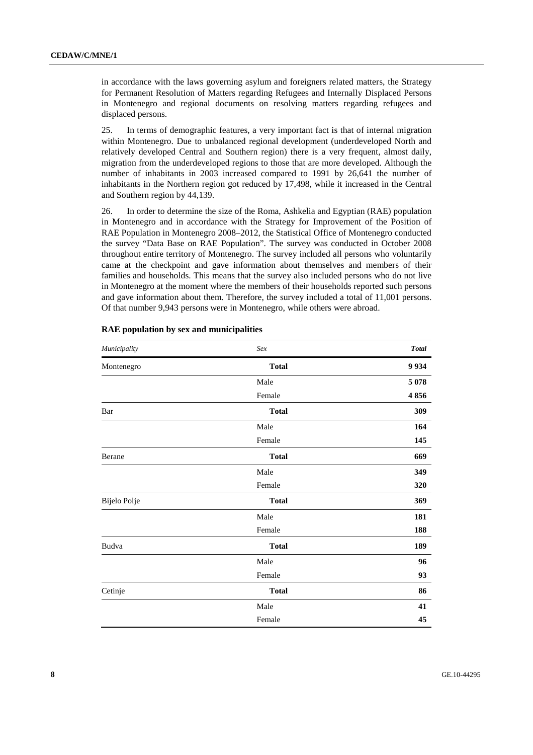in accordance with the laws governing asylum and foreigners related matters, the Strategy for Permanent Resolution of Matters regarding Refugees and Internally Displaced Persons in Montenegro and regional documents on resolving matters regarding refugees and displaced persons.

25. In terms of demographic features, a very important fact is that of internal migration within Montenegro. Due to unbalanced regional development (underdeveloped North and relatively developed Central and Southern region) there is a very frequent, almost daily, migration from the underdeveloped regions to those that are more developed. Although the number of inhabitants in 2003 increased compared to 1991 by 26,641 the number of inhabitants in the Northern region got reduced by 17,498, while it increased in the Central and Southern region by 44,139.

26. In order to determine the size of the Roma, Ashkelia and Egyptian (RAE) population in Montenegro and in accordance with the Strategy for Improvement of the Position of RAE Population in Montenegro 2008–2012, the Statistical Office of Montenegro conducted the survey "Data Base on RAE Population". The survey was conducted in October 2008 throughout entire territory of Montenegro. The survey included all persons who voluntarily came at the checkpoint and gave information about themselves and members of their families and households. This means that the survey also included persons who do not live in Montenegro at the moment where the members of their households reported such persons and gave information about them. Therefore, the survey included a total of 11,001 persons. Of that number 9,943 persons were in Montenegro, while others were abroad.

| Municipality | Sex          | <b>Total</b> |
|--------------|--------------|--------------|
| Montenegro   | <b>Total</b> | 9934         |
|              | Male         | 5 0 78       |
|              | Female       | 4856         |
| Bar          | <b>Total</b> | 309          |
|              | Male         | 164          |
|              | Female       | 145          |
| Berane       | <b>Total</b> | 669          |
|              | Male         | 349          |
|              | Female       | 320          |
| Bijelo Polje | <b>Total</b> | 369          |
|              | Male         | 181          |
|              | Female       | 188          |
| Budva        | <b>Total</b> | 189          |
|              | Male         | 96           |
|              | Female       | 93           |
| Cetinje      | <b>Total</b> | 86           |
|              | Male         | 41           |
|              | Female       | 45           |

### **RAE population by sex and municipalities**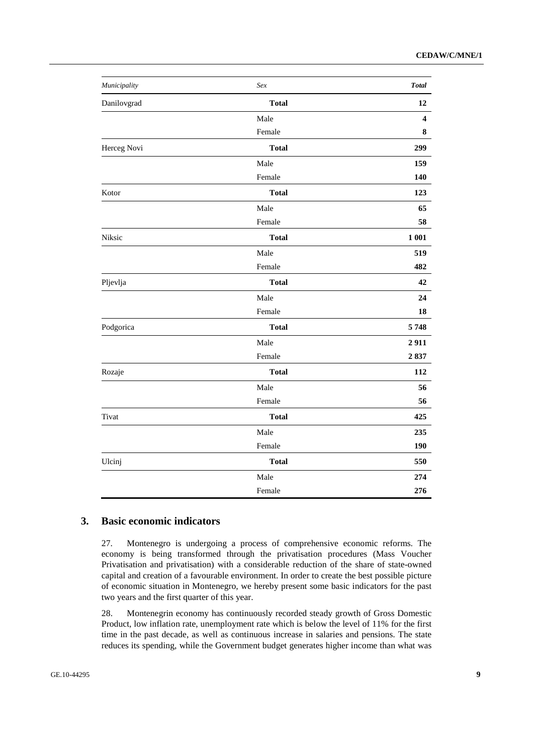| Municipality | Sex          | <b>Total</b>            |
|--------------|--------------|-------------------------|
| Danilovgrad  | <b>Total</b> | 12                      |
|              | Male         | $\overline{\mathbf{4}}$ |
|              | Female       | 8                       |
| Herceg Novi  | <b>Total</b> | 299                     |
|              | Male         | 159                     |
|              | Female       | 140                     |
| Kotor        | <b>Total</b> | 123                     |
|              | Male         | 65                      |
|              | Female       | 58                      |
| Niksic       | <b>Total</b> | 1 001                   |
|              | Male         | 519                     |
|              | Female       | 482                     |
| Pljevlja     | <b>Total</b> | 42                      |
|              | Male         | 24                      |
|              | Female       | 18                      |
| Podgorica    | <b>Total</b> | 5748                    |
|              | Male         | 2911                    |
|              | Female       | 2837                    |
| Rozaje       | <b>Total</b> | 112                     |
|              | Male         | 56                      |
|              | Female       | 56                      |
| Tivat        | <b>Total</b> | 425                     |
|              | Male         | 235                     |
|              | Female       | 190                     |
| Ulcinj       | <b>Total</b> | 550                     |
|              | Male         | 274                     |
|              | Female       | 276                     |

### **3. Basic economic indicators**

27. Montenegro is undergoing a process of comprehensive economic reforms. The economy is being transformed through the privatisation procedures (Mass Voucher Privatisation and privatisation) with a considerable reduction of the share of state-owned capital and creation of a favourable environment. In order to create the best possible picture of economic situation in Montenegro, we hereby present some basic indicators for the past two years and the first quarter of this year.

28. Montenegrin economy has continuously recorded steady growth of Gross Domestic Product, low inflation rate, unemployment rate which is below the level of 11% for the first time in the past decade, as well as continuous increase in salaries and pensions. The state reduces its spending, while the Government budget generates higher income than what was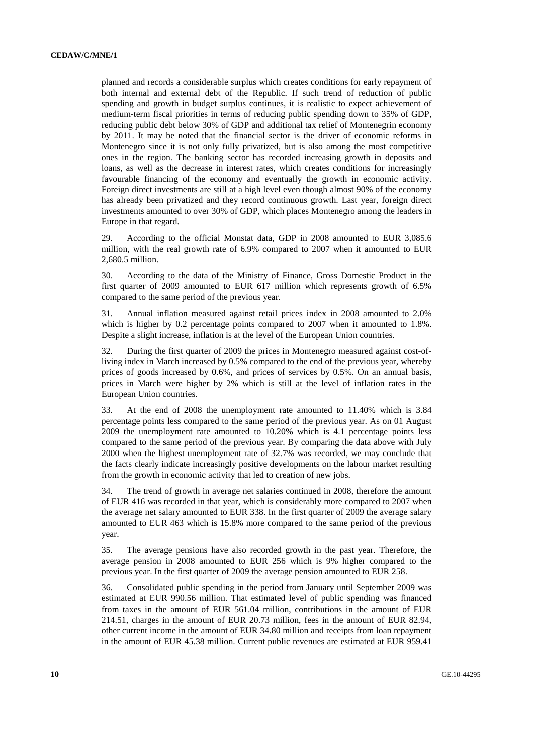planned and records a considerable surplus which creates conditions for early repayment of both internal and external debt of the Republic. If such trend of reduction of public spending and growth in budget surplus continues, it is realistic to expect achievement of medium-term fiscal priorities in terms of reducing public spending down to 35% of GDP, reducing public debt below 30% of GDP and additional tax relief of Montenegrin economy by 2011. It may be noted that the financial sector is the driver of economic reforms in Montenegro since it is not only fully privatized, but is also among the most competitive ones in the region. The banking sector has recorded increasing growth in deposits and loans, as well as the decrease in interest rates, which creates conditions for increasingly favourable financing of the economy and eventually the growth in economic activity. Foreign direct investments are still at a high level even though almost 90% of the economy has already been privatized and they record continuous growth. Last year, foreign direct investments amounted to over 30% of GDP, which places Montenegro among the leaders in Europe in that regard.

29. According to the official Monstat data, GDP in 2008 amounted to EUR 3,085.6 million, with the real growth rate of 6.9% compared to 2007 when it amounted to EUR 2,680.5 million.

30. According to the data of the Ministry of Finance, Gross Domestic Product in the first quarter of 2009 amounted to EUR 617 million which represents growth of 6.5% compared to the same period of the previous year.

31. Annual inflation measured against retail prices index in 2008 amounted to 2.0% which is higher by 0.2 percentage points compared to 2007 when it amounted to 1.8%. Despite a slight increase, inflation is at the level of the European Union countries.

32. During the first quarter of 2009 the prices in Montenegro measured against cost-ofliving index in March increased by 0.5% compared to the end of the previous year, whereby prices of goods increased by 0.6%, and prices of services by 0.5%. On an annual basis, prices in March were higher by 2% which is still at the level of inflation rates in the European Union countries.

33. At the end of 2008 the unemployment rate amounted to 11.40% which is 3.84 percentage points less compared to the same period of the previous year. As on 01 August 2009 the unemployment rate amounted to 10.20% which is 4.1 percentage points less compared to the same period of the previous year. By comparing the data above with July 2000 when the highest unemployment rate of 32.7% was recorded, we may conclude that the facts clearly indicate increasingly positive developments on the labour market resulting from the growth in economic activity that led to creation of new jobs.

34. The trend of growth in average net salaries continued in 2008, therefore the amount of EUR 416 was recorded in that year, which is considerably more compared to 2007 when the average net salary amounted to EUR 338. In the first quarter of 2009 the average salary amounted to EUR 463 which is 15.8% more compared to the same period of the previous year.

35. The average pensions have also recorded growth in the past year. Therefore, the average pension in 2008 amounted to EUR 256 which is 9% higher compared to the previous year. In the first quarter of 2009 the average pension amounted to EUR 258.

36. Consolidated public spending in the period from January until September 2009 was estimated at EUR 990.56 million. That estimated level of public spending was financed from taxes in the amount of EUR 561.04 million, contributions in the amount of EUR 214.51, charges in the amount of EUR 20.73 million, fees in the amount of EUR 82.94, other current income in the amount of EUR 34.80 million and receipts from loan repayment in the amount of EUR 45.38 million. Current public revenues are estimated at EUR 959.41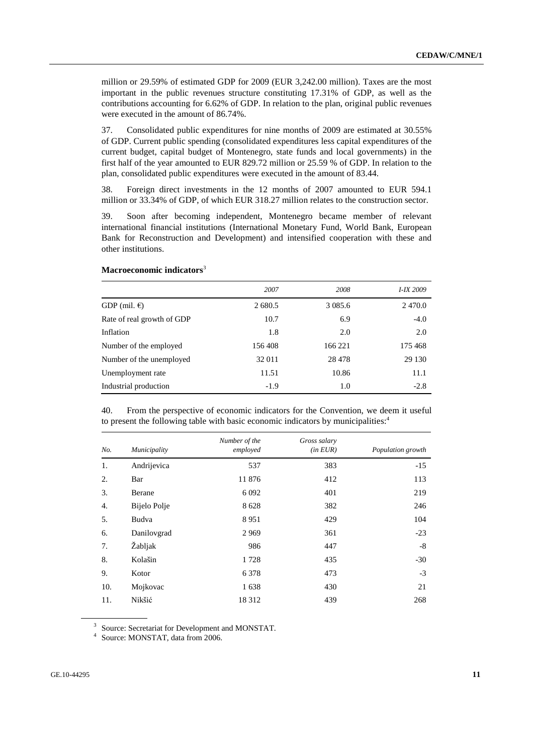million or 29.59% of estimated GDP for 2009 (EUR 3,242.00 million). Taxes are the most important in the public revenues structure constituting 17.31% of GDP, as well as the contributions accounting for 6.62% of GDP. In relation to the plan, original public revenues were executed in the amount of 86.74%.

37. Consolidated public expenditures for nine months of 2009 are estimated at 30.55% of GDP. Current public spending (consolidated expenditures less capital expenditures of the current budget, capital budget of Montenegro, state funds and local governments) in the first half of the year amounted to EUR 829.72 million or 25.59 % of GDP. In relation to the plan, consolidated public expenditures were executed in the amount of 83.44.

38. Foreign direct investments in the 12 months of 2007 amounted to EUR 594.1 million or 33.34% of GDP, of which EUR 318.27 million relates to the construction sector.

39. Soon after becoming independent, Montenegro became member of relevant international financial institutions (International Monetary Fund, World Bank, European Bank for Reconstruction and Development) and intensified cooperation with these and other institutions.

|                            | 2007    | 2008        | I-IX 2009 |
|----------------------------|---------|-------------|-----------|
| GDP (mil. $\epsilon$ )     | 2 680.5 | 3 0 8 5 . 6 | 2470.0    |
| Rate of real growth of GDP | 10.7    | 6.9         | $-4.0$    |
| Inflation                  | 1.8     | 2.0         | 2.0       |
| Number of the employed     | 156408  | 166 221     | 175468    |
| Number of the unemployed   | 32 011  | 28 4 78     | 29 130    |
| Unemployment rate          | 11.51   | 10.86       | 11.1      |
| Industrial production      | $-1.9$  | 1.0         | $-2.8$    |

### **Macroeconomic indicators**<sup>3</sup>

40. From the perspective of economic indicators for the Convention, we deem it useful to present the following table with basic economic indicators by municipalities:<sup>4</sup>

| No. | Municipality | Number of the<br>employed | Gross salary<br>(in EUR) | Population growth |
|-----|--------------|---------------------------|--------------------------|-------------------|
| 1.  | Andrijevica  | 537                       | 383                      | $-15$             |
| 2.  | Bar          | 11876                     | 412                      | 113               |
| 3.  | Berane       | 6 0 9 2                   | 401                      | 219               |
| 4.  | Bijelo Polje | 8628                      | 382                      | 246               |
| 5.  | Budva        | 8951                      | 429                      | 104               |
| 6.  | Danilovgrad  | 2969                      | 361                      | $-23$             |
| 7.  | Žabljak      | 986                       | 447                      | $-8$              |
| 8.  | Kolašin      | 1728                      | 435                      | $-30$             |
| 9.  | Kotor        | 6 3 7 8                   | 473                      | $-3$              |
| 10. | Mojkovac     | 1638                      | 430                      | 21                |
| 11. | Nikšić       | 18312                     | 439                      | 268               |

<sup>3</sup> Source: Secretariat for Development and MONSTAT.

<sup>4</sup> Source: MONSTAT, data from 2006.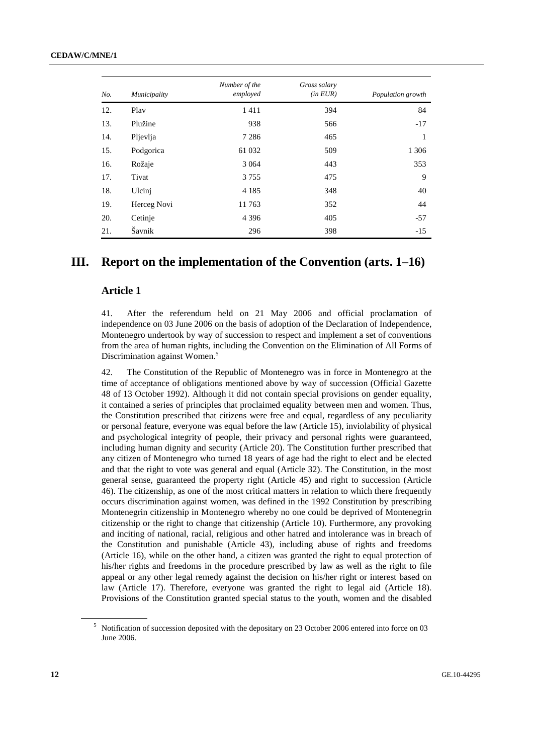|     |              | Number of the | Gross salary |                   |
|-----|--------------|---------------|--------------|-------------------|
| No. | Municipality | employed      | (in EUR)     | Population growth |
| 12. | Play         | 1411          | 394          | 84                |
| 13. | Plužine      | 938           | 566          | $-17$             |
| 14. | Pljevlja     | 7 2 8 6       | 465          | 1                 |
| 15. | Podgorica    | 61 032        | 509          | 1 3 0 6           |
| 16. | Rožaje       | 3 0 6 4       | 443          | 353               |
| 17. | Tivat        | 3755          | 475          | 9                 |
| 18. | Ulcinj       | 4 1 8 5       | 348          | 40                |
| 19. | Herceg Novi  | 11763         | 352          | 44                |
| 20. | Cetinje      | 4 3 9 6       | 405          | $-57$             |
| 21. | Šavnik       | 296           | 398          | $-15$             |

## **III. Report on the implementation of the Convention (arts. 1–16)**

## **Article 1**

41. After the referendum held on 21 May 2006 and official proclamation of independence on 03 June 2006 on the basis of adoption of the Declaration of Independence, Montenegro undertook by way of succession to respect and implement a set of conventions from the area of human rights, including the Convention on the Elimination of All Forms of Discrimination against Women.<sup>5</sup>

42. The Constitution of the Republic of Montenegro was in force in Montenegro at the time of acceptance of obligations mentioned above by way of succession (Official Gazette 48 of 13 October 1992). Although it did not contain special provisions on gender equality, it contained a series of principles that proclaimed equality between men and women. Thus, the Constitution prescribed that citizens were free and equal, regardless of any peculiarity or personal feature, everyone was equal before the law (Article 15), inviolability of physical and psychological integrity of people, their privacy and personal rights were guaranteed, including human dignity and security (Article 20). The Constitution further prescribed that any citizen of Montenegro who turned 18 years of age had the right to elect and be elected and that the right to vote was general and equal (Article 32). The Constitution, in the most general sense, guaranteed the property right (Article 45) and right to succession (Article 46). The citizenship, as one of the most critical matters in relation to which there frequently occurs discrimination against women, was defined in the 1992 Constitution by prescribing Montenegrin citizenship in Montenegro whereby no one could be deprived of Montenegrin citizenship or the right to change that citizenship (Article 10). Furthermore, any provoking and inciting of national, racial, religious and other hatred and intolerance was in breach of the Constitution and punishable (Article 43), including abuse of rights and freedoms (Article 16), while on the other hand, a citizen was granted the right to equal protection of his/her rights and freedoms in the procedure prescribed by law as well as the right to file appeal or any other legal remedy against the decision on his/her right or interest based on law (Article 17). Therefore, everyone was granted the right to legal aid (Article 18). Provisions of the Constitution granted special status to the youth, women and the disabled

<sup>&</sup>lt;sup>5</sup> Notification of succession deposited with the depositary on 23 October 2006 entered into force on 03 June 2006.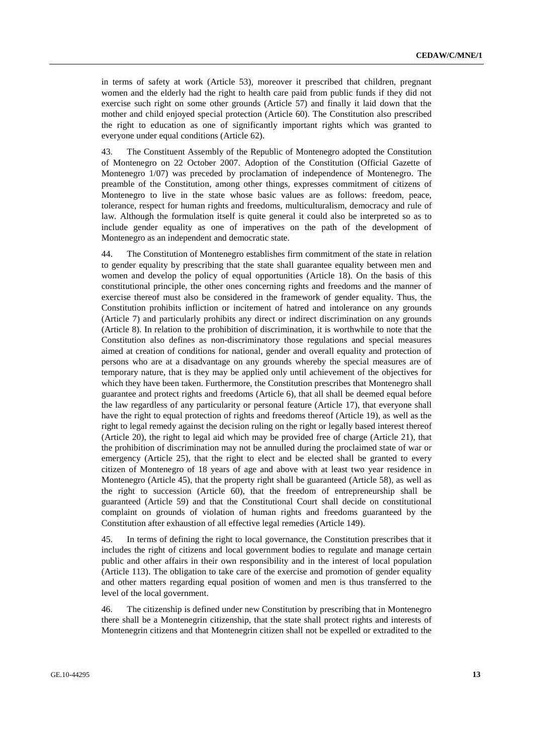in terms of safety at work (Article 53), moreover it prescribed that children, pregnant women and the elderly had the right to health care paid from public funds if they did not exercise such right on some other grounds (Article 57) and finally it laid down that the mother and child enjoyed special protection (Article 60). The Constitution also prescribed the right to education as one of significantly important rights which was granted to everyone under equal conditions (Article 62).

43. The Constituent Assembly of the Republic of Montenegro adopted the Constitution of Montenegro on 22 October 2007. Adoption of the Constitution (Official Gazette of Montenegro 1/07) was preceded by proclamation of independence of Montenegro. The preamble of the Constitution, among other things, expresses commitment of citizens of Montenegro to live in the state whose basic values are as follows: freedom, peace, tolerance, respect for human rights and freedoms, multiculturalism, democracy and rule of law. Although the formulation itself is quite general it could also be interpreted so as to include gender equality as one of imperatives on the path of the development of Montenegro as an independent and democratic state.

44. The Constitution of Montenegro establishes firm commitment of the state in relation to gender equality by prescribing that the state shall guarantee equality between men and women and develop the policy of equal opportunities (Article 18). On the basis of this constitutional principle, the other ones concerning rights and freedoms and the manner of exercise thereof must also be considered in the framework of gender equality. Thus, the Constitution prohibits infliction or incitement of hatred and intolerance on any grounds (Article 7) and particularly prohibits any direct or indirect discrimination on any grounds (Article 8). In relation to the prohibition of discrimination, it is worthwhile to note that the Constitution also defines as non-discriminatory those regulations and special measures aimed at creation of conditions for national, gender and overall equality and protection of persons who are at a disadvantage on any grounds whereby the special measures are of temporary nature, that is they may be applied only until achievement of the objectives for which they have been taken. Furthermore, the Constitution prescribes that Montenegro shall guarantee and protect rights and freedoms (Article 6), that all shall be deemed equal before the law regardless of any particularity or personal feature (Article 17), that everyone shall have the right to equal protection of rights and freedoms thereof (Article 19), as well as the right to legal remedy against the decision ruling on the right or legally based interest thereof (Article 20), the right to legal aid which may be provided free of charge (Article 21), that the prohibition of discrimination may not be annulled during the proclaimed state of war or emergency (Article 25), that the right to elect and be elected shall be granted to every citizen of Montenegro of 18 years of age and above with at least two year residence in Montenegro (Article 45), that the property right shall be guaranteed (Article 58), as well as the right to succession (Article 60), that the freedom of entrepreneurship shall be guaranteed (Article 59) and that the Constitutional Court shall decide on constitutional complaint on grounds of violation of human rights and freedoms guaranteed by the Constitution after exhaustion of all effective legal remedies (Article 149).

45. In terms of defining the right to local governance, the Constitution prescribes that it includes the right of citizens and local government bodies to regulate and manage certain public and other affairs in their own responsibility and in the interest of local population (Article 113). The obligation to take care of the exercise and promotion of gender equality and other matters regarding equal position of women and men is thus transferred to the level of the local government.

46. The citizenship is defined under new Constitution by prescribing that in Montenegro there shall be a Montenegrin citizenship, that the state shall protect rights and interests of Montenegrin citizens and that Montenegrin citizen shall not be expelled or extradited to the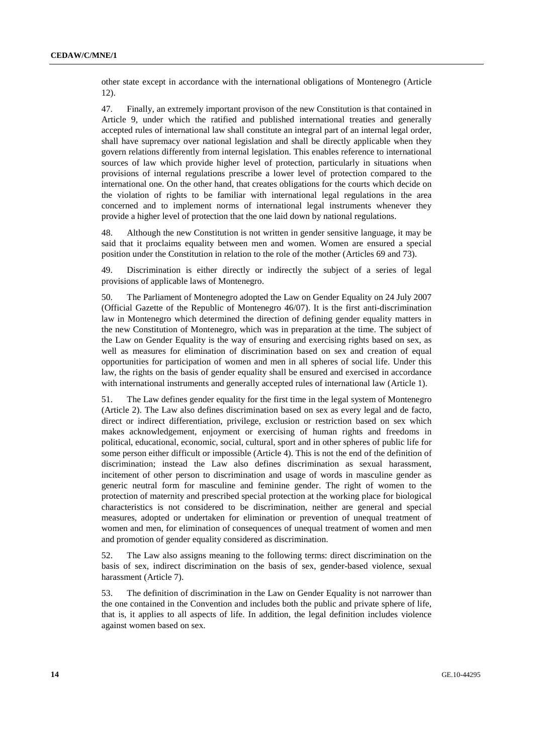other state except in accordance with the international obligations of Montenegro (Article 12).

47. Finally, an extremely important provison of the new Constitution is that contained in Article 9, under which the ratified and published international treaties and generally accepted rules of international law shall constitute an integral part of an internal legal order, shall have supremacy over national legislation and shall be directly applicable when they govern relations differently from internal legislation. This enables reference to international sources of law which provide higher level of protection, particularly in situations when provisions of internal regulations prescribe a lower level of protection compared to the international one. On the other hand, that creates obligations for the courts which decide on the violation of rights to be familiar with international legal regulations in the area concerned and to implement norms of international legal instruments whenever they provide a higher level of protection that the one laid down by national regulations.

48. Although the new Constitution is not written in gender sensitive language, it may be said that it proclaims equality between men and women. Women are ensured a special position under the Constitution in relation to the role of the mother (Articles 69 and 73).

49. Discrimination is either directly or indirectly the subject of a series of legal provisions of applicable laws of Montenegro.

50. The Parliament of Montenegro adopted the Law on Gender Equality on 24 July 2007 (Official Gazette of the Republic of Montenegro 46/07). It is the first anti-discrimination law in Montenegro which determined the direction of defining gender equality matters in the new Constitution of Montenegro, which was in preparation at the time. The subject of the Law on Gender Equality is the way of ensuring and exercising rights based on sex, as well as measures for elimination of discrimination based on sex and creation of equal opportunities for participation of women and men in all spheres of social life. Under this law, the rights on the basis of gender equality shall be ensured and exercised in accordance with international instruments and generally accepted rules of international law (Article 1).

51. The Law defines gender equality for the first time in the legal system of Montenegro (Article 2). The Law also defines discrimination based on sex as every legal and de facto, direct or indirect differentiation, privilege, exclusion or restriction based on sex which makes acknowledgement, enjoyment or exercising of human rights and freedoms in political, educational, economic, social, cultural, sport and in other spheres of public life for some person either difficult or impossible (Article 4). This is not the end of the definition of discrimination; instead the Law also defines discrimination as sexual harassment, incitement of other person to discrimination and usage of words in masculine gender as generic neutral form for masculine and feminine gender. The right of women to the protection of maternity and prescribed special protection at the working place for biological characteristics is not considered to be discrimination, neither are general and special measures, adopted or undertaken for elimination or prevention of unequal treatment of women and men, for elimination of consequences of unequal treatment of women and men and promotion of gender equality considered as discrimination.

52. The Law also assigns meaning to the following terms: direct discrimination on the basis of sex, indirect discrimination on the basis of sex, gender-based violence, sexual harassment (Article 7).

53. The definition of discrimination in the Law on Gender Equality is not narrower than the one contained in the Convention and includes both the public and private sphere of life, that is, it applies to all aspects of life. In addition, the legal definition includes violence against women based on sex.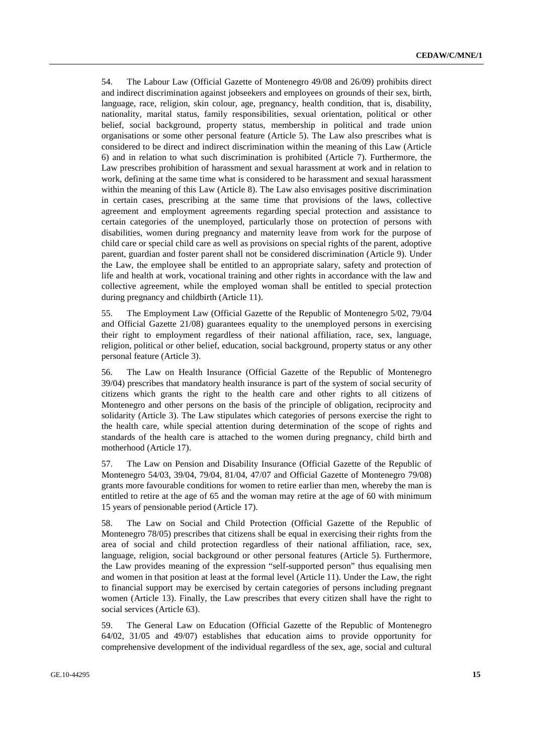54. The Labour Law (Official Gazette of Montenegro 49/08 and 26/09) prohibits direct and indirect discrimination against jobseekers and employees on grounds of their sex, birth, language, race, religion, skin colour, age, pregnancy, health condition, that is, disability, nationality, marital status, family responsibilities, sexual orientation, political or other belief, social background, property status, membership in political and trade union organisations or some other personal feature (Article 5). The Law also prescribes what is considered to be direct and indirect discrimination within the meaning of this Law (Article 6) and in relation to what such discrimination is prohibited (Article 7). Furthermore, the Law prescribes prohibition of harassment and sexual harassment at work and in relation to work, defining at the same time what is considered to be harassment and sexual harassment within the meaning of this Law (Article 8). The Law also envisages positive discrimination in certain cases, prescribing at the same time that provisions of the laws, collective agreement and employment agreements regarding special protection and assistance to certain categories of the unemployed, particularly those on protection of persons with disabilities, women during pregnancy and maternity leave from work for the purpose of child care or special child care as well as provisions on special rights of the parent, adoptive parent, guardian and foster parent shall not be considered discrimination (Article 9). Under the Law, the employee shall be entitled to an appropriate salary, safety and protection of life and health at work, vocational training and other rights in accordance with the law and collective agreement, while the employed woman shall be entitled to special protection during pregnancy and childbirth (Article 11).

55. The Employment Law (Official Gazette of the Republic of Montenegro 5/02, 79/04 and Official Gazette 21/08) guarantees equality to the unemployed persons in exercising their right to employment regardless of their national affiliation, race, sex, language, religion, political or other belief, education, social background, property status or any other personal feature (Article 3).

56. The Law on Health Insurance (Official Gazette of the Republic of Montenegro 39/04) prescribes that mandatory health insurance is part of the system of social security of citizens which grants the right to the health care and other rights to all citizens of Montenegro and other persons on the basis of the principle of obligation, reciprocity and solidarity (Article 3). The Law stipulates which categories of persons exercise the right to the health care, while special attention during determination of the scope of rights and standards of the health care is attached to the women during pregnancy, child birth and motherhood (Article 17).

57. The Law on Pension and Disability Insurance (Official Gazette of the Republic of Montenegro 54/03, 39/04, 79/04, 81/04, 47/07 and Official Gazette of Montenegro 79/08) grants more favourable conditions for women to retire earlier than men, whereby the man is entitled to retire at the age of 65 and the woman may retire at the age of 60 with minimum 15 years of pensionable period (Article 17).

58. The Law on Social and Child Protection (Official Gazette of the Republic of Montenegro 78/05) prescribes that citizens shall be equal in exercising their rights from the area of social and child protection regardless of their national affiliation, race, sex, language, religion, social background or other personal features (Article 5). Furthermore, the Law provides meaning of the expression "self-supported person" thus equalising men and women in that position at least at the formal level (Article 11). Under the Law, the right to financial support may be exercised by certain categories of persons including pregnant women (Article 13). Finally, the Law prescribes that every citizen shall have the right to social services (Article 63).

59. The General Law on Education (Official Gazette of the Republic of Montenegro 64/02, 31/05 and 49/07) establishes that education aims to provide opportunity for comprehensive development of the individual regardless of the sex, age, social and cultural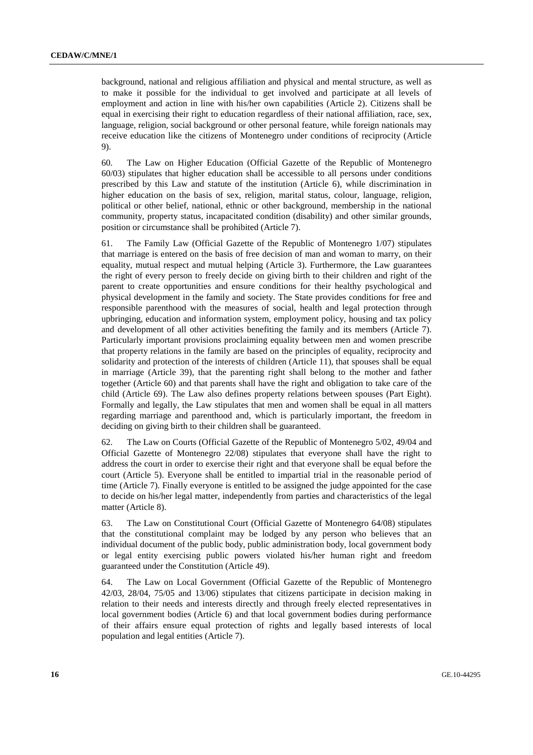background, national and religious affiliation and physical and mental structure, as well as to make it possible for the individual to get involved and participate at all levels of employment and action in line with his/her own capabilities (Article 2). Citizens shall be equal in exercising their right to education regardless of their national affiliation, race, sex, language, religion, social background or other personal feature, while foreign nationals may receive education like the citizens of Montenegro under conditions of reciprocity (Article 9).

60. The Law on Higher Education (Official Gazette of the Republic of Montenegro 60/03) stipulates that higher education shall be accessible to all persons under conditions prescribed by this Law and statute of the institution (Article 6), while discrimination in higher education on the basis of sex, religion, marital status, colour, language, religion, political or other belief, national, ethnic or other background, membership in the national community, property status, incapacitated condition (disability) and other similar grounds, position or circumstance shall be prohibited (Article 7).

61. The Family Law (Official Gazette of the Republic of Montenegro 1/07) stipulates that marriage is entered on the basis of free decision of man and woman to marry, on their equality, mutual respect and mutual helping (Article 3). Furthermore, the Law guarantees the right of every person to freely decide on giving birth to their children and right of the parent to create opportunities and ensure conditions for their healthy psychological and physical development in the family and society. The State provides conditions for free and responsible parenthood with the measures of social, health and legal protection through upbringing, education and information system, employment policy, housing and tax policy and development of all other activities benefiting the family and its members (Article 7). Particularly important provisions proclaiming equality between men and women prescribe that property relations in the family are based on the principles of equality, reciprocity and solidarity and protection of the interests of children (Article 11), that spouses shall be equal in marriage (Article 39), that the parenting right shall belong to the mother and father together (Article 60) and that parents shall have the right and obligation to take care of the child (Article 69). The Law also defines property relations between spouses (Part Eight). Formally and legally, the Law stipulates that men and women shall be equal in all matters regarding marriage and parenthood and, which is particularly important, the freedom in deciding on giving birth to their children shall be guaranteed.

62. The Law on Courts (Official Gazette of the Republic of Montenegro 5/02, 49/04 and Official Gazette of Montenegro 22/08) stipulates that everyone shall have the right to address the court in order to exercise their right and that everyone shall be equal before the court (Article 5). Everyone shall be entitled to impartial trial in the reasonable period of time (Article 7). Finally everyone is entitled to be assigned the judge appointed for the case to decide on his/her legal matter, independently from parties and characteristics of the legal matter (Article 8).

63. The Law on Constitutional Court (Official Gazette of Montenegro 64/08) stipulates that the constitutional complaint may be lodged by any person who believes that an individual document of the public body, public administration body, local government body or legal entity exercising public powers violated his/her human right and freedom guaranteed under the Constitution (Article 49).

64. The Law on Local Government (Official Gazette of the Republic of Montenegro 42/03, 28/04, 75/05 and 13/06) stipulates that citizens participate in decision making in relation to their needs and interests directly and through freely elected representatives in local government bodies (Article 6) and that local government bodies during performance of their affairs ensure equal protection of rights and legally based interests of local population and legal entities (Article 7).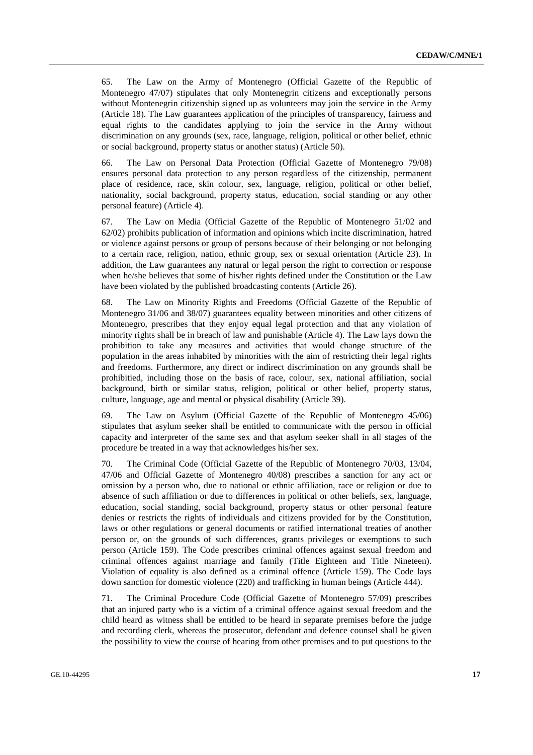65. The Law on the Army of Montenegro (Official Gazette of the Republic of Montenegro 47/07) stipulates that only Montenegrin citizens and exceptionally persons without Montenegrin citizenship signed up as volunteers may join the service in the Army (Article 18). The Law guarantees application of the principles of transparency, fairness and equal rights to the candidates applying to join the service in the Army without discrimination on any grounds (sex, race, language, religion, political or other belief, ethnic or social background, property status or another status) (Article 50).

66. The Law on Personal Data Protection (Official Gazette of Montenegro 79/08) ensures personal data protection to any person regardless of the citizenship, permanent place of residence, race, skin colour, sex, language, religion, political or other belief, nationality, social background, property status, education, social standing or any other personal feature) (Article 4).

67. The Law on Media (Official Gazette of the Republic of Montenegro 51/02 and 62/02) prohibits publication of information and opinions which incite discrimination, hatred or violence against persons or group of persons because of their belonging or not belonging to a certain race, religion, nation, ethnic group, sex or sexual orientation (Article 23). In addition, the Law guarantees any natural or legal person the right to correction or response when he/she believes that some of his/her rights defined under the Constitution or the Law have been violated by the published broadcasting contents (Article 26).

68. The Law on Minority Rights and Freedoms (Official Gazette of the Republic of Montenegro 31/06 and 38/07) guarantees equality between minorities and other citizens of Montenegro, prescribes that they enjoy equal legal protection and that any violation of minority rights shall be in breach of law and punishable (Article 4). The Law lays down the prohibition to take any measures and activities that would change structure of the population in the areas inhabited by minorities with the aim of restricting their legal rights and freedoms. Furthermore, any direct or indirect discrimination on any grounds shall be prohibitied, including those on the basis of race, colour, sex, national affiliation, social background, birth or similar status, religion, political or other belief, property status, culture, language, age and mental or physical disability (Article 39).

69. The Law on Asylum (Official Gazette of the Republic of Montenegro 45/06) stipulates that asylum seeker shall be entitled to communicate with the person in official capacity and interpreter of the same sex and that asylum seeker shall in all stages of the procedure be treated in a way that acknowledges his/her sex.

70. The Criminal Code (Official Gazette of the Republic of Montenegro 70/03, 13/04, 47/06 and Official Gazette of Montenegro 40/08) prescribes a sanction for any act or omission by a person who, due to national or ethnic affiliation, race or religion or due to absence of such affiliation or due to differences in political or other beliefs, sex, language, education, social standing, social background, property status or other personal feature denies or restricts the rights of individuals and citizens provided for by the Constitution, laws or other regulations or general documents or ratified international treaties of another person or, on the grounds of such differences, grants privileges or exemptions to such person (Article 159). The Code prescribes criminal offences against sexual freedom and criminal offences against marriage and family (Title Eighteen and Title Nineteen). Violation of equality is also defined as a criminal offence (Article 159). The Code lays down sanction for domestic violence (220) and trafficking in human beings (Article 444).

71. The Criminal Procedure Code (Official Gazette of Montenegro 57/09) prescribes that an injured party who is a victim of a criminal offence against sexual freedom and the child heard as witness shall be entitled to be heard in separate premises before the judge and recording clerk, whereas the prosecutor, defendant and defence counsel shall be given the possibility to view the course of hearing from other premises and to put questions to the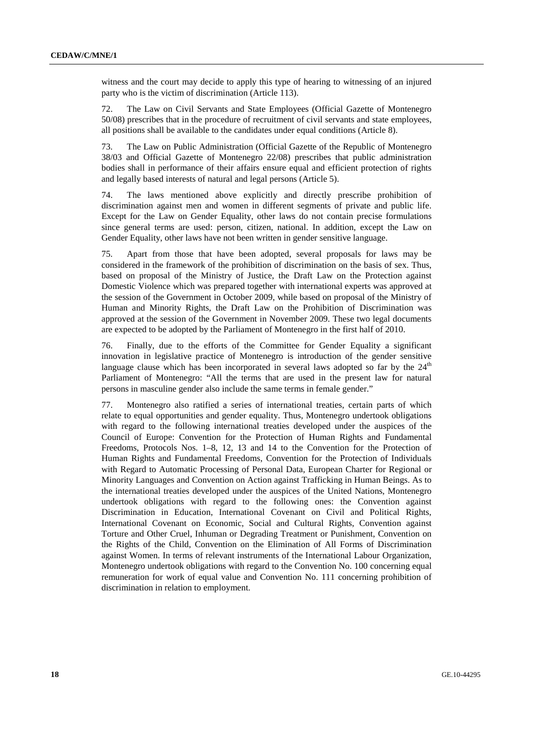witness and the court may decide to apply this type of hearing to witnessing of an injured party who is the victim of discrimination (Article 113).

72. The Law on Civil Servants and State Employees (Official Gazette of Montenegro 50/08) prescribes that in the procedure of recruitment of civil servants and state employees, all positions shall be available to the candidates under equal conditions (Article 8).

73. The Law on Public Administration (Official Gazette of the Republic of Montenegro 38/03 and Official Gazette of Montenegro 22/08) prescribes that public administration bodies shall in performance of their affairs ensure equal and efficient protection of rights and legally based interests of natural and legal persons (Article 5).

74. The laws mentioned above explicitly and directly prescribe prohibition of discrimination against men and women in different segments of private and public life. Except for the Law on Gender Equality, other laws do not contain precise formulations since general terms are used: person, citizen, national. In addition, except the Law on Gender Equality, other laws have not been written in gender sensitive language.

75. Apart from those that have been adopted, several proposals for laws may be considered in the framework of the prohibition of discrimination on the basis of sex. Thus, based on proposal of the Ministry of Justice, the Draft Law on the Protection against Domestic Violence which was prepared together with international experts was approved at the session of the Government in October 2009, while based on proposal of the Ministry of Human and Minority Rights, the Draft Law on the Prohibition of Discrimination was approved at the session of the Government in November 2009. These two legal documents are expected to be adopted by the Parliament of Montenegro in the first half of 2010.

76. Finally, due to the efforts of the Committee for Gender Equality a significant innovation in legislative practice of Montenegro is introduction of the gender sensitive language clause which has been incorporated in several laws adopted so far by the  $24<sup>th</sup>$ Parliament of Montenegro: "All the terms that are used in the present law for natural persons in masculine gender also include the same terms in female gender."

77. Montenegro also ratified a series of international treaties, certain parts of which relate to equal opportunities and gender equality. Thus, Montenegro undertook obligations with regard to the following international treaties developed under the auspices of the Council of Europe: Convention for the Protection of Human Rights and Fundamental Freedoms, Protocols Nos. 1–8, 12, 13 and 14 to the Convention for the Protection of Human Rights and Fundamental Freedoms, Convention for the Protection of Individuals with Regard to Automatic Processing of Personal Data, European Charter for Regional or Minority Languages and Convention on Action against Trafficking in Human Beings. As to the international treaties developed under the auspices of the United Nations, Montenegro undertook obligations with regard to the following ones: the Convention against Discrimination in Education, International Covenant on Civil and Political Rights, International Covenant on Economic, Social and Cultural Rights, Convention against Torture and Other Cruel, Inhuman or Degrading Treatment or Punishment, Convention on the Rights of the Child, Convention on the Elimination of All Forms of Discrimination against Women. In terms of relevant instruments of the International Labour Organization, Montenegro undertook obligations with regard to the Convention No. 100 concerning equal remuneration for work of equal value and Convention No. 111 concerning prohibition of discrimination in relation to employment.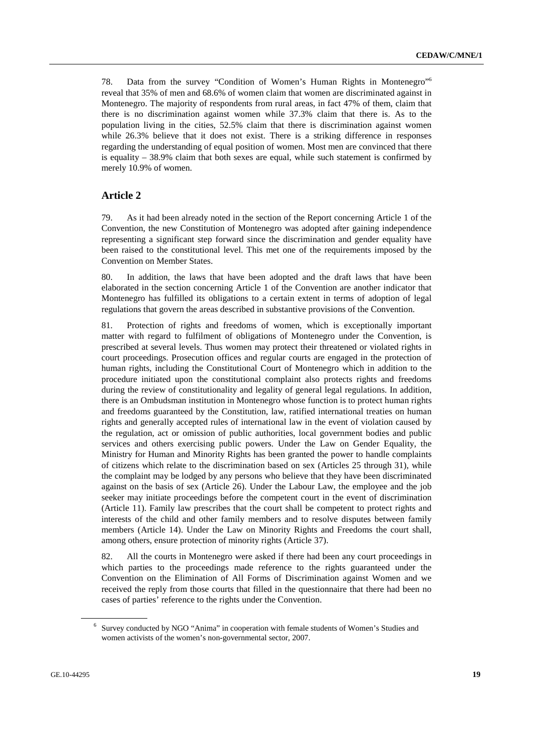78. Data from the survey "Condition of Women's Human Rights in Montenegro"6 reveal that 35% of men and 68.6% of women claim that women are discriminated against in Montenegro. The majority of respondents from rural areas, in fact 47% of them, claim that there is no discrimination against women while 37.3% claim that there is. As to the population living in the cities, 52.5% claim that there is discrimination against women while 26.3% believe that it does not exist. There is a striking difference in responses regarding the understanding of equal position of women. Most men are convinced that there is equality  $-38.9\%$  claim that both sexes are equal, while such statement is confirmed by merely 10.9% of women.

### **Article 2**

79. As it had been already noted in the section of the Report concerning Article 1 of the Convention, the new Constitution of Montenegro was adopted after gaining independence representing a significant step forward since the discrimination and gender equality have been raised to the constitutional level. This met one of the requirements imposed by the Convention on Member States.

80. In addition, the laws that have been adopted and the draft laws that have been elaborated in the section concerning Article 1 of the Convention are another indicator that Montenegro has fulfilled its obligations to a certain extent in terms of adoption of legal regulations that govern the areas described in substantive provisions of the Convention.

81. Protection of rights and freedoms of women, which is exceptionally important matter with regard to fulfilment of obligations of Montenegro under the Convention, is prescribed at several levels. Thus women may protect their threatened or violated rights in court proceedings. Prosecution offices and regular courts are engaged in the protection of human rights, including the Constitutional Court of Montenegro which in addition to the procedure initiated upon the constitutional complaint also protects rights and freedoms during the review of constitutionality and legality of general legal regulations. In addition, there is an Ombudsman institution in Montenegro whose function is to protect human rights and freedoms guaranteed by the Constitution, law, ratified international treaties on human rights and generally accepted rules of international law in the event of violation caused by the regulation, act or omission of public authorities, local government bodies and public services and others exercising public powers. Under the Law on Gender Equality, the Ministry for Human and Minority Rights has been granted the power to handle complaints of citizens which relate to the discrimination based on sex (Articles 25 through 31), while the complaint may be lodged by any persons who believe that they have been discriminated against on the basis of sex (Article 26). Under the Labour Law, the employee and the job seeker may initiate proceedings before the competent court in the event of discrimination (Article 11). Family law prescribes that the court shall be competent to protect rights and interests of the child and other family members and to resolve disputes between family members (Article 14). Under the Law on Minority Rights and Freedoms the court shall, among others, ensure protection of minority rights (Article 37).

82. All the courts in Montenegro were asked if there had been any court proceedings in which parties to the proceedings made reference to the rights guaranteed under the Convention on the Elimination of All Forms of Discrimination against Women and we received the reply from those courts that filled in the questionnaire that there had been no cases of parties' reference to the rights under the Convention.

<sup>&</sup>lt;sup>6</sup> Survey conducted by NGO "Anima" in cooperation with female students of Women's Studies and women activists of the women's non-governmental sector, 2007.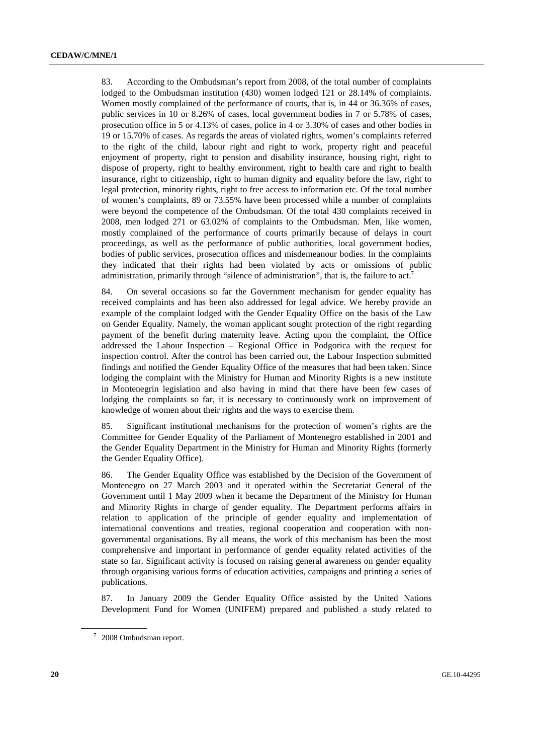83. According to the Ombudsman's report from 2008, of the total number of complaints lodged to the Ombudsman institution (430) women lodged 121 or 28.14% of complaints. Women mostly complained of the performance of courts, that is, in 44 or 36.36% of cases, public services in 10 or 8.26% of cases, local government bodies in 7 or 5.78% of cases, prosecution office in 5 or 4.13% of cases, police in 4 or 3.30% of cases and other bodies in 19 or 15.70% of cases. As regards the areas of violated rights, women's complaints referred to the right of the child, labour right and right to work, property right and peaceful enjoyment of property, right to pension and disability insurance, housing right, right to dispose of property, right to healthy environment, right to health care and right to health insurance, right to citizenship, right to human dignity and equality before the law, right to legal protection, minority rights, right to free access to information etc. Of the total number of women's complaints, 89 or 73.55% have been processed while a number of complaints were beyond the competence of the Ombudsman. Of the total 430 complaints received in 2008, men lodged 271 or 63.02% of complaints to the Ombudsman. Men, like women, mostly complained of the performance of courts primarily because of delays in court proceedings, as well as the performance of public authorities, local government bodies, bodies of public services, prosecution offices and misdemeanour bodies. In the complaints they indicated that their rights had been violated by acts or omissions of public administration, primarily through "silence of administration", that is, the failure to act.<sup>7</sup>

84. On several occasions so far the Government mechanism for gender equality has received complaints and has been also addressed for legal advice. We hereby provide an example of the complaint lodged with the Gender Equality Office on the basis of the Law on Gender Equality. Namely, the woman applicant sought protection of the right regarding payment of the benefit during maternity leave. Acting upon the complaint, the Office addressed the Labour Inspection – Regional Office in Podgorica with the request for inspection control. After the control has been carried out, the Labour Inspection submitted findings and notified the Gender Equality Office of the measures that had been taken. Since lodging the complaint with the Ministry for Human and Minority Rights is a new institute in Montenegrin legislation and also having in mind that there have been few cases of lodging the complaints so far, it is necessary to continuously work on improvement of knowledge of women about their rights and the ways to exercise them.

85. Significant institutional mechanisms for the protection of women's rights are the Committee for Gender Equality of the Parliament of Montenegro established in 2001 and the Gender Equality Department in the Ministry for Human and Minority Rights (formerly the Gender Equality Office).

86. The Gender Equality Office was established by the Decision of the Government of Montenegro on 27 March 2003 and it operated within the Secretariat General of the Government until 1 May 2009 when it became the Department of the Ministry for Human and Minority Rights in charge of gender equality. The Department performs affairs in relation to application of the principle of gender equality and implementation of international conventions and treaties, regional cooperation and cooperation with nongovernmental organisations. By all means, the work of this mechanism has been the most comprehensive and important in performance of gender equality related activities of the state so far. Significant activity is focused on raising general awareness on gender equality through organising various forms of education activities, campaigns and printing a series of publications.

87. In January 2009 the Gender Equality Office assisted by the United Nations Development Fund for Women (UNIFEM) prepared and published a study related to

<sup>&</sup>lt;sup>7</sup> 2008 Ombudsman report.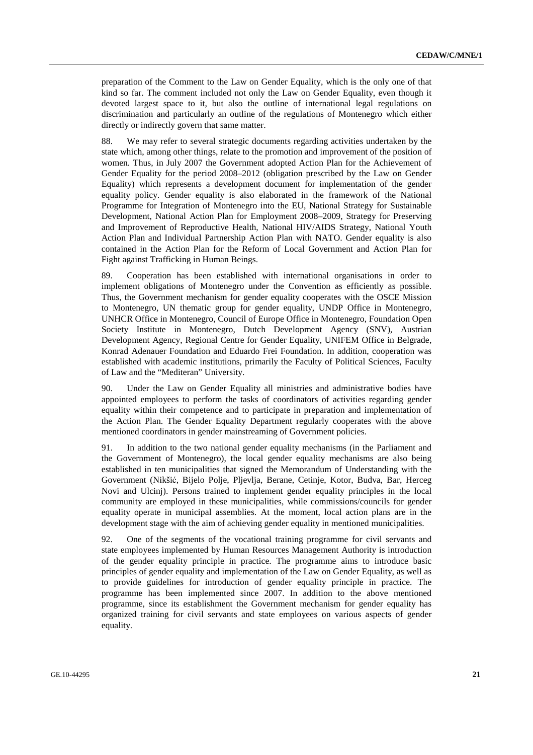preparation of the Comment to the Law on Gender Equality, which is the only one of that kind so far. The comment included not only the Law on Gender Equality, even though it devoted largest space to it, but also the outline of international legal regulations on discrimination and particularly an outline of the regulations of Montenegro which either directly or indirectly govern that same matter.

88. We may refer to several strategic documents regarding activities undertaken by the state which, among other things, relate to the promotion and improvement of the position of women. Thus, in July 2007 the Government adopted Action Plan for the Achievement of Gender Equality for the period 2008–2012 (obligation prescribed by the Law on Gender Equality) which represents a development document for implementation of the gender equality policy. Gender equality is also elaborated in the framework of the National Programme for Integration of Montenegro into the EU, National Strategy for Sustainable Development, National Action Plan for Employment 2008–2009, Strategy for Preserving and Improvement of Reproductive Health, National HIV/AIDS Strategy, National Youth Action Plan and Individual Partnership Action Plan with NATO. Gender equality is also contained in the Action Plan for the Reform of Local Government and Action Plan for Fight against Trafficking in Human Beings.

89. Cooperation has been established with international organisations in order to implement obligations of Montenegro under the Convention as efficiently as possible. Thus, the Government mechanism for gender equality cooperates with the OSCE Mission to Montenegro, UN thematic group for gender equality, UNDP Office in Montenegro, UNHCR Office in Montenegro, Council of Europe Office in Montenegro, Foundation Open Society Institute in Montenegro, Dutch Development Agency (SNV), Austrian Development Agency, Regional Centre for Gender Equality, UNIFEM Office in Belgrade, Konrad Adenauer Foundation and Eduardo Frei Foundation. In addition, cooperation was established with academic institutions, primarily the Faculty of Political Sciences, Faculty of Law and the "Mediteran" University.

90. Under the Law on Gender Equality all ministries and administrative bodies have appointed employees to perform the tasks of coordinators of activities regarding gender equality within their competence and to participate in preparation and implementation of the Action Plan. The Gender Equality Department regularly cooperates with the above mentioned coordinators in gender mainstreaming of Government policies.

91. In addition to the two national gender equality mechanisms (in the Parliament and the Government of Montenegro), the local gender equality mechanisms are also being established in ten municipalities that signed the Memorandum of Understanding with the Government (Nikšić, Bijelo Polje, Pljevlja, Berane, Cetinje, Kotor, Budva, Bar, Herceg Novi and Ulcinj). Persons trained to implement gender equality principles in the local community are employed in these municipalities, while commissions/councils for gender equality operate in municipal assemblies. At the moment, local action plans are in the development stage with the aim of achieving gender equality in mentioned municipalities.

92. One of the segments of the vocational training programme for civil servants and state employees implemented by Human Resources Management Authority is introduction of the gender equality principle in practice. The programme aims to introduce basic principles of gender equality and implementation of the Law on Gender Equality, as well as to provide guidelines for introduction of gender equality principle in practice. The programme has been implemented since 2007. In addition to the above mentioned programme, since its establishment the Government mechanism for gender equality has organized training for civil servants and state employees on various aspects of gender equality.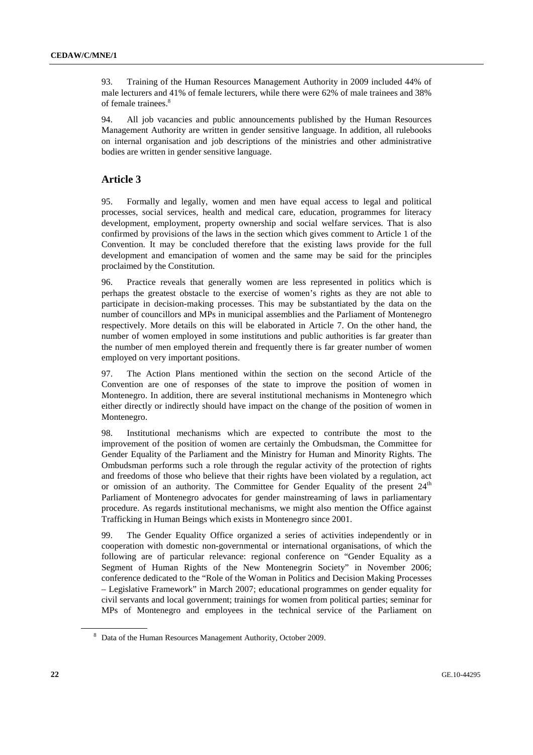93. Training of the Human Resources Management Authority in 2009 included 44% of male lecturers and 41% of female lecturers, while there were 62% of male trainees and 38% of female trainees.<sup>8</sup>

94. All job vacancies and public announcements published by the Human Resources Management Authority are written in gender sensitive language. In addition, all rulebooks on internal organisation and job descriptions of the ministries and other administrative bodies are written in gender sensitive language.

## **Article 3**

95. Formally and legally, women and men have equal access to legal and political processes, social services, health and medical care, education, programmes for literacy development, employment, property ownership and social welfare services. That is also confirmed by provisions of the laws in the section which gives comment to Article 1 of the Convention. It may be concluded therefore that the existing laws provide for the full development and emancipation of women and the same may be said for the principles proclaimed by the Constitution.

96. Practice reveals that generally women are less represented in politics which is perhaps the greatest obstacle to the exercise of women's rights as they are not able to participate in decision-making processes. This may be substantiated by the data on the number of councillors and MPs in municipal assemblies and the Parliament of Montenegro respectively. More details on this will be elaborated in Article 7. On the other hand, the number of women employed in some institutions and public authorities is far greater than the number of men employed therein and frequently there is far greater number of women employed on very important positions.

97. The Action Plans mentioned within the section on the second Article of the Convention are one of responses of the state to improve the position of women in Montenegro. In addition, there are several institutional mechanisms in Montenegro which either directly or indirectly should have impact on the change of the position of women in Montenegro.

98. Institutional mechanisms which are expected to contribute the most to the improvement of the position of women are certainly the Ombudsman, the Committee for Gender Equality of the Parliament and the Ministry for Human and Minority Rights. The Ombudsman performs such a role through the regular activity of the protection of rights and freedoms of those who believe that their rights have been violated by a regulation, act or omission of an authority. The Committee for Gender Equality of the present  $24<sup>th</sup>$ Parliament of Montenegro advocates for gender mainstreaming of laws in parliamentary procedure. As regards institutional mechanisms, we might also mention the Office against Trafficking in Human Beings which exists in Montenegro since 2001.

99. The Gender Equality Office organized a series of activities independently or in cooperation with domestic non-governmental or international organisations, of which the following are of particular relevance: regional conference on "Gender Equality as a Segment of Human Rights of the New Montenegrin Society" in November 2006; conference dedicated to the "Role of the Woman in Politics and Decision Making Processes – Legislative Framework" in March 2007; educational programmes on gender equality for civil servants and local government; trainings for women from political parties; seminar for MPs of Montenegro and employees in the technical service of the Parliament on

<sup>&</sup>lt;sup>8</sup> Data of the Human Resources Management Authority, October 2009.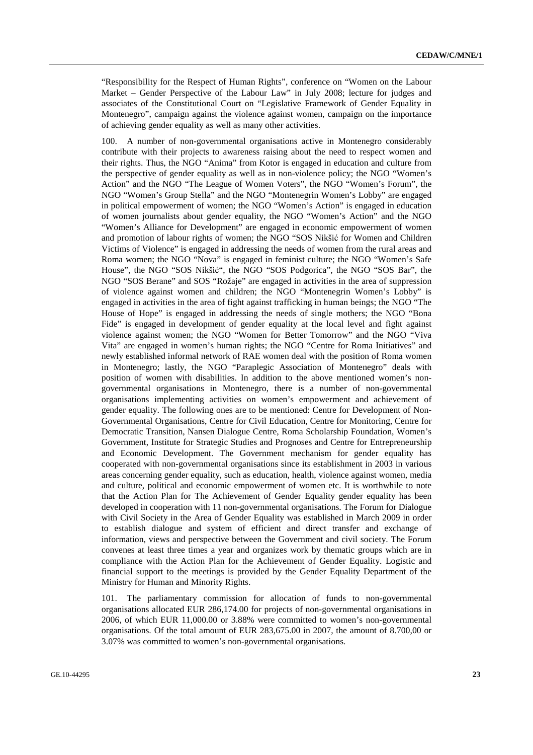"Responsibility for the Respect of Human Rights", conference on "Women on the Labour Market – Gender Perspective of the Labour Law" in July 2008; lecture for judges and associates of the Constitutional Court on "Legislative Framework of Gender Equality in Montenegro", campaign against the violence against women, campaign on the importance of achieving gender equality as well as many other activities.

A number of non-governmental organisations active in Montenegro considerably contribute with their projects to awareness raising about the need to respect women and their rights. Thus, the NGO "Anima" from Kotor is engaged in education and culture from the perspective of gender equality as well as in non-violence policy; the NGO "Women's Action" and the NGO "The League of Women Voters", the NGO "Women's Forum", the NGO "Women's Group Stella" and the NGO "Montenegrin Women's Lobby" are engaged in political empowerment of women; the NGO "Women's Action" is engaged in education of women journalists about gender equality, the NGO "Women's Action" and the NGO "Women's Alliance for Development" are engaged in economic empowerment of women and promotion of labour rights of women; the NGO "SOS Nikšić for Women and Children Victims of Violence" is engaged in addressing the needs of women from the rural areas and Roma women; the NGO "Nova" is engaged in feminist culture; the NGO "Women's Safe House", the NGO "SOS Nikšić", the NGO "SOS Podgorica", the NGO "SOS Bar", the NGO "SOS Berane" and SOS "Rožaje" are engaged in activities in the area of suppression of violence against women and children; the NGO "Montenegrin Women's Lobby" is engaged in activities in the area of fight against trafficking in human beings; the NGO "The House of Hope" is engaged in addressing the needs of single mothers; the NGO "Bona Fide" is engaged in development of gender equality at the local level and fight against violence against women; the NGO "Women for Better Tomorrow" and the NGO "Viva Vita" are engaged in women's human rights; the NGO "Centre for Roma Initiatives" and newly established informal network of RAE women deal with the position of Roma women in Montenegro; lastly, the NGO "Paraplegic Association of Montenegro" deals with position of women with disabilities. In addition to the above mentioned women's nongovernmental organisations in Montenegro, there is a number of non-governmental organisations implementing activities on women's empowerment and achievement of gender equality. The following ones are to be mentioned: Centre for Development of Non-Governmental Organisations, Centre for Civil Education, Centre for Monitoring, Centre for Democratic Transition, Nansen Dialogue Centre, Roma Scholarship Foundation, Women's Government, Institute for Strategic Studies and Prognoses and Centre for Entrepreneurship and Economic Development. The Government mechanism for gender equality has cooperated with non-governmental organisations since its establishment in 2003 in various areas concerning gender equality, such as education, health, violence against women, media and culture, political and economic empowerment of women etc. It is worthwhile to note that the Action Plan for The Achievement of Gender Equality gender equality has been developed in cooperation with 11 non-governmental organisations. The Forum for Dialogue with Civil Society in the Area of Gender Equality was established in March 2009 in order to establish dialogue and system of efficient and direct transfer and exchange of information, views and perspective between the Government and civil society. The Forum convenes at least three times a year and organizes work by thematic groups which are in compliance with the Action Plan for the Achievement of Gender Equality. Logistic and financial support to the meetings is provided by the Gender Equality Department of the Ministry for Human and Minority Rights.

101. The parliamentary commission for allocation of funds to non-governmental organisations allocated EUR 286,174.00 for projects of non-governmental organisations in 2006, of which EUR 11,000.00 or 3.88% were committed to women's non-governmental organisations. Of the total amount of EUR 283,675.00 in 2007, the amount of 8.700,00 or 3.07% was committed to women's non-governmental organisations.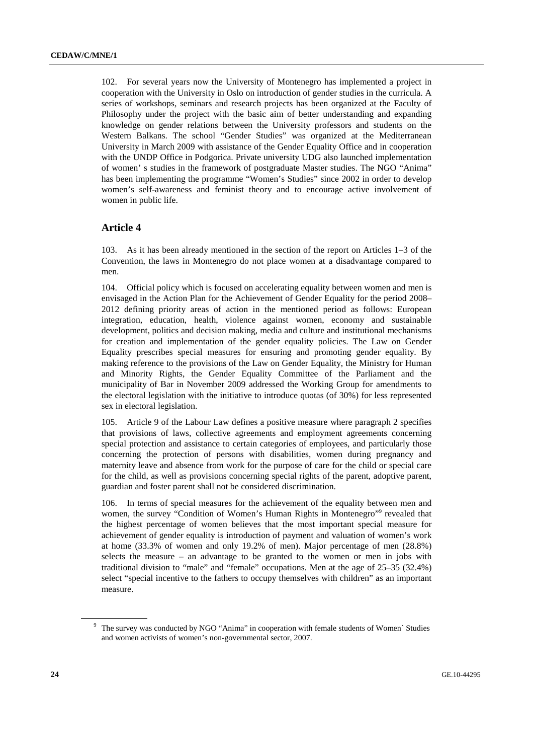102. For several years now the University of Montenegro has implemented a project in cooperation with the University in Oslo on introduction of gender studies in the curricula. A series of workshops, seminars and research projects has been organized at the Faculty of Philosophy under the project with the basic aim of better understanding and expanding knowledge on gender relations between the University professors and students on the Western Balkans. The school "Gender Studies" was organized at the Mediterranean University in March 2009 with assistance of the Gender Equality Office and in cooperation with the UNDP Office in Podgorica. Private university UDG also launched implementation of women' s studies in the framework of postgraduate Master studies. The NGO "Anima" has been implementing the programme "Women's Studies" since 2002 in order to develop women's self-awareness and feminist theory and to encourage active involvement of women in public life.

### **Article 4**

103. As it has been already mentioned in the section of the report on Articles 1–3 of the Convention, the laws in Montenegro do not place women at a disadvantage compared to men.

104. Official policy which is focused on accelerating equality between women and men is envisaged in the Action Plan for the Achievement of Gender Equality for the period 2008– 2012 defining priority areas of action in the mentioned period as follows: European integration, education, health, violence against women, economy and sustainable development, politics and decision making, media and culture and institutional mechanisms for creation and implementation of the gender equality policies. The Law on Gender Equality prescribes special measures for ensuring and promoting gender equality. By making reference to the provisions of the Law on Gender Equality, the Ministry for Human and Minority Rights, the Gender Equality Committee of the Parliament and the municipality of Bar in November 2009 addressed the Working Group for amendments to the electoral legislation with the initiative to introduce quotas (of 30%) for less represented sex in electoral legislation.

105. Article 9 of the Labour Law defines a positive measure where paragraph 2 specifies that provisions of laws, collective agreements and employment agreements concerning special protection and assistance to certain categories of employees, and particularly those concerning the protection of persons with disabilities, women during pregnancy and maternity leave and absence from work for the purpose of care for the child or special care for the child, as well as provisions concerning special rights of the parent, adoptive parent, guardian and foster parent shall not be considered discrimination.

106. In terms of special measures for the achievement of the equality between men and women, the survey "Condition of Women's Human Rights in Montenegro"<sup>9</sup> revealed that the highest percentage of women believes that the most important special measure for achievement of gender equality is introduction of payment and valuation of women's work at home (33.3% of women and only 19.2% of men). Major percentage of men (28.8%) selects the measure – an advantage to be granted to the women or men in jobs with traditional division to "male" and "female" occupations. Men at the age of 25–35 (32.4%) select "special incentive to the fathers to occupy themselves with children" as an important measure.

<sup>&</sup>lt;sup>9</sup> The survey was conducted by NGO "Anima" in cooperation with female students of Women` Studies and women activists of women's non-governmental sector, 2007.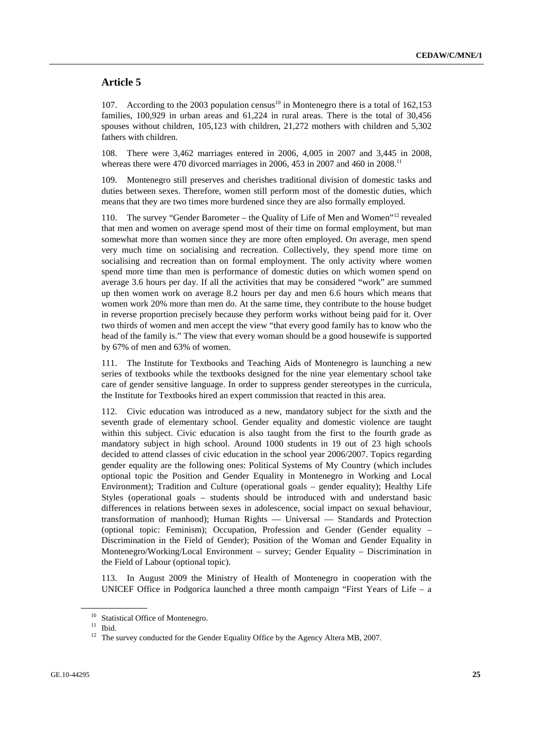## **Article 5**

107. According to the 2003 population census<sup>10</sup> in Montenegro there is a total of 162,153 families, 100,929 in urban areas and 61,224 in rural areas. There is the total of 30,456 spouses without children, 105,123 with children, 21,272 mothers with children and 5,302 fathers with children.

108. There were 3,462 marriages entered in 2006, 4,005 in 2007 and 3,445 in 2008, whereas there were 470 divorced marriages in 2006, 453 in 2007 and 460 in  $2008$ <sup>11</sup>

109. Montenegro still preserves and cherishes traditional division of domestic tasks and duties between sexes. Therefore, women still perform most of the domestic duties, which means that they are two times more burdened since they are also formally employed.

110. The survey "Gender Barometer – the Quality of Life of Men and Women"12 revealed that men and women on average spend most of their time on formal employment, but man somewhat more than women since they are more often employed. On average, men spend very much time on socialising and recreation. Collectively, they spend more time on socialising and recreation than on formal employment. The only activity where women spend more time than men is performance of domestic duties on which women spend on average 3.6 hours per day. If all the activities that may be considered "work" are summed up then women work on average 8.2 hours per day and men 6.6 hours which means that women work 20% more than men do. At the same time, they contribute to the house budget in reverse proportion precisely because they perform works without being paid for it. Over two thirds of women and men accept the view "that every good family has to know who the head of the family is." The view that every woman should be a good housewife is supported by 67% of men and 63% of women.

111. The Institute for Textbooks and Teaching Aids of Montenegro is launching a new series of textbooks while the textbooks designed for the nine year elementary school take care of gender sensitive language. In order to suppress gender stereotypes in the curricula, the Institute for Textbooks hired an expert commission that reacted in this area.

112. Civic education was introduced as a new, mandatory subject for the sixth and the seventh grade of elementary school. Gender equality and domestic violence are taught within this subject. Civic education is also taught from the first to the fourth grade as mandatory subject in high school. Around 1000 students in 19 out of 23 high schools decided to attend classes of civic education in the school year 2006/2007. Topics regarding gender equality are the following ones: Political Systems of My Country (which includes optional topic the Position and Gender Equality in Montenegro in Working and Local Environment); Tradition and Culture (operational goals – gender equality); Healthy Life Styles (operational goals – students should be introduced with and understand basic differences in relations between sexes in adolescence, social impact on sexual behaviour, transformation of manhood); Human Rights — Universal — Standards and Protection (optional topic: Feminism); Occupation, Profession and Gender (Gender equality – Discrimination in the Field of Gender); Position of the Woman and Gender Equality in Montenegro/Working/Local Environment – survey; Gender Equality – Discrimination in the Field of Labour (optional topic).

113. In August 2009 the Ministry of Health of Montenegro in cooperation with the UNICEF Office in Podgorica launched a three month campaign "First Years of Life – a

<sup>&</sup>lt;sup>10</sup> Statistical Office of Montenegro.

 $11$  Ibid.

<sup>&</sup>lt;sup>12</sup> The survey conducted for the Gender Equality Office by the Agency Altera MB, 2007.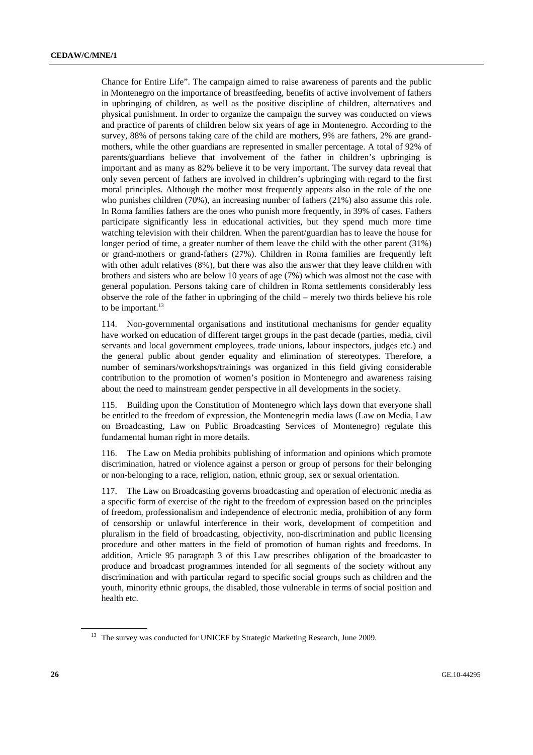Chance for Entire Life". The campaign aimed to raise awareness of parents and the public in Montenegro on the importance of breastfeeding, benefits of active involvement of fathers in upbringing of children, as well as the positive discipline of children, alternatives and physical punishment. In order to organize the campaign the survey was conducted on views and practice of parents of children below six years of age in Montenegro. According to the survey, 88% of persons taking care of the child are mothers, 9% are fathers, 2% are grandmothers, while the other guardians are represented in smaller percentage. A total of 92% of parents/guardians believe that involvement of the father in children's upbringing is important and as many as 82% believe it to be very important. The survey data reveal that only seven percent of fathers are involved in children's upbringing with regard to the first moral principles. Although the mother most frequently appears also in the role of the one who punishes children (70%), an increasing number of fathers (21%) also assume this role. In Roma families fathers are the ones who punish more frequently, in 39% of cases. Fathers participate significantly less in educational activities, but they spend much more time watching television with their children. When the parent/guardian has to leave the house for longer period of time, a greater number of them leave the child with the other parent (31%) or grand-mothers or grand-fathers (27%). Children in Roma families are frequently left with other adult relatives (8%), but there was also the answer that they leave children with brothers and sisters who are below 10 years of age (7%) which was almost not the case with general population. Persons taking care of children in Roma settlements considerably less observe the role of the father in upbringing of the child – merely two thirds believe his role to be important. $13$ 

114. Non-governmental organisations and institutional mechanisms for gender equality have worked on education of different target groups in the past decade (parties, media, civil servants and local government employees, trade unions, labour inspectors, judges etc.) and the general public about gender equality and elimination of stereotypes. Therefore, a number of seminars/workshops/trainings was organized in this field giving considerable contribution to the promotion of women's position in Montenegro and awareness raising about the need to mainstream gender perspective in all developments in the society.

115. Building upon the Constitution of Montenegro which lays down that everyone shall be entitled to the freedom of expression, the Montenegrin media laws (Law on Media, Law on Broadcasting, Law on Public Broadcasting Services of Montenegro) regulate this fundamental human right in more details.

116. The Law on Media prohibits publishing of information and opinions which promote discrimination, hatred or violence against a person or group of persons for their belonging or non-belonging to a race, religion, nation, ethnic group, sex or sexual orientation.

117. The Law on Broadcasting governs broadcasting and operation of electronic media as a specific form of exercise of the right to the freedom of expression based on the principles of freedom, professionalism and independence of electronic media, prohibition of any form of censorship or unlawful interference in their work, development of competition and pluralism in the field of broadcasting, objectivity, non-discrimination and public licensing procedure and other matters in the field of promotion of human rights and freedoms. In addition, Article 95 paragraph 3 of this Law prescribes obligation of the broadcaster to produce and broadcast programmes intended for all segments of the society without any discrimination and with particular regard to specific social groups such as children and the youth, minority ethnic groups, the disabled, those vulnerable in terms of social position and health etc.

<sup>&</sup>lt;sup>13</sup> The survey was conducted for UNICEF by Strategic Marketing Research, June 2009.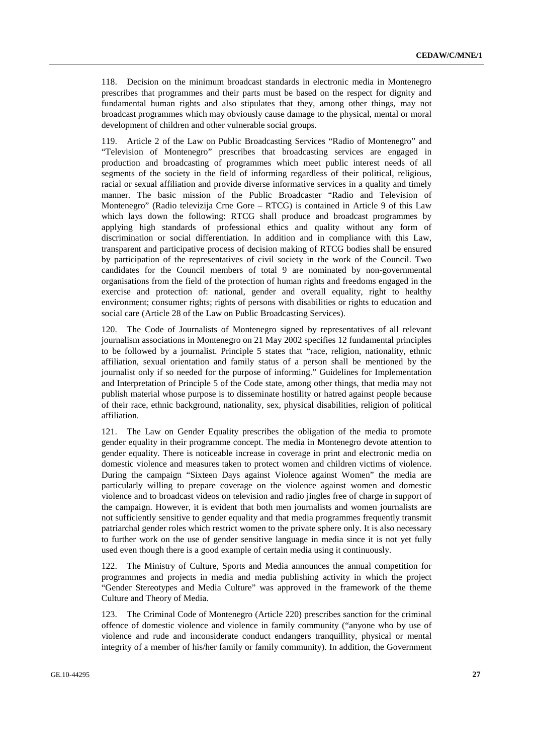118. Decision on the minimum broadcast standards in electronic media in Montenegro prescribes that programmes and their parts must be based on the respect for dignity and fundamental human rights and also stipulates that they, among other things, may not broadcast programmes which may obviously cause damage to the physical, mental or moral development of children and other vulnerable social groups.

119. Article 2 of the Law on Public Broadcasting Services "Radio of Montenegro" and "Television of Montenegro" prescribes that broadcasting services are engaged in production and broadcasting of programmes which meet public interest needs of all segments of the society in the field of informing regardless of their political, religious, racial or sexual affiliation and provide diverse informative services in a quality and timely manner. The basic mission of the Public Broadcaster "Radio and Television of Montenegro" (Radio televizija Crne Gore – RTCG) is contained in Article 9 of this Law which lays down the following: RTCG shall produce and broadcast programmes by applying high standards of professional ethics and quality without any form of discrimination or social differentiation. In addition and in compliance with this Law, transparent and participative process of decision making of RTCG bodies shall be ensured by participation of the representatives of civil society in the work of the Council. Two candidates for the Council members of total 9 are nominated by non-governmental organisations from the field of the protection of human rights and freedoms engaged in the exercise and protection of: national, gender and overall equality, right to healthy environment; consumer rights; rights of persons with disabilities or rights to education and social care (Article 28 of the Law on Public Broadcasting Services).

120. The Code of Journalists of Montenegro signed by representatives of all relevant journalism associations in Montenegro on 21 May 2002 specifies 12 fundamental principles to be followed by a journalist. Principle 5 states that "race, religion, nationality, ethnic affiliation, sexual orientation and family status of a person shall be mentioned by the journalist only if so needed for the purpose of informing." Guidelines for Implementation and Interpretation of Principle 5 of the Code state, among other things, that media may not publish material whose purpose is to disseminate hostility or hatred against people because of their race, ethnic background, nationality, sex, physical disabilities, religion of political affiliation.

121. The Law on Gender Equality prescribes the obligation of the media to promote gender equality in their programme concept. The media in Montenegro devote attention to gender equality. There is noticeable increase in coverage in print and electronic media on domestic violence and measures taken to protect women and children victims of violence. During the campaign "Sixteen Days against Violence against Women" the media are particularly willing to prepare coverage on the violence against women and domestic violence and to broadcast videos on television and radio jingles free of charge in support of the campaign. However, it is evident that both men journalists and women journalists are not sufficiently sensitive to gender equality and that media programmes frequently transmit patriarchal gender roles which restrict women to the private sphere only. It is also necessary to further work on the use of gender sensitive language in media since it is not yet fully used even though there is a good example of certain media using it continuously.

122. The Ministry of Culture, Sports and Media announces the annual competition for programmes and projects in media and media publishing activity in which the project "Gender Stereotypes and Media Culture" was approved in the framework of the theme Culture and Theory of Media.

123. The Criminal Code of Montenegro (Article 220) prescribes sanction for the criminal offence of domestic violence and violence in family community ("anyone who by use of violence and rude and inconsiderate conduct endangers tranquillity, physical or mental integrity of a member of his/her family or family community). In addition, the Government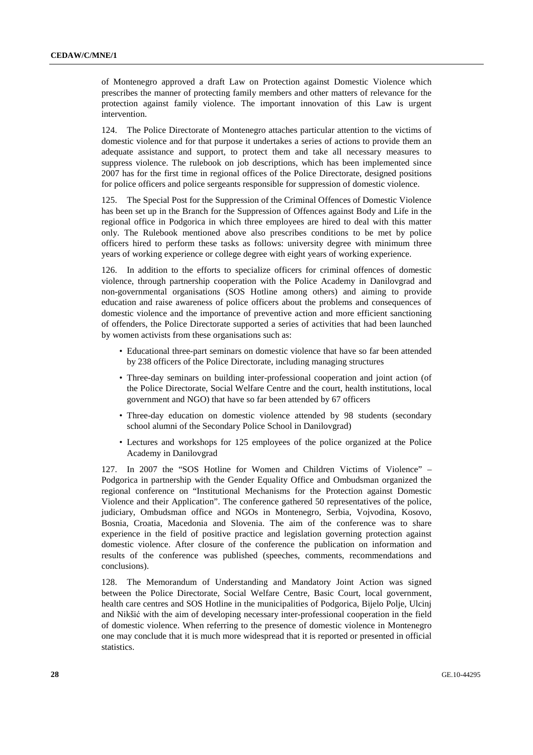of Montenegro approved a draft Law on Protection against Domestic Violence which prescribes the manner of protecting family members and other matters of relevance for the protection against family violence. The important innovation of this Law is urgent intervention.

124. The Police Directorate of Montenegro attaches particular attention to the victims of domestic violence and for that purpose it undertakes a series of actions to provide them an adequate assistance and support, to protect them and take all necessary measures to suppress violence. The rulebook on job descriptions, which has been implemented since 2007 has for the first time in regional offices of the Police Directorate, designed positions for police officers and police sergeants responsible for suppression of domestic violence.

125. The Special Post for the Suppression of the Criminal Offences of Domestic Violence has been set up in the Branch for the Suppression of Offences against Body and Life in the regional office in Podgorica in which three employees are hired to deal with this matter only. The Rulebook mentioned above also prescribes conditions to be met by police officers hired to perform these tasks as follows: university degree with minimum three years of working experience or college degree with eight years of working experience.

126. In addition to the efforts to specialize officers for criminal offences of domestic violence, through partnership cooperation with the Police Academy in Danilovgrad and non-governmental organisations (SOS Hotline among others) and aiming to provide education and raise awareness of police officers about the problems and consequences of domestic violence and the importance of preventive action and more efficient sanctioning of offenders, the Police Directorate supported a series of activities that had been launched by women activists from these organisations such as:

- Educational three-part seminars on domestic violence that have so far been attended by 238 officers of the Police Directorate, including managing structures
- Three-day seminars on building inter-professional cooperation and joint action (of the Police Directorate, Social Welfare Centre and the court, health institutions, local government and NGO) that have so far been attended by 67 officers
- Three-day education on domestic violence attended by 98 students (secondary school alumni of the Secondary Police School in Danilovgrad)
- Lectures and workshops for 125 employees of the police organized at the Police Academy in Danilovgrad

127. In 2007 the "SOS Hotline for Women and Children Victims of Violence" – Podgorica in partnership with the Gender Equality Office and Ombudsman organized the regional conference on "Institutional Mechanisms for the Protection against Domestic Violence and their Application". The conference gathered 50 representatives of the police, judiciary, Ombudsman office and NGOs in Montenegro, Serbia, Vojvodina, Kosovo, Bosnia, Croatia, Macedonia and Slovenia. The aim of the conference was to share experience in the field of positive practice and legislation governing protection against domestic violence. After closure of the conference the publication on information and results of the conference was published (speeches, comments, recommendations and conclusions).

128. The Memorandum of Understanding and Mandatory Joint Action was signed between the Police Directorate, Social Welfare Centre, Basic Court, local government, health care centres and SOS Hotline in the municipalities of Podgorica, Bijelo Polje, Ulcinj and Nikšić with the aim of developing necessary inter-professional cooperation in the field of domestic violence. When referring to the presence of domestic violence in Montenegro one may conclude that it is much more widespread that it is reported or presented in official statistics.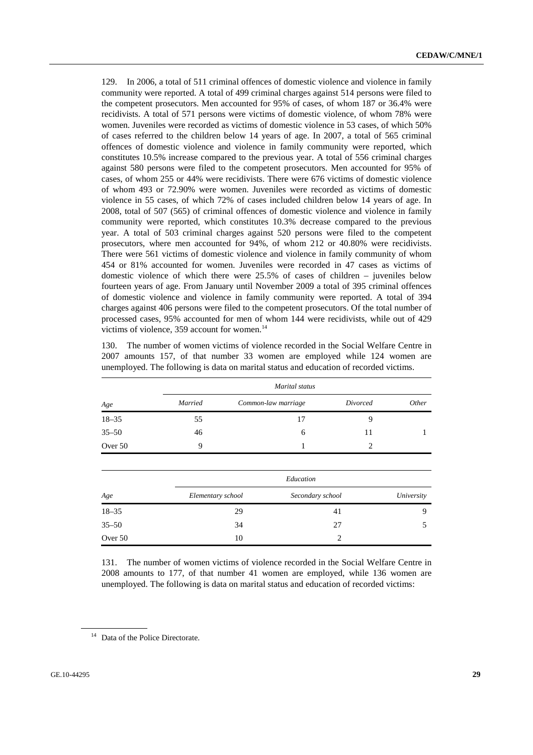129. In 2006, a total of 511 criminal offences of domestic violence and violence in family community were reported. A total of 499 criminal charges against 514 persons were filed to the competent prosecutors. Men accounted for 95% of cases, of whom 187 or 36.4% were recidivists. A total of 571 persons were victims of domestic violence, of whom 78% were women. Juveniles were recorded as victims of domestic violence in 53 cases, of which 50% of cases referred to the children below 14 years of age. In 2007, a total of 565 criminal offences of domestic violence and violence in family community were reported, which constitutes 10.5% increase compared to the previous year. A total of 556 criminal charges against 580 persons were filed to the competent prosecutors. Men accounted for 95% of cases, of whom 255 or 44% were recidivists. There were 676 victims of domestic violence of whom 493 or 72.90% were women. Juveniles were recorded as victims of domestic violence in 55 cases, of which 72% of cases included children below 14 years of age. In 2008, total of 507 (565) of criminal offences of domestic violence and violence in family community were reported, which constitutes 10.3% decrease compared to the previous year. A total of 503 criminal charges against 520 persons were filed to the competent prosecutors, where men accounted for 94%, of whom 212 or 40.80% were recidivists. There were 561 victims of domestic violence and violence in family community of whom 454 or 81% accounted for women. Juveniles were recorded in 47 cases as victims of domestic violence of which there were 25.5% of cases of children – juveniles below fourteen years of age. From January until November 2009 a total of 395 criminal offences of domestic violence and violence in family community were reported. A total of 394 charges against 406 persons were filed to the competent prosecutors. Of the total number of processed cases, 95% accounted for men of whom 144 were recidivists, while out of 429 victims of violence,  $359$  account for women.<sup>14</sup>

130. The number of women victims of violence recorded in the Social Welfare Centre in 2007 amounts 157, of that number 33 women are employed while 124 women are unemployed. The following is data on marital status and education of recorded victims.

|           |         | Marital status      |          |              |
|-----------|---------|---------------------|----------|--------------|
| Age       | Married | Common-law marriage | Divorced | <i>Other</i> |
| $18 - 35$ | 55      | 17                  |          |              |
| $35 - 50$ | 46      | 6                   | 11       |              |
| Over 50   | 9       |                     |          |              |

| Age       | Education         |                  |            |  |  |
|-----------|-------------------|------------------|------------|--|--|
|           | Elementary school | Secondary school | University |  |  |
| $18 - 35$ | 29                | 41               | Q          |  |  |
| $35 - 50$ | 34                | 27               |            |  |  |
| Over 50   | 10                | $\mathfrak{D}$   |            |  |  |

131. The number of women victims of violence recorded in the Social Welfare Centre in 2008 amounts to 177, of that number 41 women are employed, while 136 women are unemployed. The following is data on marital status and education of recorded victims:

<sup>&</sup>lt;sup>14</sup> Data of the Police Directorate.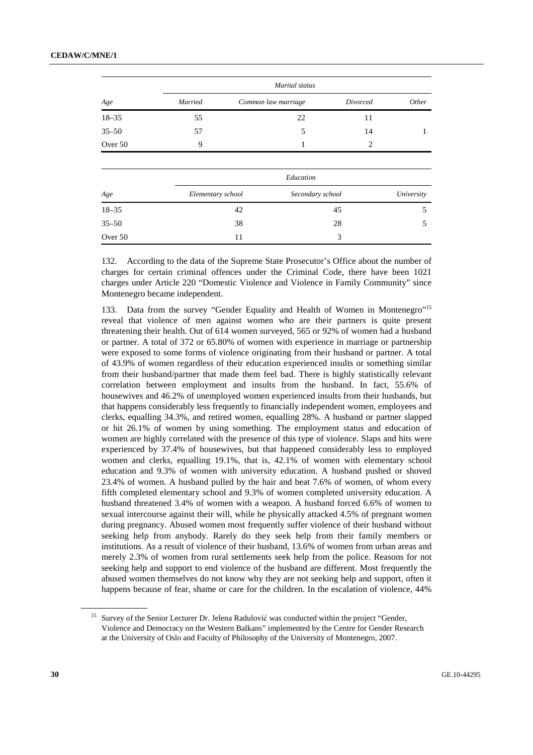|           | Marital status    |                     |                             |            |  |  |
|-----------|-------------------|---------------------|-----------------------------|------------|--|--|
| Age       | Married           | Common law marriage | Divorced                    | Other      |  |  |
| $18 - 35$ | 55                | 22                  | 11                          |            |  |  |
| $35 - 50$ | 57                | 5                   | 14                          |            |  |  |
| Over 50   | 9                 |                     | $\mathcal{D}_{\mathcal{L}}$ |            |  |  |
|           |                   |                     |                             |            |  |  |
|           |                   | Education           |                             |            |  |  |
| Age       | Elementary school | Secondary school    |                             | University |  |  |
| $18 - 35$ |                   | 42                  | 45                          | 5          |  |  |
| $35 - 50$ |                   | 38                  | 28                          | 5          |  |  |
| Over 50   |                   | 11                  | 3                           |            |  |  |

132. According to the data of the Supreme State Prosecutor's Office about the number of charges for certain criminal offences under the Criminal Code, there have been 1021 charges under Article 220 "Domestic Violence and Violence in Family Community" since Montenegro became independent.

133. Data from the survey "Gender Equality and Health of Women in Montenegro"15 reveal that violence of men against women who are their partners is quite present threatening their health. Out of 614 women surveyed, 565 or 92% of women had a husband or partner. A total of 372 or 65.80% of women with experience in marriage or partnership were exposed to some forms of violence originating from their husband or partner. A total of 43.9% of women regardless of their education experienced insults or something similar from their husband/partner that made them feel bad. There is highly statistically relevant correlation between employment and insults from the husband. In fact, 55.6% of housewives and 46.2% of unemployed women experienced insults from their husbands, but that happens considerably less frequently to financially independent women, employees and clerks, equalling 34.3%, and retired women, equalling 28%. A husband or partner slapped or hit 26.1% of women by using something. The employment status and education of women are highly correlated with the presence of this type of violence. Slaps and hits were experienced by 37.4% of housewives, but that happened considerably less to employed women and clerks, equalling 19.1%, that is, 42.1% of women with elementary school education and 9.3% of women with university education. A husband pushed or shoved 23.4% of women. A husband pulled by the hair and beat 7.6% of women, of whom every fifth completed elementary school and 9.3% of women completed university education. A husband threatened 3.4% of women with a weapon. A husband forced 6.6% of women to sexual intercourse against their will, while he physically attacked 4.5% of pregnant women during pregnancy. Abused women most frequently suffer violence of their husband without seeking help from anybody. Rarely do they seek help from their family members or institutions. As a result of violence of their husband, 13.6% of women from urban areas and merely 2.3% of women from rural settlements seek help from the police. Reasons for not seeking help and support to end violence of the husband are different. Most frequently the abused women themselves do not know why they are not seeking help and support, often it happens because of fear, shame or care for the children. In the escalation of violence, 44%

<sup>15</sup> Survey of the Senior Lecturer Dr. Jelena Radulović was conducted within the project "Gender, Violence and Democracy on the Western Balkans" implemented by the Centre for Gender Research at the University of Oslo and Faculty of Philosophy of the University of Montenegro, 2007.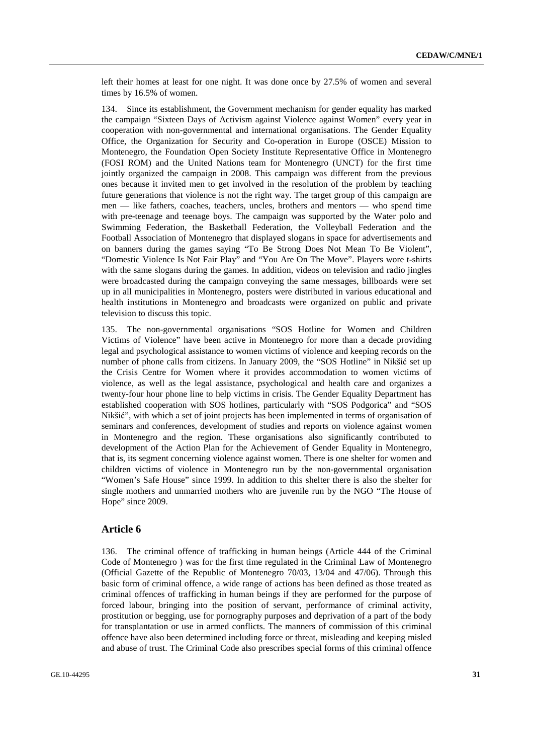left their homes at least for one night. It was done once by 27.5% of women and several times by 16.5% of women.

134. Since its establishment, the Government mechanism for gender equality has marked the campaign "Sixteen Days of Activism against Violence against Women" every year in cooperation with non-governmental and international organisations. The Gender Equality Office, the Organization for Security and Co-operation in Europe (OSCE) Mission to Montenegro, the Foundation Open Society Institute Representative Office in Montenegro (FOSI ROM) and the United Nations team for Montenegro (UNCT) for the first time jointly organized the campaign in 2008. This campaign was different from the previous ones because it invited men to get involved in the resolution of the problem by teaching future generations that violence is not the right way. The target group of this campaign are men — like fathers, coaches, teachers, uncles, brothers and mentors — who spend time with pre-teenage and teenage boys. The campaign was supported by the Water polo and Swimming Federation, the Basketball Federation, the Volleyball Federation and the Football Association of Montenegro that displayed slogans in space for advertisements and on banners during the games saying "To Be Strong Does Not Mean To Be Violent", "Domestic Violence Is Not Fair Play" and "You Are On The Move". Players wore t-shirts with the same slogans during the games. In addition, videos on television and radio jingles were broadcasted during the campaign conveying the same messages, billboards were set up in all municipalities in Montenegro, posters were distributed in various educational and health institutions in Montenegro and broadcasts were organized on public and private television to discuss this topic.

135. The non-governmental organisations "SOS Hotline for Women and Children Victims of Violence" have been active in Montenegro for more than a decade providing legal and psychological assistance to women victims of violence and keeping records on the number of phone calls from citizens. In January 2009, the "SOS Hotline" in Nikšić set up the Crisis Centre for Women where it provides accommodation to women victims of violence, as well as the legal assistance, psychological and health care and organizes a twenty-four hour phone line to help victims in crisis. The Gender Equality Department has established cooperation with SOS hotlines, particularly with "SOS Podgorica" and "SOS Nikšić", with which a set of joint projects has been implemented in terms of organisation of seminars and conferences, development of studies and reports on violence against women in Montenegro and the region. These organisations also significantly contributed to development of the Action Plan for the Achievement of Gender Equality in Montenegro, that is, its segment concerning violence against women. There is one shelter for women and children victims of violence in Montenegro run by the non-governmental organisation "Women's Safe House" since 1999. In addition to this shelter there is also the shelter for single mothers and unmarried mothers who are juvenile run by the NGO "The House of Hope" since 2009.

## **Article 6**

136. The criminal offence of trafficking in human beings (Article 444 of the Criminal Code of Montenegro ) was for the first time regulated in the Criminal Law of Montenegro (Official Gazette of the Republic of Montenegro 70/03, 13/04 and 47/06). Through this basic form of criminal offence, a wide range of actions has been defined as those treated as criminal offences of trafficking in human beings if they are performed for the purpose of forced labour, bringing into the position of servant, performance of criminal activity, prostitution or begging, use for pornography purposes and deprivation of a part of the body for transplantation or use in armed conflicts. The manners of commission of this criminal offence have also been determined including force or threat, misleading and keeping misled and abuse of trust. The Criminal Code also prescribes special forms of this criminal offence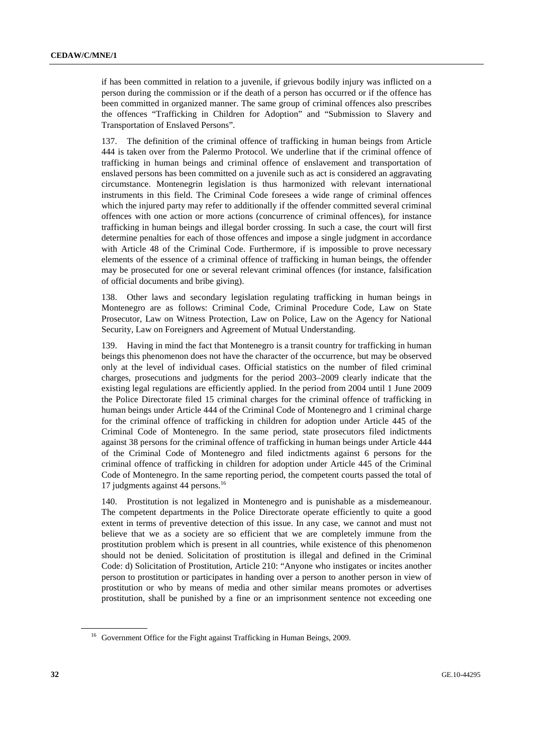if has been committed in relation to a juvenile, if grievous bodily injury was inflicted on a person during the commission or if the death of a person has occurred or if the offence has been committed in organized manner. The same group of criminal offences also prescribes the offences "Trafficking in Children for Adoption" and "Submission to Slavery and Transportation of Enslaved Persons".

137. The definition of the criminal offence of trafficking in human beings from Article 444 is taken over from the Palermo Protocol. We underline that if the criminal offence of trafficking in human beings and criminal offence of enslavement and transportation of enslaved persons has been committed on a juvenile such as act is considered an aggravating circumstance. Montenegrin legislation is thus harmonized with relevant international instruments in this field. The Criminal Code foresees a wide range of criminal offences which the injured party may refer to additionally if the offender committed several criminal offences with one action or more actions (concurrence of criminal offences), for instance trafficking in human beings and illegal border crossing. In such a case, the court will first determine penalties for each of those offences and impose a single judgment in accordance with Article 48 of the Criminal Code. Furthermore, if is impossible to prove necessary elements of the essence of a criminal offence of trafficking in human beings, the offender may be prosecuted for one or several relevant criminal offences (for instance, falsification of official documents and bribe giving).

138. Other laws and secondary legislation regulating trafficking in human beings in Montenegro are as follows: Criminal Code, Criminal Procedure Code, Law on State Prosecutor, Law on Witness Protection, Law on Police, Law on the Agency for National Security, Law on Foreigners and Agreement of Mutual Understanding.

139. Having in mind the fact that Montenegro is a transit country for trafficking in human beings this phenomenon does not have the character of the occurrence, but may be observed only at the level of individual cases. Official statistics on the number of filed criminal charges, prosecutions and judgments for the period 2003–2009 clearly indicate that the existing legal regulations are efficiently applied. In the period from 2004 until 1 June 2009 the Police Directorate filed 15 criminal charges for the criminal offence of trafficking in human beings under Article 444 of the Criminal Code of Montenegro and 1 criminal charge for the criminal offence of trafficking in children for adoption under Article 445 of the Criminal Code of Montenegro. In the same period, state prosecutors filed indictments against 38 persons for the criminal offence of trafficking in human beings under Article 444 of the Criminal Code of Montenegro and filed indictments against 6 persons for the criminal offence of trafficking in children for adoption under Article 445 of the Criminal Code of Montenegro. In the same reporting period, the competent courts passed the total of 17 judgments against 44 persons.<sup>16</sup>

140. Prostitution is not legalized in Montenegro and is punishable as a misdemeanour. The competent departments in the Police Directorate operate efficiently to quite a good extent in terms of preventive detection of this issue. In any case, we cannot and must not believe that we as a society are so efficient that we are completely immune from the prostitution problem which is present in all countries, while existence of this phenomenon should not be denied. Solicitation of prostitution is illegal and defined in the Criminal Code: d) Solicitation of Prostitution, Article 210: "Anyone who instigates or incites another person to prostitution or participates in handing over a person to another person in view of prostitution or who by means of media and other similar means promotes or advertises prostitution, shall be punished by a fine or an imprisonment sentence not exceeding one

<sup>&</sup>lt;sup>16</sup> Government Office for the Fight against Trafficking in Human Beings, 2009.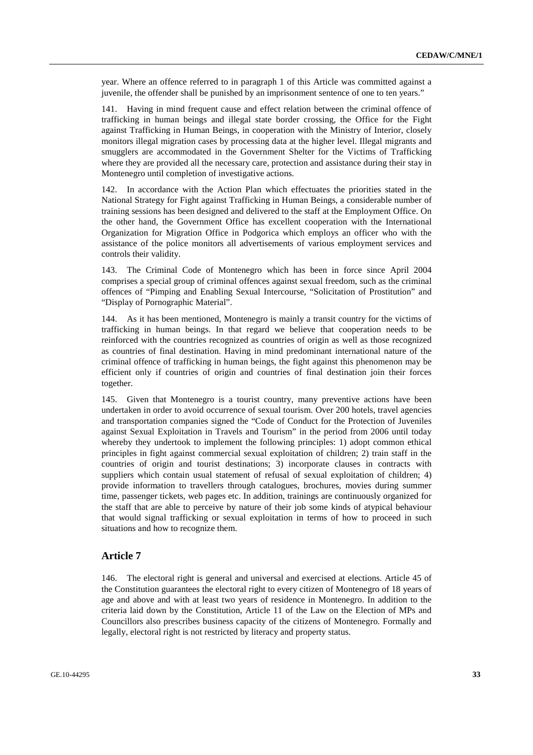year. Where an offence referred to in paragraph 1 of this Article was committed against a juvenile, the offender shall be punished by an imprisonment sentence of one to ten years."

141. Having in mind frequent cause and effect relation between the criminal offence of trafficking in human beings and illegal state border crossing, the Office for the Fight against Trafficking in Human Beings, in cooperation with the Ministry of Interior, closely monitors illegal migration cases by processing data at the higher level. Illegal migrants and smugglers are accommodated in the Government Shelter for the Victims of Trafficking where they are provided all the necessary care, protection and assistance during their stay in Montenegro until completion of investigative actions.

142. In accordance with the Action Plan which effectuates the priorities stated in the National Strategy for Fight against Trafficking in Human Beings, a considerable number of training sessions has been designed and delivered to the staff at the Employment Office. On the other hand, the Government Office has excellent cooperation with the International Organization for Migration Office in Podgorica which employs an officer who with the assistance of the police monitors all advertisements of various employment services and controls their validity.

143. The Criminal Code of Montenegro which has been in force since April 2004 comprises a special group of criminal offences against sexual freedom, such as the criminal offences of "Pimping and Enabling Sexual Intercourse, "Solicitation of Prostitution" and "Display of Pornographic Material".

144. As it has been mentioned, Montenegro is mainly a transit country for the victims of trafficking in human beings. In that regard we believe that cooperation needs to be reinforced with the countries recognized as countries of origin as well as those recognized as countries of final destination. Having in mind predominant international nature of the criminal offence of trafficking in human beings, the fight against this phenomenon may be efficient only if countries of origin and countries of final destination join their forces together.

145. Given that Montenegro is a tourist country, many preventive actions have been undertaken in order to avoid occurrence of sexual tourism. Over 200 hotels, travel agencies and transportation companies signed the "Code of Conduct for the Protection of Juveniles against Sexual Exploitation in Travels and Tourism" in the period from 2006 until today whereby they undertook to implement the following principles: 1) adopt common ethical principles in fight against commercial sexual exploitation of children; 2) train staff in the countries of origin and tourist destinations; 3) incorporate clauses in contracts with suppliers which contain usual statement of refusal of sexual exploitation of children; 4) provide information to travellers through catalogues, brochures, movies during summer time, passenger tickets, web pages etc. In addition, trainings are continuously organized for the staff that are able to perceive by nature of their job some kinds of atypical behaviour that would signal trafficking or sexual exploitation in terms of how to proceed in such situations and how to recognize them.

### **Article 7**

146. The electoral right is general and universal and exercised at elections. Article 45 of the Constitution guarantees the electoral right to every citizen of Montenegro of 18 years of age and above and with at least two years of residence in Montenegro. In addition to the criteria laid down by the Constitution, Article 11 of the Law on the Election of MPs and Councillors also prescribes business capacity of the citizens of Montenegro. Formally and legally, electoral right is not restricted by literacy and property status.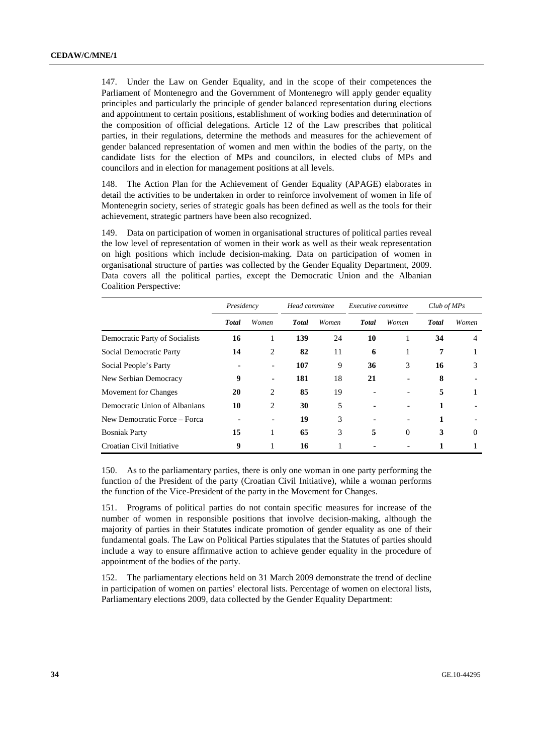147. Under the Law on Gender Equality, and in the scope of their competences the Parliament of Montenegro and the Government of Montenegro will apply gender equality principles and particularly the principle of gender balanced representation during elections and appointment to certain positions, establishment of working bodies and determination of the composition of official delegations. Article 12 of the Law prescribes that political parties, in their regulations, determine the methods and measures for the achievement of gender balanced representation of women and men within the bodies of the party, on the candidate lists for the election of MPs and councilors, in elected clubs of MPs and councilors and in election for management positions at all levels.

148. The Action Plan for the Achievement of Gender Equality (APAGE) elaborates in detail the activities to be undertaken in order to reinforce involvement of women in life of Montenegrin society, series of strategic goals has been defined as well as the tools for their achievement, strategic partners have been also recognized.

149. Data on participation of women in organisational structures of political parties reveal the low level of representation of women in their work as well as their weak representation on high positions which include decision-making. Data on participation of women in organisational structure of parties was collected by the Gender Equality Department, 2009. Data covers all the political parties, except the Democratic Union and the Albanian Coalition Perspective:

|                                | Presidency |                          | Head committee |       | Executive committee |                          | $Club$ of MPs |          |
|--------------------------------|------------|--------------------------|----------------|-------|---------------------|--------------------------|---------------|----------|
|                                | Total      | Women                    | <b>T</b> otal  | Women | <b>T</b> otal       | Women                    | <b>T</b> otal | Women    |
| Democratic Party of Socialists | 16         | 1                        | 139            | 24    | 10                  | 1                        | 34            | 4        |
| Social Democratic Party        | 14         | 2                        | 82             | 11    | 6                   | 1                        | 7             |          |
| Social People's Party          |            |                          | 107            | 9     | 36                  | 3                        | 16            | 3        |
| New Serbian Democracy          | 9          | $\overline{\phantom{0}}$ | 181            | 18    | 21                  | $\overline{\phantom{a}}$ | 8             |          |
| Movement for Changes           | 20         | 2                        | 85             | 19    |                     |                          | 5             | 1        |
| Democratic Union of Albanians  | 10         | 2                        | 30             | 5     |                     |                          |               |          |
| New Democratic Force – Forca   |            |                          | 19             | 3     |                     |                          |               |          |
| <b>Bosniak Party</b>           | 15         | 1                        | 65             | 3     | 5                   | $\theta$                 | 3             | $\Omega$ |
| Croatian Civil Initiative      | 9          |                          | 16             |       |                     |                          |               |          |

150. As to the parliamentary parties, there is only one woman in one party performing the function of the President of the party (Croatian Civil Initiative), while a woman performs the function of the Vice-President of the party in the Movement for Changes.

151. Programs of political parties do not contain specific measures for increase of the number of women in responsible positions that involve decision-making, although the majority of parties in their Statutes indicate promotion of gender equality as one of their fundamental goals. The Law on Political Parties stipulates that the Statutes of parties should include a way to ensure affirmative action to achieve gender equality in the procedure of appointment of the bodies of the party.

152. The parliamentary elections held on 31 March 2009 demonstrate the trend of decline in participation of women on parties' electoral lists. Percentage of women on electoral lists, Parliamentary elections 2009, data collected by the Gender Equality Department: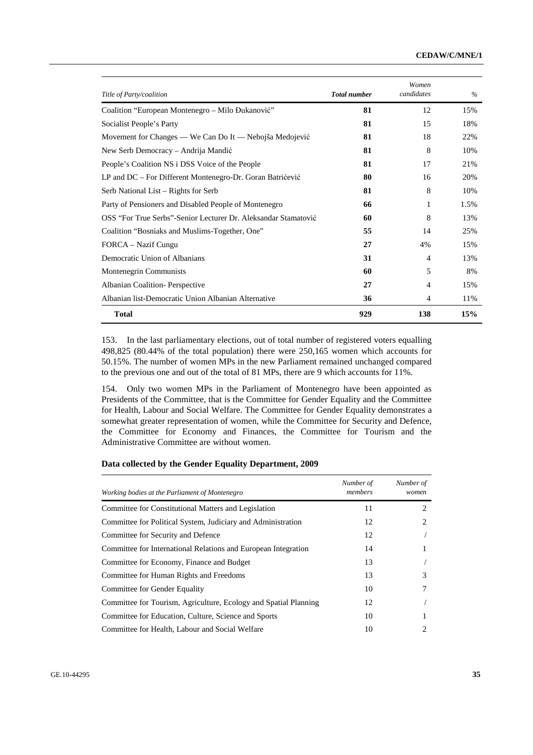| Title of Party/coalition                                       | <b>Total number</b> | Women<br>candidates | $\%$ |
|----------------------------------------------------------------|---------------------|---------------------|------|
| Coalition "European Montenegro – Milo Đukanović"               | 81                  | 12                  | 15%  |
| Socialist People's Party                                       | 81                  | 15                  | 18%  |
| Movement for Changes — We Can Do It — Nebojša Medojević        | 81                  | 18                  | 22%  |
| New Serb Democracy – Andrija Mandić                            | 81                  | 8                   | 10%  |
| People's Coalition NS i DSS Voice of the People                | 81                  | 17                  | 21%  |
| LP and DC - For Different Montenegro-Dr. Goran Batrićević      | 80                  | 16                  | 20%  |
| Serb National List – Rights for Serb                           | 81                  | 8                   | 10%  |
| Party of Pensioners and Disabled People of Montenegro          | 66                  | 1                   | 1.5% |
| OSS "For True Serbs"-Senior Lecturer Dr. Aleksandar Stamatović | 60                  | 8                   | 13%  |
| Coalition "Bosniaks and Muslims-Together, One"                 | 55                  | 14                  | 25%  |
| FORCA – Nazif Cungu                                            | 27                  | 4%                  | 15%  |
| Democratic Union of Albanians                                  | 31                  | $\overline{4}$      | 13%  |
| Montenegrin Communists                                         | 60                  | 5                   | 8%   |
| Albanian Coalition-Perspective                                 | 27                  | $\overline{4}$      | 15%  |
| Albanian list-Democratic Union Albanian Alternative            | 36                  | $\overline{4}$      | 11%  |
| <b>Total</b>                                                   | 929                 | 138                 | 15%  |

153. In the last parliamentary elections, out of total number of registered voters equalling 498,825 (80.44% of the total population) there were 250,165 women which accounts for 50.15%. The number of women MPs in the new Parliament remained unchanged compared to the previous one and out of the total of 81 MPs, there are 9 which accounts for 11%.

154. Only two women MPs in the Parliament of Montenegro have been appointed as Presidents of the Committee, that is the Committee for Gender Equality and the Committee for Health, Labour and Social Welfare. The Committee for Gender Equality demonstrates a somewhat greater representation of women, while the Committee for Security and Defence, the Committee for Economy and Finances, the Committee for Tourism and the Administrative Committee are without women.

### **Data collected by the Gender Equality Department, 2009**

| Working bodies at the Parliament of Montenegro                   | Number of<br>members | Number of<br>women |
|------------------------------------------------------------------|----------------------|--------------------|
| Committee for Constitutional Matters and Legislation             | 11                   | 2                  |
| Committee for Political System, Judiciary and Administration     | 12                   | 2                  |
| Committee for Security and Defence                               | 12                   |                    |
| Committee for International Relations and European Integration   | 14                   |                    |
| Committee for Economy, Finance and Budget                        | 13                   |                    |
| Committee for Human Rights and Freedoms                          | 13                   | 3                  |
| Committee for Gender Equality                                    | 10                   |                    |
| Committee for Tourism, Agriculture, Ecology and Spatial Planning | 12                   |                    |
| Committee for Education, Culture, Science and Sports             | 10                   |                    |
| Committee for Health, Labour and Social Welfare                  | 10                   |                    |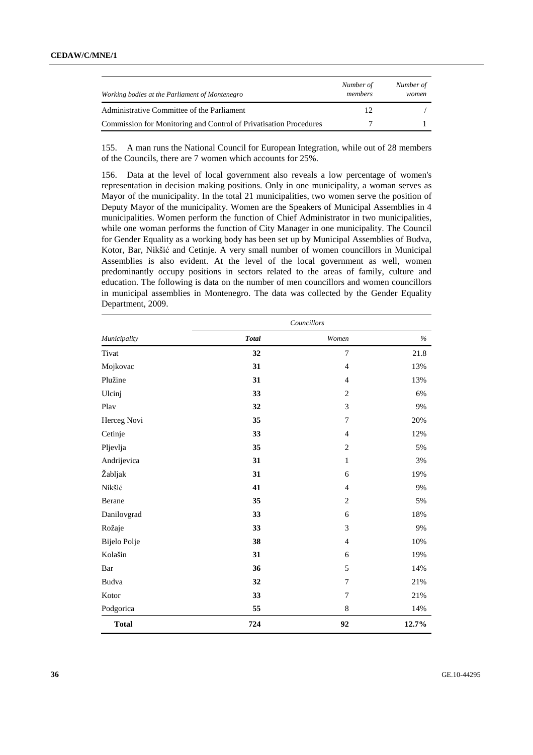| Working bodies at the Parliament of Montenegro                    | Number of<br>members | Number of<br>women |
|-------------------------------------------------------------------|----------------------|--------------------|
| Administrative Committee of the Parliament                        | 12                   |                    |
| Commission for Monitoring and Control of Privatisation Procedures |                      |                    |

155. A man runs the National Council for European Integration, while out of 28 members of the Councils, there are 7 women which accounts for 25%.

156. Data at the level of local government also reveals a low percentage of women's representation in decision making positions. Only in one municipality, a woman serves as Mayor of the municipality. In the total 21 municipalities, two women serve the position of Deputy Mayor of the municipality. Women are the Speakers of Municipal Assemblies in 4 municipalities. Women perform the function of Chief Administrator in two municipalities, while one woman performs the function of City Manager in one municipality. The Council for Gender Equality as a working body has been set up by Municipal Assemblies of Budva, Kotor, Bar, Nikšić and Cetinje. A very small number of women councillors in Municipal Assemblies is also evident. At the level of the local government as well, women predominantly occupy positions in sectors related to the areas of family, culture and education. The following is data on the number of men councillors and women councillors in municipal assemblies in Montenegro. The data was collected by the Gender Equality Department, 2009.

|              | Councillors  |                |               |
|--------------|--------------|----------------|---------------|
| Municipality | <b>Total</b> | Women          | $\frac{6}{6}$ |
| Tivat        | 32           | $\overline{7}$ | 21.8          |
| Mojkovac     | 31           | $\overline{4}$ | 13%           |
| Plužine      | 31           | $\overline{4}$ | 13%           |
| Ulcinj       | 33           | 2              | 6%            |
| Play         | 32           | 3              | 9%            |
| Herceg Novi  | 35           | 7              | 20%           |
| Cetinje      | 33           | $\overline{4}$ | 12%           |
| Pljevlja     | 35           | $\sqrt{2}$     | 5%            |
| Andrijevica  | 31           | $\mathbf{1}$   | 3%            |
| Žabljak      | 31           | 6              | 19%           |
| Nikšić       | 41           | $\overline{4}$ | 9%            |
| Berane       | 35           | $\overline{2}$ | 5%            |
| Danilovgrad  | 33           | 6              | 18%           |
| Rožaje       | 33           | 3              | 9%            |
| Bijelo Polje | 38           | $\overline{4}$ | $10\%$        |
| Kolašin      | 31           | 6              | 19%           |
| Bar          | 36           | 5              | 14%           |
| Budva        | 32           | $\overline{7}$ | 21%           |
| Kotor        | 33           | $\tau$         | 21%           |
| Podgorica    | 55           | $\,8\,$        | 14%           |
| <b>Total</b> | 724          | 92             | 12.7%         |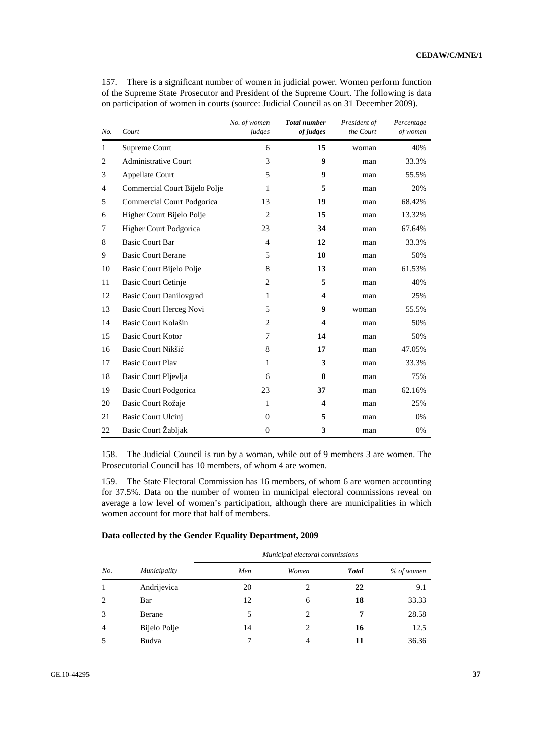| No.            | Court                          | No. of women<br>judges | <b>Total number</b><br>of judges | President of<br>the Court | Percentage<br>of women |
|----------------|--------------------------------|------------------------|----------------------------------|---------------------------|------------------------|
| $\mathbf{1}$   | Supreme Court                  | 6                      | 15                               | woman                     | 40%                    |
| 2              | <b>Administrative Court</b>    | 3                      | 9                                | man                       | 33.3%                  |
| 3              | Appellate Court                | 5                      | 9                                | man                       | 55.5%                  |
| $\overline{4}$ | Commercial Court Bijelo Polje  | 1                      | 5                                | man                       | 20%                    |
| 5              | Commercial Court Podgorica     | 13                     | 19                               | man                       | 68.42%                 |
| 6              | Higher Court Bijelo Polje      | $\overline{2}$         | 15                               | man                       | 13.32%                 |
| 7              | Higher Court Podgorica         | 23                     | 34                               | man                       | 67.64%                 |
| 8              | <b>Basic Court Bar</b>         | $\overline{4}$         | 12                               | man                       | 33.3%                  |
| 9              | <b>Basic Court Berane</b>      | 5                      | 10                               | man                       | 50%                    |
| 10             | Basic Court Bijelo Polje       | 8                      | 13                               | man                       | 61.53%                 |
| 11             | Basic Court Cetinje            | $\overline{c}$         | 5                                | man                       | 40%                    |
| 12             | <b>Basic Court Danilovgrad</b> | 1                      | $\overline{\mathbf{4}}$          | man                       | 25%                    |
| 13             | Basic Court Herceg Novi        | 5                      | $\boldsymbol{9}$                 | woman                     | 55.5%                  |
| 14             | Basic Court Kolašin            | $\overline{2}$         | $\overline{\mathbf{4}}$          | man                       | 50%                    |
| 15             | <b>Basic Court Kotor</b>       | 7                      | 14                               | man                       | 50%                    |
| 16             | Basic Court Nikšić             | 8                      | 17                               | man                       | 47.05%                 |
| 17             | <b>Basic Court Play</b>        | 1                      | 3                                | man                       | 33.3%                  |
| 18             | Basic Court Pljevlja           | 6                      | 8                                | man                       | 75%                    |
| 19             | Basic Court Podgorica          | 23                     | 37                               | man                       | 62.16%                 |
| 20             | Basic Court Rožaje             | 1                      | $\overline{\mathbf{4}}$          | man                       | 25%                    |
| 21             | Basic Court Ulcinj             | $\Omega$               | 5                                | man                       | 0%                     |
| 22             | Basic Court Žabljak            | $\Omega$               | 3                                | man                       | 0%                     |

157. There is a significant number of women in judicial power. Women perform function of the Supreme State Prosecutor and President of the Supreme Court. The following is data on participation of women in courts (source: Judicial Council as on 31 December 2009).

158. The Judicial Council is run by a woman, while out of 9 members 3 are women. The Prosecutorial Council has 10 members, of whom 4 are women.

159. The State Electoral Commission has 16 members, of whom 6 are women accounting for 37.5%. Data on the number of women in municipal electoral commissions reveal on average a low level of women's participation, although there are municipalities in which women account for more that half of members.

|                |              | Municipal electoral commissions |                               |              |            |
|----------------|--------------|---------------------------------|-------------------------------|--------------|------------|
| No.            | Municipality | Men                             | Women                         | <b>Total</b> | % of women |
|                | Andrijevica  | 20                              | $\mathcal{D}_{\mathcal{L}}$   | 22           | 9.1        |
| 2              | Bar          | 12                              | 6                             | 18           | 33.33      |
| 3              | Berane       | 5                               | $\mathfrak{D}_{\mathfrak{p}}$ | 7            | 28.58      |
| $\overline{4}$ | Bijelo Polje | 14                              | 2                             | 16           | 12.5       |
|                | Budva        |                                 | $\overline{4}$                | 11           | 36.36      |

 **Data collected by the Gender Equality Department, 2009**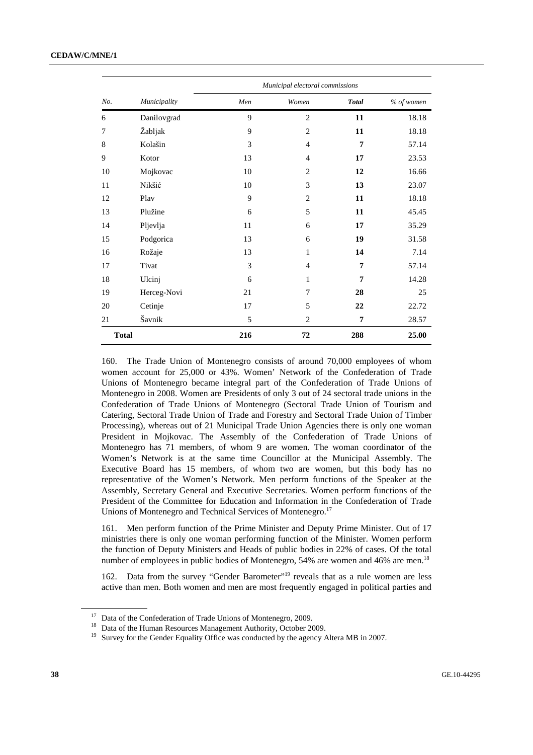#### **CEDAW/C/MNE/1**

|              |              |     | Municipal electoral commissions |              |            |
|--------------|--------------|-----|---------------------------------|--------------|------------|
| No.          | Municipality | Men | Women                           | <b>Total</b> | % of women |
| 6            | Danilovgrad  | 9   | $\mathbf{2}$                    | 11           | 18.18      |
| 7            | Žabljak      | 9   | $\mathbf{2}$                    | 11           | 18.18      |
| 8            | Kolašin      | 3   | 4                               | 7            | 57.14      |
| 9            | Kotor        | 13  | 4                               | 17           | 23.53      |
| 10           | Mojkovac     | 10  | $\overline{2}$                  | 12           | 16.66      |
| 11           | Nikšić       | 10  | 3                               | 13           | 23.07      |
| 12           | Play         | 9   | $\overline{2}$                  | 11           | 18.18      |
| 13           | Plužine      | 6   | 5                               | 11           | 45.45      |
| 14           | Pljevlja     | 11  | 6                               | 17           | 35.29      |
| 15           | Podgorica    | 13  | 6                               | 19           | 31.58      |
| 16           | Rožaje       | 13  | 1                               | 14           | 7.14       |
| 17           | Tivat        | 3   | $\overline{4}$                  | 7            | 57.14      |
| 18           | Ulcinj       | 6   | 1                               | 7            | 14.28      |
| 19           | Herceg-Novi  | 21  | 7                               | 28           | 25         |
| 20           | Cetinje      | 17  | 5                               | 22           | 22.72      |
| 21           | Šavnik       | 5   | $\overline{2}$                  | 7            | 28.57      |
| <b>Total</b> |              | 216 | 72                              | 288          | 25.00      |

160. The Trade Union of Montenegro consists of around 70,000 employees of whom women account for 25,000 or 43%. Women' Network of the Confederation of Trade Unions of Montenegro became integral part of the Confederation of Trade Unions of Montenegro in 2008. Women are Presidents of only 3 out of 24 sectoral trade unions in the Confederation of Trade Unions of Montenegro (Sectoral Trade Union of Tourism and Catering, Sectoral Trade Union of Trade and Forestry and Sectoral Trade Union of Timber Processing), whereas out of 21 Municipal Trade Union Agencies there is only one woman President in Mojkovac. The Assembly of the Confederation of Trade Unions of Montenegro has 71 members, of whom 9 are women. The woman coordinator of the Women's Network is at the same time Councillor at the Municipal Assembly. The Executive Board has 15 members, of whom two are women, but this body has no representative of the Women's Network. Men perform functions of the Speaker at the Assembly, Secretary General and Executive Secretaries. Women perform functions of the President of the Committee for Education and Information in the Confederation of Trade Unions of Montenegro and Technical Services of Montenegro.<sup>17</sup>

161. Men perform function of the Prime Minister and Deputy Prime Minister. Out of 17 ministries there is only one woman performing function of the Minister. Women perform the function of Deputy Ministers and Heads of public bodies in 22% of cases. Of the total number of employees in public bodies of Montenegro, 54% are women and 46% are men.<sup>18</sup>

162. Data from the survey "Gender Barometer"<sup>19</sup> reveals that as a rule women are less active than men. Both women and men are most frequently engaged in political parties and

<sup>&</sup>lt;sup>17</sup> Data of the Confederation of Trade Unions of Montenegro, 2009.

<sup>&</sup>lt;sup>18</sup> Data of the Human Resources Management Authority, October 2009.

<sup>&</sup>lt;sup>19</sup> Survey for the Gender Equality Office was conducted by the agency Altera MB in 2007.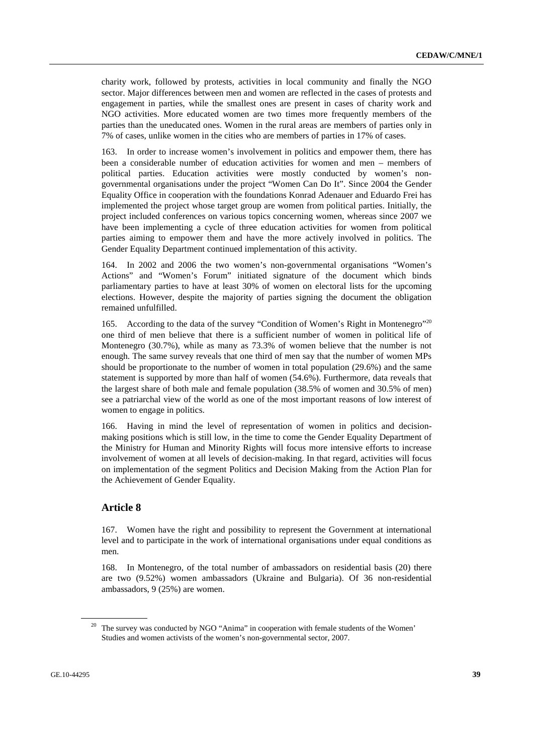charity work, followed by protests, activities in local community and finally the NGO sector. Major differences between men and women are reflected in the cases of protests and engagement in parties, while the smallest ones are present in cases of charity work and NGO activities. More educated women are two times more frequently members of the parties than the uneducated ones. Women in the rural areas are members of parties only in 7% of cases, unlike women in the cities who are members of parties in 17% of cases.

163. In order to increase women's involvement in politics and empower them, there has been a considerable number of education activities for women and men – members of political parties. Education activities were mostly conducted by women's nongovernmental organisations under the project "Women Can Do It". Since 2004 the Gender Equality Office in cooperation with the foundations Konrad Adenauer and Eduardo Frei has implemented the project whose target group are women from political parties. Initially, the project included conferences on various topics concerning women, whereas since 2007 we have been implementing a cycle of three education activities for women from political parties aiming to empower them and have the more actively involved in politics. The Gender Equality Department continued implementation of this activity.

164. In 2002 and 2006 the two women's non-governmental organisations "Women's Actions" and "Women's Forum" initiated signature of the document which binds parliamentary parties to have at least 30% of women on electoral lists for the upcoming elections. However, despite the majority of parties signing the document the obligation remained unfulfilled.

165. According to the data of the survey "Condition of Women's Right in Montenegro"<sup>20</sup> one third of men believe that there is a sufficient number of women in political life of Montenegro (30.7%), while as many as 73.3% of women believe that the number is not enough. The same survey reveals that one third of men say that the number of women MPs should be proportionate to the number of women in total population (29.6%) and the same statement is supported by more than half of women (54.6%). Furthermore, data reveals that the largest share of both male and female population (38.5% of women and 30.5% of men) see a patriarchal view of the world as one of the most important reasons of low interest of women to engage in politics.

166. Having in mind the level of representation of women in politics and decisionmaking positions which is still low, in the time to come the Gender Equality Department of the Ministry for Human and Minority Rights will focus more intensive efforts to increase involvement of women at all levels of decision-making. In that regard, activities will focus on implementation of the segment Politics and Decision Making from the Action Plan for the Achievement of Gender Equality.

# **Article 8**

167. Women have the right and possibility to represent the Government at international level and to participate in the work of international organisations under equal conditions as men.

168. In Montenegro, of the total number of ambassadors on residential basis (20) there are two (9.52%) women ambassadors (Ukraine and Bulgaria). Of 36 non-residential ambassadors, 9 (25%) are women.

<sup>&</sup>lt;sup>20</sup> The survey was conducted by NGO "Anima" in cooperation with female students of the Women' Studies and women activists of the women's non-governmental sector, 2007.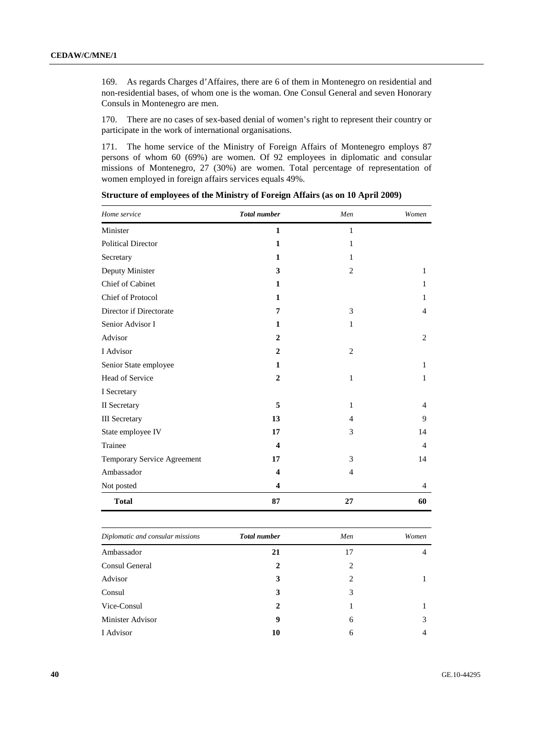169. As regards Charges d'Affaires, there are 6 of them in Montenegro on residential and non-residential bases, of whom one is the woman. One Consul General and seven Honorary Consuls in Montenegro are men.

170. There are no cases of sex-based denial of women's right to represent their country or participate in the work of international organisations.

171. The home service of the Ministry of Foreign Affairs of Montenegro employs 87 persons of whom 60 (69%) are women. Of 92 employees in diplomatic and consular missions of Montenegro, 27 (30%) are women. Total percentage of representation of women employed in foreign affairs services equals 49%.

| Home service                | <b>Total</b> number | Men            | Women          |
|-----------------------------|---------------------|----------------|----------------|
| Minister                    | $\mathbf{1}$        | $\mathbf{1}$   |                |
| <b>Political Director</b>   | $\mathbf{1}$        | $\mathbf{1}$   |                |
| Secretary                   | 1                   | 1              |                |
| Deputy Minister             | 3                   | $\overline{2}$ | $\mathbf{1}$   |
| Chief of Cabinet            | $\mathbf{1}$        |                | 1              |
| Chief of Protocol           | $\mathbf{1}$        |                | $\mathbf{1}$   |
| Director if Directorate     | 7                   | 3              | 4              |
| Senior Advisor I            | 1                   | 1              |                |
| Advisor                     | $\overline{2}$      |                | $\overline{2}$ |
| I Advisor                   | $\mathbf{2}$        | $\overline{c}$ |                |
| Senior State employee       | 1                   |                | $\mathbf{1}$   |
| Head of Service             | $\overline{2}$      | 1              | $\mathbf{1}$   |
| I Secretary                 |                     |                |                |
| II Secretary                | 5                   | $\mathbf{1}$   | $\overline{4}$ |
| <b>III</b> Secretary        | 13                  | $\overline{4}$ | 9              |
| State employee IV           | 17                  | 3              | 14             |
| Trainee                     | 4                   |                | 4              |
| Temporary Service Agreement | 17                  | 3              | 14             |
| Ambassador                  | 4                   | 4              |                |
| Not posted                  | 4                   |                | 4              |
| <b>Total</b>                | 87                  | 27             | 60             |

**Structure of employees of the Ministry of Foreign Affairs (as on 10 April 2009)** 

| Diplomatic and consular missions | <b>Total number</b> | Men | Women |
|----------------------------------|---------------------|-----|-------|
| Ambassador                       | 21                  | 17  | 4     |
| Consul General                   | 2                   | 2   |       |
| Advisor                          | 3                   | 2   |       |
| Consul                           | 3                   | 3   |       |
| Vice-Consul                      | 2                   |     |       |
| Minister Advisor                 | 9                   | 6   | 3     |
| I Advisor                        | 10                  | 6   | 4     |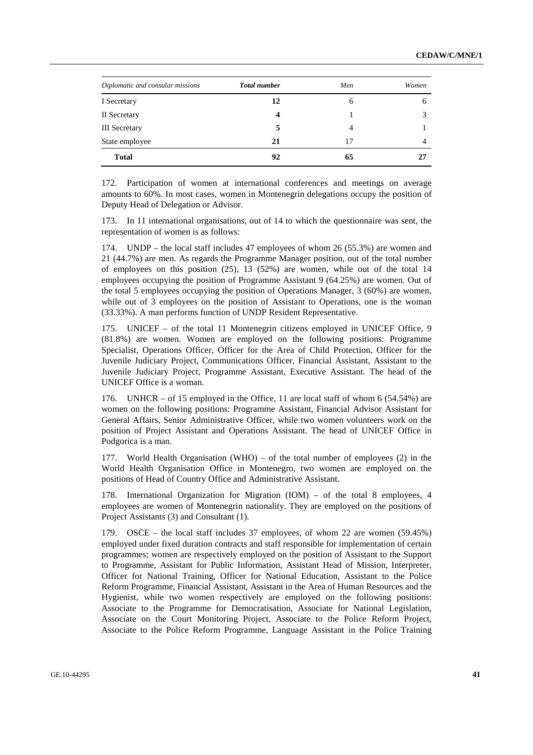| Diplomatic and consular missions | <b>Total number</b> | Men | Women |
|----------------------------------|---------------------|-----|-------|
| I Secretary                      | 12                  | 6   | 6     |
| II Secretary                     | 4                   |     |       |
| <b>III</b> Secretary             | 5                   | 4   |       |
| State employee                   | 21                  | 17  | 4     |
| <b>Total</b>                     | 92                  | 65  |       |

172. Participation of women at international conferences and meetings on average amounts to 60%. In most cases, women in Montenegrin delegations occupy the position of Deputy Head of Delegation or Advisor.

173. In 11 international organisations, out of 14 to which the questionnaire was sent, the representation of women is as follows:

174. UNDP – the local staff includes 47 employees of whom 26 (55.3%) are women and 21 (44.7%) are men. As regards the Programme Manager position, out of the total number of employees on this position (25), 13 (52%) are women, while out of the total 14 employees occupying the position of Programme Assistant 9 (64.25%) are women. Out of the total 5 employees occupying the position of Operations Manager, 3 (60%) are women, while out of 3 employees on the position of Assistant to Operations, one is the woman (33.33%). A man performs function of UNDP Resident Representative.

175. UNICEF – of the total 11 Montenegrin citizens employed in UNICEF Office, 9 (81.8%) are women. Women are employed on the following positions: Programme Specialist, Operations Officer, Officer for the Area of Child Protection, Officer for the Juvenile Judiciary Project, Communications Officer, Financial Assistant, Assistant to the Juvenile Judiciary Project, Programme Assistant, Executive Assistant. The head of the UNICEF Office is a woman.

176. UNHCR – of 15 employed in the Office, 11 are local staff of whom  $6$  (54.54%) are women on the following positions: Programme Assistant, Financial Advisor Assistant for General Affairs, Senior Administrative Officer, while two women volunteers work on the position of Project Assistant and Operations Assistant. The head of UNICEF Office in Podgorica is a man.

177. World Health Organisation (WHO) – of the total number of employees (2) in the World Health Organisation Office in Montenegro, two women are employed on the positions of Head of Country Office and Administrative Assistant.

178. International Organization for Migration (IOM) – of the total 8 employees, 4 employees are women of Montenegrin nationality. They are employed on the positions of Project Assistants (3) and Consultant (1).

179. OSCE – the local staff includes 37 employees, of whom 22 are women (59.45%) employed under fixed duration contracts and staff responsible for implementation of certain programmes; women are respectively employed on the position of Assistant to the Support to Programme, Assistant for Public Information, Assistant Head of Mission, Interpreter, Officer for National Training, Officer for National Education, Assistant to the Police Reform Programme, Financial Assistant, Assistant in the Area of Human Resources and the Hygienist, while two women respectively are employed on the following positions: Associate to the Programme for Democratisation, Associate for National Legislation, Associate on the Court Monitoring Project, Associate to the Police Reform Project, Associate to the Police Reform Programme, Language Assistant in the Police Training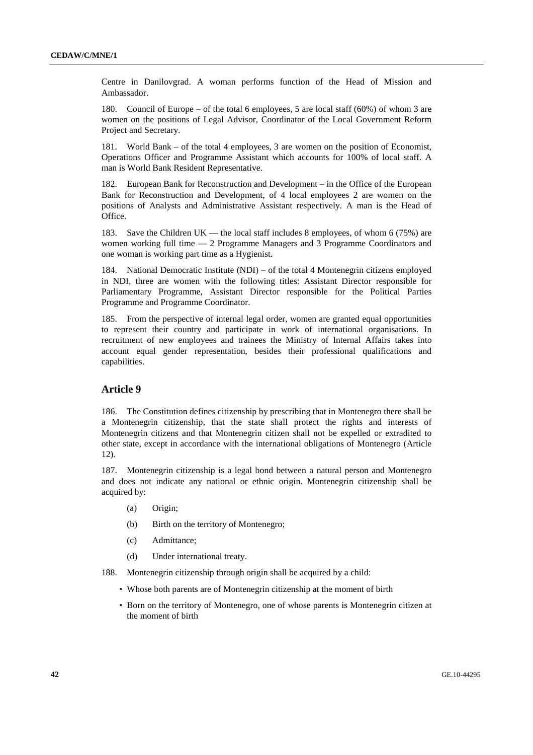Centre in Danilovgrad. A woman performs function of the Head of Mission and Ambassador.

180. Council of Europe – of the total 6 employees, 5 are local staff (60%) of whom 3 are women on the positions of Legal Advisor, Coordinator of the Local Government Reform Project and Secretary.

181. World Bank – of the total 4 employees, 3 are women on the position of Economist, Operations Officer and Programme Assistant which accounts for 100% of local staff. A man is World Bank Resident Representative.

182. European Bank for Reconstruction and Development – in the Office of the European Bank for Reconstruction and Development, of 4 local employees 2 are women on the positions of Analysts and Administrative Assistant respectively. A man is the Head of Office.

183. Save the Children UK — the local staff includes 8 employees, of whom 6 (75%) are women working full time — 2 Programme Managers and 3 Programme Coordinators and one woman is working part time as a Hygienist.

184. National Democratic Institute (NDI) – of the total 4 Montenegrin citizens employed in NDI, three are women with the following titles: Assistant Director responsible for Parliamentary Programme, Assistant Director responsible for the Political Parties Programme and Programme Coordinator.

185. From the perspective of internal legal order, women are granted equal opportunities to represent their country and participate in work of international organisations. In recruitment of new employees and trainees the Ministry of Internal Affairs takes into account equal gender representation, besides their professional qualifications and capabilities.

## **Article 9**

186. The Constitution defines citizenship by prescribing that in Montenegro there shall be a Montenegrin citizenship, that the state shall protect the rights and interests of Montenegrin citizens and that Montenegrin citizen shall not be expelled or extradited to other state, except in accordance with the international obligations of Montenegro (Article 12).

187. Montenegrin citizenship is a legal bond between a natural person and Montenegro and does not indicate any national or ethnic origin. Montenegrin citizenship shall be acquired by:

- (a) Origin;
- (b) Birth on the territory of Montenegro;
- (c) Admittance;
- (d) Under international treaty.
- 188. Montenegrin citizenship through origin shall be acquired by a child:
	- Whose both parents are of Montenegrin citizenship at the moment of birth
	- Born on the territory of Montenegro, one of whose parents is Montenegrin citizen at the moment of birth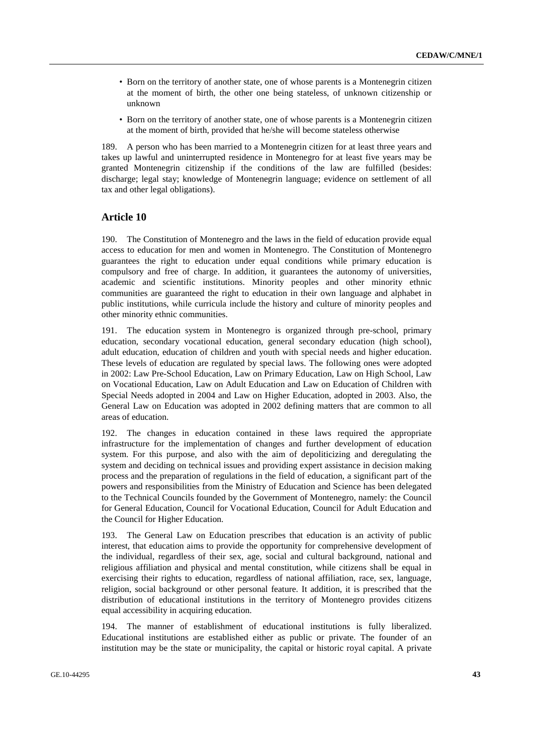- Born on the territory of another state, one of whose parents is a Montenegrin citizen at the moment of birth, the other one being stateless, of unknown citizenship or unknown
- Born on the territory of another state, one of whose parents is a Montenegrin citizen at the moment of birth, provided that he/she will become stateless otherwise

189. A person who has been married to a Montenegrin citizen for at least three years and takes up lawful and uninterrupted residence in Montenegro for at least five years may be granted Montenegrin citizenship if the conditions of the law are fulfilled (besides: discharge; legal stay; knowledge of Montenegrin language; evidence on settlement of all tax and other legal obligations).

## **Article 10**

190. The Constitution of Montenegro and the laws in the field of education provide equal access to education for men and women in Montenegro. The Constitution of Montenegro guarantees the right to education under equal conditions while primary education is compulsory and free of charge. In addition, it guarantees the autonomy of universities, academic and scientific institutions. Minority peoples and other minority ethnic communities are guaranteed the right to education in their own language and alphabet in public institutions, while curricula include the history and culture of minority peoples and other minority ethnic communities.

191. The education system in Montenegro is organized through pre-school, primary education, secondary vocational education, general secondary education (high school), adult education, education of children and youth with special needs and higher education. These levels of education are regulated by special laws. The following ones were adopted in 2002: Law Pre-School Education, Law on Primary Education, Law on High School, Law on Vocational Education, Law on Adult Education and Law on Education of Children with Special Needs adopted in 2004 and Law on Higher Education, adopted in 2003. Also, the General Law on Education was adopted in 2002 defining matters that are common to all areas of education.

192. The changes in education contained in these laws required the appropriate infrastructure for the implementation of changes and further development of education system. For this purpose, and also with the aim of depoliticizing and deregulating the system and deciding on technical issues and providing expert assistance in decision making process and the preparation of regulations in the field of education, a significant part of the powers and responsibilities from the Ministry of Education and Science has been delegated to the Technical Councils founded by the Government of Montenegro, namely: the Council for General Education, Council for Vocational Education, Council for Adult Education and the Council for Higher Education.

193. The General Law on Education prescribes that education is an activity of public interest, that education aims to provide the opportunity for comprehensive development of the individual, regardless of their sex, age, social and cultural background, national and religious affiliation and physical and mental constitution, while citizens shall be equal in exercising their rights to education, regardless of national affiliation, race, sex, language, religion, social background or other personal feature. It addition, it is prescribed that the distribution of educational institutions in the territory of Montenegro provides citizens equal accessibility in acquiring education.

194. The manner of establishment of educational institutions is fully liberalized. Educational institutions are established either as public or private. The founder of an institution may be the state or municipality, the capital or historic royal capital. A private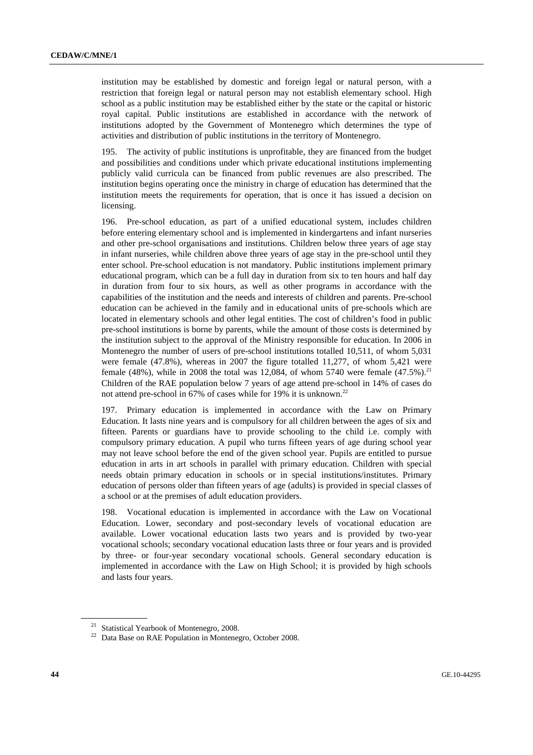institution may be established by domestic and foreign legal or natural person, with a restriction that foreign legal or natural person may not establish elementary school. High school as a public institution may be established either by the state or the capital or historic royal capital. Public institutions are established in accordance with the network of institutions adopted by the Government of Montenegro which determines the type of activities and distribution of public institutions in the territory of Montenegro.

195. The activity of public institutions is unprofitable, they are financed from the budget and possibilities and conditions under which private educational institutions implementing publicly valid curricula can be financed from public revenues are also prescribed. The institution begins operating once the ministry in charge of education has determined that the institution meets the requirements for operation, that is once it has issued a decision on licensing.

196. Pre-school education, as part of a unified educational system, includes children before entering elementary school and is implemented in kindergartens and infant nurseries and other pre-school organisations and institutions. Children below three years of age stay in infant nurseries, while children above three years of age stay in the pre-school until they enter school. Pre-school education is not mandatory. Public institutions implement primary educational program, which can be a full day in duration from six to ten hours and half day in duration from four to six hours, as well as other programs in accordance with the capabilities of the institution and the needs and interests of children and parents. Pre-school education can be achieved in the family and in educational units of pre-schools which are located in elementary schools and other legal entities. The cost of children's food in public pre-school institutions is borne by parents, while the amount of those costs is determined by the institution subject to the approval of the Ministry responsible for education. In 2006 in Montenegro the number of users of pre-school institutions totalled 10,511, of whom 5,031 were female (47.8%), whereas in 2007 the figure totalled 11,277, of whom 5,421 were female (48%), while in 2008 the total was 12,084, of whom 5740 were female (47.5%).<sup>21</sup> Children of the RAE population below 7 years of age attend pre-school in 14% of cases do not attend pre-school in 67% of cases while for 19% it is unknown.<sup>22</sup>

197. Primary education is implemented in accordance with the Law on Primary Education. It lasts nine years and is compulsory for all children between the ages of six and fifteen. Parents or guardians have to provide schooling to the child i.e. comply with compulsory primary education. A pupil who turns fifteen years of age during school year may not leave school before the end of the given school year. Pupils are entitled to pursue education in arts in art schools in parallel with primary education. Children with special needs obtain primary education in schools or in special institutions/institutes. Primary education of persons older than fifteen years of age (adults) is provided in special classes of a school or at the premises of adult education providers.

Vocational education is implemented in accordance with the Law on Vocational Education. Lower, secondary and post-secondary levels of vocational education are available. Lower vocational education lasts two years and is provided by two-year vocational schools; secondary vocational education lasts three or four years and is provided by three- or four-year secondary vocational schools. General secondary education is implemented in accordance with the Law on High School; it is provided by high schools and lasts four years.

<sup>&</sup>lt;sup>21</sup> Statistical Yearbook of Montenegro, 2008.

<sup>&</sup>lt;sup>22</sup> Data Base on RAE Population in Montenegro, October 2008.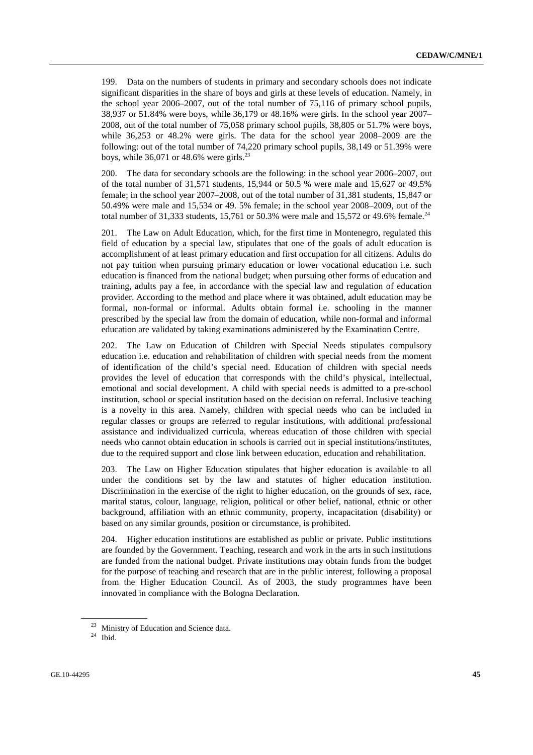199. Data on the numbers of students in primary and secondary schools does not indicate significant disparities in the share of boys and girls at these levels of education. Namely, in the school year 2006–2007, out of the total number of 75,116 of primary school pupils, 38,937 or 51.84% were boys, while 36,179 or 48.16% were girls. In the school year 2007– 2008, out of the total number of 75,058 primary school pupils, 38,805 or 51.7% were boys, while 36,253 or 48.2% were girls. The data for the school year 2008–2009 are the following: out of the total number of 74,220 primary school pupils, 38,149 or 51.39% were boys, while  $36,071$  or  $48.6\%$  were girls.<sup>23</sup>

200. The data for secondary schools are the following: in the school year 2006–2007, out of the total number of 31,571 students, 15,944 or 50.5 % were male and 15,627 or 49.5% female; in the school year 2007–2008, out of the total number of 31,381 students, 15,847 or 50.49% were male and 15,534 or 49. 5% female; in the school year 2008–2009, out of the total number of 31,333 students, 15,761 or 50.3% were male and 15,572 or 49.6% female.<sup>24</sup>

201. The Law on Adult Education, which, for the first time in Montenegro, regulated this field of education by a special law, stipulates that one of the goals of adult education is accomplishment of at least primary education and first occupation for all citizens. Adults do not pay tuition when pursuing primary education or lower vocational education i.e. such education is financed from the national budget; when pursuing other forms of education and training, adults pay a fee, in accordance with the special law and regulation of education provider. According to the method and place where it was obtained, adult education may be formal, non-formal or informal. Adults obtain formal i.e. schooling in the manner prescribed by the special law from the domain of education, while non-formal and informal education are validated by taking examinations administered by the Examination Centre.

202. The Law on Education of Children with Special Needs stipulates compulsory education i.e. education and rehabilitation of children with special needs from the moment of identification of the child's special need. Education of children with special needs provides the level of education that corresponds with the child's physical, intellectual, emotional and social development. A child with special needs is admitted to a pre-school institution, school or special institution based on the decision on referral. Inclusive teaching is a novelty in this area. Namely, children with special needs who can be included in regular classes or groups are referred to regular institutions, with additional professional assistance and individualized curricula, whereas education of those children with special needs who cannot obtain education in schools is carried out in special institutions/institutes, due to the required support and close link between education, education and rehabilitation.

203. The Law on Higher Education stipulates that higher education is available to all under the conditions set by the law and statutes of higher education institution. Discrimination in the exercise of the right to higher education, on the grounds of sex, race, marital status, colour, language, religion, political or other belief, national, ethnic or other background, affiliation with an ethnic community, property, incapacitation (disability) or based on any similar grounds, position or circumstance, is prohibited.

204. Higher education institutions are established as public or private. Public institutions are founded by the Government. Teaching, research and work in the arts in such institutions are funded from the national budget. Private institutions may obtain funds from the budget for the purpose of teaching and research that are in the public interest, following a proposal from the Higher Education Council. As of 2003, the study programmes have been innovated in compliance with the Bologna Declaration.

<sup>&</sup>lt;sup>23</sup> Ministry of Education and Science data.

 $24$  Ibid.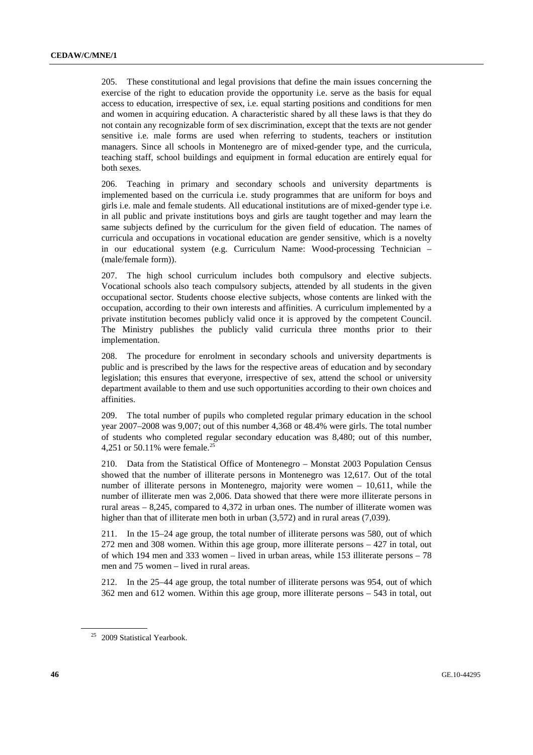205. These constitutional and legal provisions that define the main issues concerning the exercise of the right to education provide the opportunity i.e. serve as the basis for equal access to education, irrespective of sex, i.e. equal starting positions and conditions for men and women in acquiring education. A characteristic shared by all these laws is that they do not contain any recognizable form of sex discrimination, except that the texts are not gender sensitive i.e. male forms are used when referring to students, teachers or institution managers. Since all schools in Montenegro are of mixed-gender type, and the curricula, teaching staff, school buildings and equipment in formal education are entirely equal for both sexes.

206. Teaching in primary and secondary schools and university departments is implemented based on the curricula i.e. study programmes that are uniform for boys and girls i.e. male and female students. All educational institutions are of mixed-gender type i.e. in all public and private institutions boys and girls are taught together and may learn the same subjects defined by the curriculum for the given field of education. The names of curricula and occupations in vocational education are gender sensitive, which is a novelty in our educational system (e.g. Curriculum Name: Wood-processing Technician – (male/female form)).

207. The high school curriculum includes both compulsory and elective subjects. Vocational schools also teach compulsory subjects, attended by all students in the given occupational sector. Students choose elective subjects, whose contents are linked with the occupation, according to their own interests and affinities. A curriculum implemented by a private institution becomes publicly valid once it is approved by the competent Council. The Ministry publishes the publicly valid curricula three months prior to their implementation.

208. The procedure for enrolment in secondary schools and university departments is public and is prescribed by the laws for the respective areas of education and by secondary legislation; this ensures that everyone, irrespective of sex, attend the school or university department available to them and use such opportunities according to their own choices and affinities.

209. The total number of pupils who completed regular primary education in the school year 2007–2008 was 9,007; out of this number 4,368 or 48.4% were girls. The total number of students who completed regular secondary education was 8,480; out of this number, 4,251 or 50.11% were female.<sup>25</sup>

210. Data from the Statistical Office of Montenegro – Monstat 2003 Population Census showed that the number of illiterate persons in Montenegro was 12,617. Out of the total number of illiterate persons in Montenegro, majority were women – 10,611, while the number of illiterate men was 2,006. Data showed that there were more illiterate persons in rural areas  $-8,245$ , compared to 4,372 in urban ones. The number of illiterate women was higher than that of illiterate men both in urban (3,572) and in rural areas (7,039).

211. In the 15–24 age group, the total number of illiterate persons was 580, out of which 272 men and 308 women. Within this age group, more illiterate persons – 427 in total, out of which 194 men and 333 women – lived in urban areas, while 153 illiterate persons – 78 men and 75 women – lived in rural areas.

212. In the 25–44 age group, the total number of illiterate persons was 954, out of which 362 men and 612 women. Within this age group, more illiterate persons – 543 in total, out

<sup>&</sup>lt;sup>25</sup> 2009 Statistical Yearbook.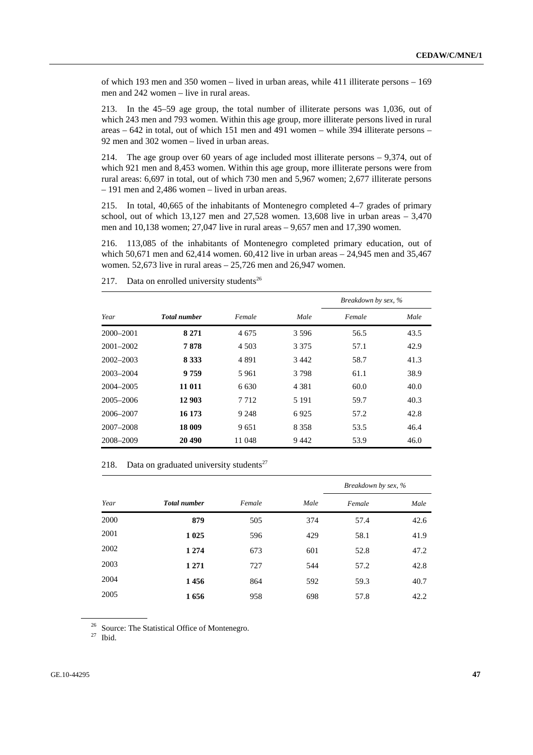of which 193 men and 350 women – lived in urban areas, while 411 illiterate persons – 169 men and 242 women – live in rural areas.

213. In the 45–59 age group, the total number of illiterate persons was 1,036, out of which 243 men and 793 women. Within this age group, more illiterate persons lived in rural areas – 642 in total, out of which 151 men and 491 women – while 394 illiterate persons – 92 men and 302 women – lived in urban areas.

214. The age group over 60 years of age included most illiterate persons – 9,374, out of which 921 men and 8,453 women. Within this age group, more illiterate persons were from rural areas: 6,697 in total, out of which 730 men and 5,967 women; 2,677 illiterate persons – 191 men and 2,486 women – lived in urban areas.

215. In total, 40,665 of the inhabitants of Montenegro completed 4–7 grades of primary school, out of which  $13,127$  men and  $27,528$  women.  $13,608$  live in urban areas  $-3,470$ men and 10,138 women; 27,047 live in rural areas – 9,657 men and 17,390 women.

216. 113,085 of the inhabitants of Montenegro completed primary education, out of which 50,671 men and 62,414 women. 60,412 live in urban areas – 24,945 men and 35,467 women. 52,673 live in rural areas  $-25,726$  men and 26,947 women.

|               |                     |         |         | Breakdown by sex, % |      |
|---------------|---------------------|---------|---------|---------------------|------|
| Year          | <b>Total number</b> | Female  | Male    | Female              | Male |
| $2000 - 2001$ | 8 2 7 1             | 4 675   | 3 5 9 6 | 56.5                | 43.5 |
| $2001 - 2002$ | 7878                | 4 503   | 3 3 7 5 | 57.1                | 42.9 |
| $2002 - 2003$ | 8 3 3 3             | 4891    | 3 4 4 2 | 58.7                | 41.3 |
| 2003-2004     | 9759                | 5961    | 3798    | 61.1                | 38.9 |
| 2004–2005     | 11 011              | 6.630   | 4 3 8 1 | 60.0                | 40.0 |
| 2005-2006     | 12 903              | 7 7 1 2 | 5 1 9 1 | 59.7                | 40.3 |
| 2006-2007     | 16 173              | 9 2 4 8 | 6925    | 57.2                | 42.8 |
| 2007-2008     | 18 009              | 9651    | 8 3 5 8 | 53.5                | 46.4 |
| 2008-2009     | 20 490              | 11 048  | 9442    | 53.9                | 46.0 |

217. Data on enrolled university students<sup>26</sup>

218. Data on graduated university students $27$ 

|      |                     |        |      | Breakdown by sex, % |      |
|------|---------------------|--------|------|---------------------|------|
| Year | <b>Total number</b> | Female | Male | Female              | Male |
| 2000 | 879                 | 505    | 374  | 57.4                | 42.6 |
| 2001 | 1 0 25              | 596    | 429  | 58.1                | 41.9 |
| 2002 | 1 2 7 4             | 673    | 601  | 52.8                | 47.2 |
| 2003 | 1 2 7 1             | 727    | 544  | 57.2                | 42.8 |
| 2004 | 1456                | 864    | 592  | 59.3                | 40.7 |
| 2005 | 1656                | 958    | 698  | 57.8                | 42.2 |

<sup>26</sup> Source: The Statistical Office of Montenegro.

 $27$  Ibid.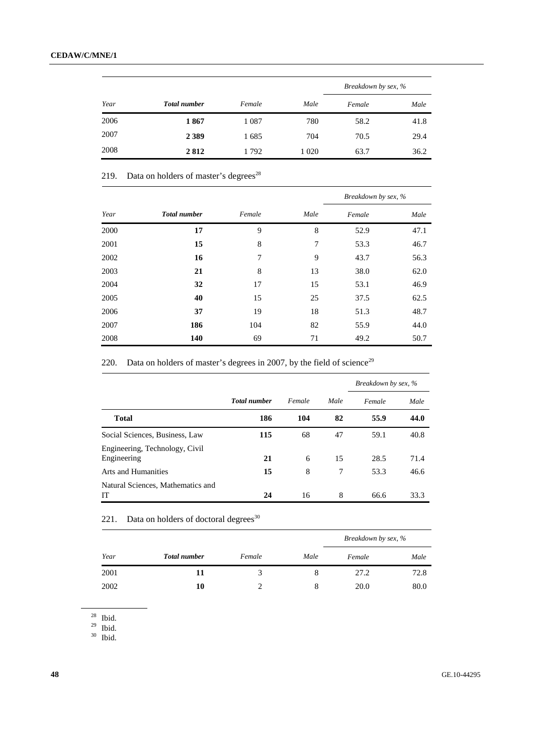|      |                     |         |         | Breakdown by sex, % |      |
|------|---------------------|---------|---------|---------------------|------|
| Year | <b>Total number</b> | Female  | Male    | Female              | Male |
| 2006 | 1867                | 1 0 8 7 | 780     | 58.2                | 41.8 |
| 2007 | 2 3 8 9             | 1685    | 704     | 70.5                | 29.4 |
| 2008 | 2812                | 1792    | 1 0 2 0 | 63.7                | 36.2 |

219. Data on holders of master's degrees $^{28}$ 

|      |                     |        |      | Breakdown by sex, % |      |
|------|---------------------|--------|------|---------------------|------|
| Year | <b>Total number</b> | Female | Male | Female              | Male |
| 2000 | 17                  | 9      | 8    | 52.9                | 47.1 |
| 2001 | 15                  | 8      | 7    | 53.3                | 46.7 |
| 2002 | 16                  | 7      | 9    | 43.7                | 56.3 |
| 2003 | 21                  | 8      | 13   | 38.0                | 62.0 |
| 2004 | 32                  | 17     | 15   | 53.1                | 46.9 |
| 2005 | 40                  | 15     | 25   | 37.5                | 62.5 |
| 2006 | 37                  | 19     | 18   | 51.3                | 48.7 |
| 2007 | 186                 | 104    | 82   | 55.9                | 44.0 |
| 2008 | 140                 | 69     | 71   | 49.2                | 50.7 |

220. Data on holders of master's degrees in 2007, by the field of science<sup>29</sup>

|                                               |                     |        |      | Breakdown by sex, % |      |
|-----------------------------------------------|---------------------|--------|------|---------------------|------|
|                                               | <b>Total number</b> | Female | Male | Female              | Male |
| <b>Total</b>                                  | 186                 | 104    | 82   | 55.9                | 44.0 |
| Social Sciences, Business, Law                | 115                 | 68     | 47   | 59.1                | 40.8 |
| Engineering, Technology, Civil<br>Engineering | 21                  | 6      | 15   | 28.5                | 71.4 |
| Arts and Humanities                           | 15                  | 8      | 7    | 53.3                | 46.6 |
| Natural Sciences, Mathematics and<br>IТ       | 24                  | 16     | 8    | 66.6                | 33.3 |

221. Data on holders of doctoral degrees $30$ 

|      |                     |        |      | Breakdown by sex, % |      |
|------|---------------------|--------|------|---------------------|------|
| Year | <b>Total number</b> | Female | Male | Female              | Male |
| 2001 | 11                  | 3      |      | 27.2                | 72.8 |
| 2002 | 10                  |        |      | 20.0                | 80.0 |

 $28$  Ibid.

 $^{29}$  Ibid.

 $30$  Ibid.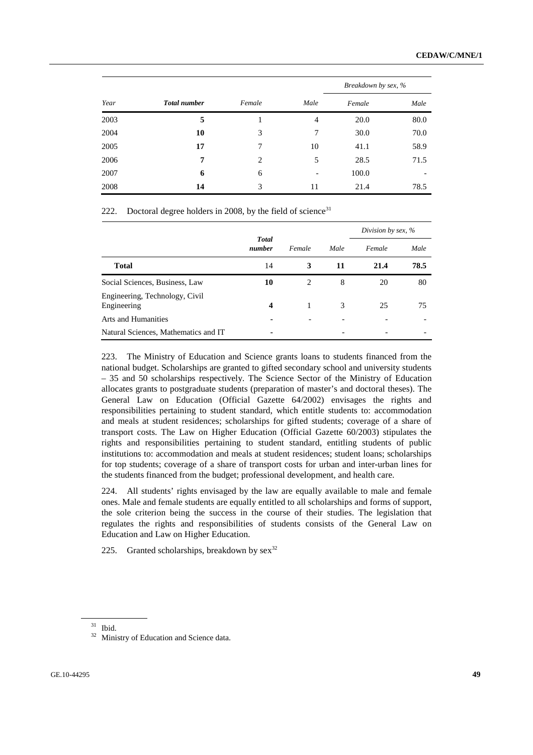|      |                     |                |      | Breakdown by sex, % |      |  |
|------|---------------------|----------------|------|---------------------|------|--|
| Year | <b>Total number</b> | Female         | Male | Female              | Male |  |
| 2003 | 5                   |                | 4    | 20.0                | 80.0 |  |
| 2004 | 10                  | 3              | 7    | 30.0                | 70.0 |  |
| 2005 | 17                  | 7              | 10   | 41.1                | 58.9 |  |
| 2006 | 7                   | $\overline{c}$ | 5    | 28.5                | 71.5 |  |
| 2007 | 6                   | 6              |      | 100.0               |      |  |
| 2008 | 14                  | 3              | 11   | 21.4                | 78.5 |  |

222. Doctoral degree holders in 2008, by the field of science<sup>31</sup>

|                                               | <b>Total</b><br>number |        |      | Division by sex, % |      |  |
|-----------------------------------------------|------------------------|--------|------|--------------------|------|--|
|                                               |                        | Female | Male | Female             | Male |  |
| <b>Total</b>                                  | 14                     | 3      | 11   | 21.4               | 78.5 |  |
| Social Sciences, Business, Law                | 10                     | 2      | 8    | 20                 | 80   |  |
| Engineering, Technology, Civil<br>Engineering | $\boldsymbol{4}$       |        | 3    | 25                 | 75   |  |
| <b>Arts and Humanities</b>                    |                        |        |      |                    |      |  |
| Natural Sciences, Mathematics and IT          |                        |        |      |                    |      |  |

223. The Ministry of Education and Science grants loans to students financed from the national budget. Scholarships are granted to gifted secondary school and university students – 35 and 50 scholarships respectively. The Science Sector of the Ministry of Education allocates grants to postgraduate students (preparation of master's and doctoral theses). The General Law on Education (Official Gazette 64/2002) envisages the rights and responsibilities pertaining to student standard, which entitle students to: accommodation and meals at student residences; scholarships for gifted students; coverage of a share of transport costs. The Law on Higher Education (Official Gazette 60/2003) stipulates the rights and responsibilities pertaining to student standard, entitling students of public institutions to: accommodation and meals at student residences; student loans; scholarships for top students; coverage of a share of transport costs for urban and inter-urban lines for the students financed from the budget; professional development, and health care.

224. All students' rights envisaged by the law are equally available to male and female ones. Male and female students are equally entitled to all scholarships and forms of support, the sole criterion being the success in the course of their studies. The legislation that regulates the rights and responsibilities of students consists of the General Law on Education and Law on Higher Education.

225. Granted scholarships, breakdown by  $sex^{32}$ 

 $31$  Ibid.

<sup>&</sup>lt;sup>32</sup> Ministry of Education and Science data.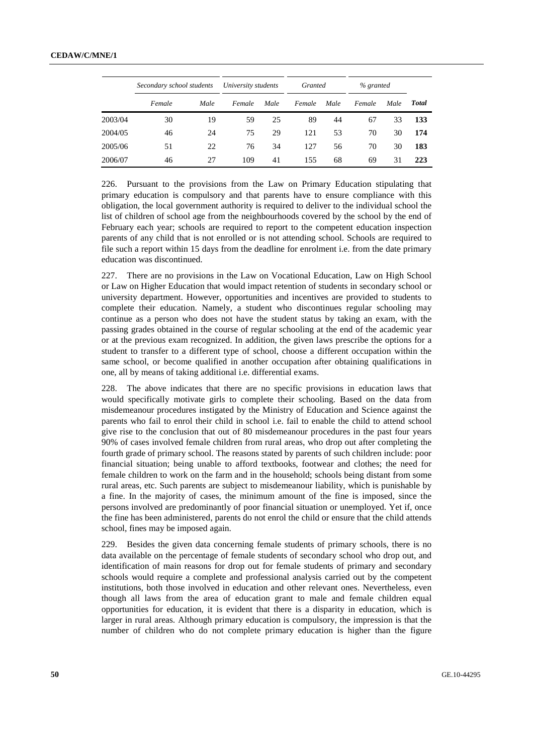|         | Secondary school students |      | University students |      | Granted |      | % granted |      |       |  |
|---------|---------------------------|------|---------------------|------|---------|------|-----------|------|-------|--|
|         | Female                    | Male | Female              | Male | Female  | Male | Female    | Male | Total |  |
| 2003/04 | 30                        | 19   | 59                  | 25   | 89      | 44   | 67        | 33   | 133   |  |
| 2004/05 | 46                        | 24   | 75                  | 29   | 121     | 53   | 70        | 30   | 174   |  |
| 2005/06 | 51                        | 22   | 76                  | 34   | 127     | 56   | 70        | 30   | 183   |  |
| 2006/07 | 46                        | 27   | 109                 | 41   | 155     | 68   | 69        | 31   | 223   |  |

226. Pursuant to the provisions from the Law on Primary Education stipulating that primary education is compulsory and that parents have to ensure compliance with this obligation, the local government authority is required to deliver to the individual school the list of children of school age from the neighbourhoods covered by the school by the end of February each year; schools are required to report to the competent education inspection parents of any child that is not enrolled or is not attending school. Schools are required to file such a report within 15 days from the deadline for enrolment i.e. from the date primary education was discontinued.

227. There are no provisions in the Law on Vocational Education, Law on High School or Law on Higher Education that would impact retention of students in secondary school or university department. However, opportunities and incentives are provided to students to complete their education. Namely, a student who discontinues regular schooling may continue as a person who does not have the student status by taking an exam, with the passing grades obtained in the course of regular schooling at the end of the academic year or at the previous exam recognized. In addition, the given laws prescribe the options for a student to transfer to a different type of school, choose a different occupation within the same school, or become qualified in another occupation after obtaining qualifications in one, all by means of taking additional i.e. differential exams.

228. The above indicates that there are no specific provisions in education laws that would specifically motivate girls to complete their schooling. Based on the data from misdemeanour procedures instigated by the Ministry of Education and Science against the parents who fail to enrol their child in school i.e. fail to enable the child to attend school give rise to the conclusion that out of 80 misdemeanour procedures in the past four years 90% of cases involved female children from rural areas, who drop out after completing the fourth grade of primary school. The reasons stated by parents of such children include: poor financial situation; being unable to afford textbooks, footwear and clothes; the need for female children to work on the farm and in the household; schools being distant from some rural areas, etc. Such parents are subject to misdemeanour liability, which is punishable by a fine. In the majority of cases, the minimum amount of the fine is imposed, since the persons involved are predominantly of poor financial situation or unemployed. Yet if, once the fine has been administered, parents do not enrol the child or ensure that the child attends school, fines may be imposed again.

229. Besides the given data concerning female students of primary schools, there is no data available on the percentage of female students of secondary school who drop out, and identification of main reasons for drop out for female students of primary and secondary schools would require a complete and professional analysis carried out by the competent institutions, both those involved in education and other relevant ones. Nevertheless, even though all laws from the area of education grant to male and female children equal opportunities for education, it is evident that there is a disparity in education, which is larger in rural areas. Although primary education is compulsory, the impression is that the number of children who do not complete primary education is higher than the figure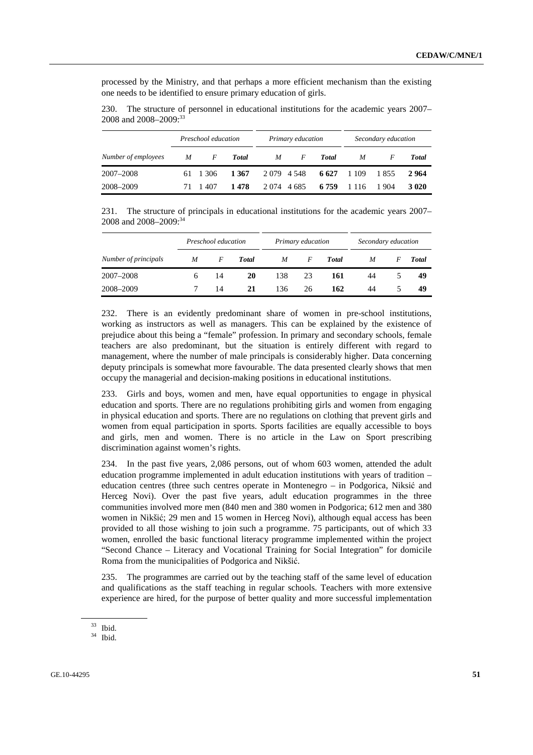processed by the Ministry, and that perhaps a more efficient mechanism than the existing one needs to be identified to ensure primary education of girls.

230. The structure of personnel in educational institutions for the academic years 2007– 2008 and 2008–2009:<sup>33</sup>

|                     |    | Preschool education |              | Primary education |           |              | Secondary education |       |        |
|---------------------|----|---------------------|--------------|-------------------|-----------|--------------|---------------------|-------|--------|
| Number of employees | M  | $\overline{F}$      | <b>Total</b> | M                 | $\bm{F}$  | <b>Total</b> | M                   |       | Total  |
| 2007–2008           |    | 61 1 30 6           | 1 367        |                   | 2079 4548 | 6627         | 1 1 0 9             | 1855  | 2964   |
| 2008–2009           | 71 | 1407                | 1478         | 2 0 74 4 6 85     |           | 6 7 5 9      | 1 1 1 6             | 1 904 | 3 0 20 |

231. The structure of principals in educational institutions for the academic years 2007– 2008 and 2008-2009:<sup>34</sup>

|                      |   | Preschool education |       |     | Primary education |              | Secondary education |   |       |
|----------------------|---|---------------------|-------|-----|-------------------|--------------|---------------------|---|-------|
| Number of principals | M | F                   | Total | M   | F                 | <b>Total</b> | M                   | F | Total |
| 2007-2008            | 6 | 14                  | 20    | 138 | 23                | 161          | 44                  |   | 49    |
| 2008-2009            |   | 14                  | 21    | 136 | 26                | 162          | 44                  |   | 49    |

232. There is an evidently predominant share of women in pre-school institutions, working as instructors as well as managers. This can be explained by the existence of prejudice about this being a "female" profession. In primary and secondary schools, female teachers are also predominant, but the situation is entirely different with regard to management, where the number of male principals is considerably higher. Data concerning deputy principals is somewhat more favourable. The data presented clearly shows that men occupy the managerial and decision-making positions in educational institutions.

233. Girls and boys, women and men, have equal opportunities to engage in physical education and sports. There are no regulations prohibiting girls and women from engaging in physical education and sports. There are no regulations on clothing that prevent girls and women from equal participation in sports. Sports facilities are equally accessible to boys and girls, men and women. There is no article in the Law on Sport prescribing discrimination against women's rights.

234. In the past five years, 2,086 persons, out of whom 603 women, attended the adult education programme implemented in adult education institutions with years of tradition – education centres (three such centres operate in Montenegro – in Podgorica, Niksić and Herceg Novi). Over the past five years, adult education programmes in the three communities involved more men (840 men and 380 women in Podgorica; 612 men and 380 women in Nikšić; 29 men and 15 women in Herceg Novi), although equal access has been provided to all those wishing to join such a programme. 75 participants, out of which 33 women, enrolled the basic functional literacy programme implemented within the project "Second Chance – Literacy and Vocational Training for Social Integration" for domicile Roma from the municipalities of Podgorica and Nikšić.

235. The programmes are carried out by the teaching staff of the same level of education and qualifications as the staff teaching in regular schools. Teachers with more extensive experience are hired, for the purpose of better quality and more successful implementation

<sup>33</sup> Ibid.

 $34$  Ibid.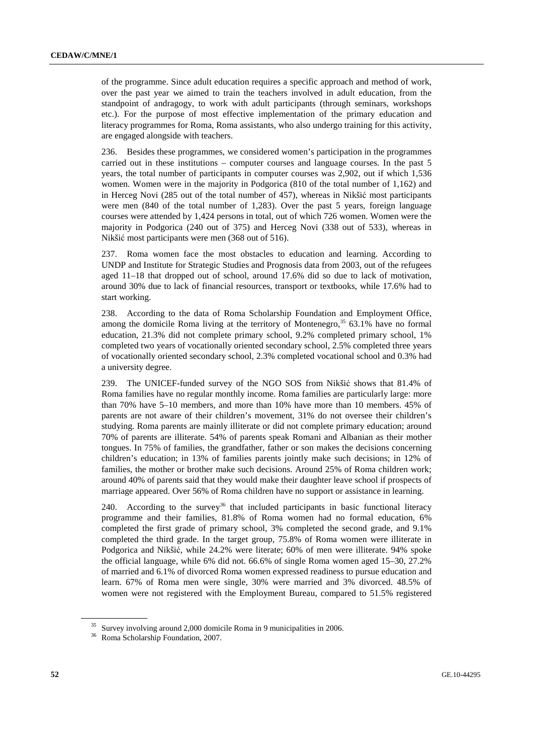of the programme. Since adult education requires a specific approach and method of work, over the past year we aimed to train the teachers involved in adult education, from the standpoint of andragogy, to work with adult participants (through seminars, workshops etc.). For the purpose of most effective implementation of the primary education and literacy programmes for Roma, Roma assistants, who also undergo training for this activity, are engaged alongside with teachers.

236. Besides these programmes, we considered women's participation in the programmes carried out in these institutions – computer courses and language courses. In the past 5 years, the total number of participants in computer courses was 2,902, out if which 1,536 women. Women were in the majority in Podgorica (810 of the total number of 1,162) and in Herceg Novi (285 out of the total number of 457), whereas in Nikšić most participants were men (840 of the total number of 1,283). Over the past 5 years, foreign language courses were attended by 1,424 persons in total, out of which 726 women. Women were the majority in Podgorica (240 out of 375) and Herceg Novi (338 out of 533), whereas in Nikšić most participants were men (368 out of 516).

237. Roma women face the most obstacles to education and learning. According to UNDP and Institute for Strategic Studies and Prognosis data from 2003, out of the refugees aged 11–18 that dropped out of school, around 17.6% did so due to lack of motivation, around 30% due to lack of financial resources, transport or textbooks, while 17.6% had to start working.

238. According to the data of Roma Scholarship Foundation and Employment Office, among the domicile Roma living at the territory of Montenegro, $35\,63.1\%$  have no formal education, 21.3% did not complete primary school, 9.2% completed primary school, 1% completed two years of vocationally oriented secondary school, 2.5% completed three years of vocationally oriented secondary school, 2.3% completed vocational school and 0.3% had a university degree.

239. The UNICEF-funded survey of the NGO SOS from Nikšić shows that 81.4% of Roma families have no regular monthly income. Roma families are particularly large: more than 70% have 5–10 members, and more than 10% have more than 10 members. 45% of parents are not aware of their children's movement, 31% do not oversee their children's studying. Roma parents are mainly illiterate or did not complete primary education; around 70% of parents are illiterate. 54% of parents speak Romani and Albanian as their mother tongues. In 75% of families, the grandfather, father or son makes the decisions concerning children's education; in 13% of families parents jointly make such decisions; in 12% of families, the mother or brother make such decisions. Around 25% of Roma children work; around 40% of parents said that they would make their daughter leave school if prospects of marriage appeared. Over 56% of Roma children have no support or assistance in learning.

240. According to the survey<sup>36</sup> that included participants in basic functional literacy programme and their families, 81.8% of Roma women had no formal education, 6% completed the first grade of primary school, 3% completed the second grade, and 9.1% completed the third grade. In the target group, 75.8% of Roma women were illiterate in Podgorica and Nikšić, while 24.2% were literate; 60% of men were illiterate. 94% spoke the official language, while 6% did not. 66.6% of single Roma women aged 15–30, 27.2% of married and 6.1% of divorced Roma women expressed readiness to pursue education and learn. 67% of Roma men were single, 30% were married and 3% divorced. 48.5% of women were not registered with the Employment Bureau, compared to 51.5% registered

<sup>35</sup> Survey involving around 2,000 domicile Roma in 9 municipalities in 2006.

<sup>36</sup> Roma Scholarship Foundation, 2007.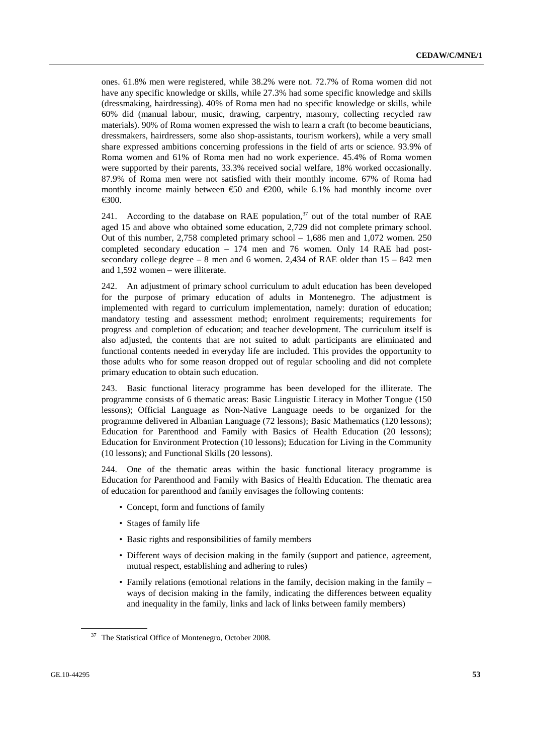ones. 61.8% men were registered, while 38.2% were not. 72.7% of Roma women did not have any specific knowledge or skills, while 27.3% had some specific knowledge and skills (dressmaking, hairdressing). 40% of Roma men had no specific knowledge or skills, while 60% did (manual labour, music, drawing, carpentry, masonry, collecting recycled raw materials). 90% of Roma women expressed the wish to learn a craft (to become beauticians, dressmakers, hairdressers, some also shop-assistants, tourism workers), while a very small share expressed ambitions concerning professions in the field of arts or science. 93.9% of Roma women and 61% of Roma men had no work experience. 45.4% of Roma women were supported by their parents, 33.3% received social welfare, 18% worked occasionally. 87.9% of Roma men were not satisfied with their monthly income. 67% of Roma had monthly income mainly between  $\epsilon$ 50 and  $\epsilon$ 200, while 6.1% had monthly income over €300.

241. According to the database on RAE population.<sup>37</sup> out of the total number of RAE aged 15 and above who obtained some education, 2,729 did not complete primary school. Out of this number, 2,758 completed primary school – 1,686 men and 1,072 women. 250 completed secondary education – 174 men and 76 women. Only 14 RAE had postsecondary college degree  $-8$  men and 6 women. 2,434 of RAE older than  $15 - 842$  men and 1,592 women – were illiterate.

242. An adjustment of primary school curriculum to adult education has been developed for the purpose of primary education of adults in Montenegro. The adjustment is implemented with regard to curriculum implementation, namely: duration of education; mandatory testing and assessment method; enrolment requirements; requirements for progress and completion of education; and teacher development. The curriculum itself is also adjusted, the contents that are not suited to adult participants are eliminated and functional contents needed in everyday life are included. This provides the opportunity to those adults who for some reason dropped out of regular schooling and did not complete primary education to obtain such education.

243. Basic functional literacy programme has been developed for the illiterate. The programme consists of 6 thematic areas: Basic Linguistic Literacy in Mother Tongue (150 lessons); Official Language as Non-Native Language needs to be organized for the programme delivered in Albanian Language (72 lessons); Basic Mathematics (120 lessons); Education for Parenthood and Family with Basics of Health Education (20 lessons); Education for Environment Protection (10 lessons); Education for Living in the Community (10 lessons); and Functional Skills (20 lessons).

244. One of the thematic areas within the basic functional literacy programme is Education for Parenthood and Family with Basics of Health Education. The thematic area of education for parenthood and family envisages the following contents:

- Concept, form and functions of family
- Stages of family life
- Basic rights and responsibilities of family members
- Different ways of decision making in the family (support and patience, agreement, mutual respect, establishing and adhering to rules)
- Family relations (emotional relations in the family, decision making in the family ways of decision making in the family, indicating the differences between equality and inequality in the family, links and lack of links between family members)

<sup>37</sup> The Statistical Office of Montenegro, October 2008.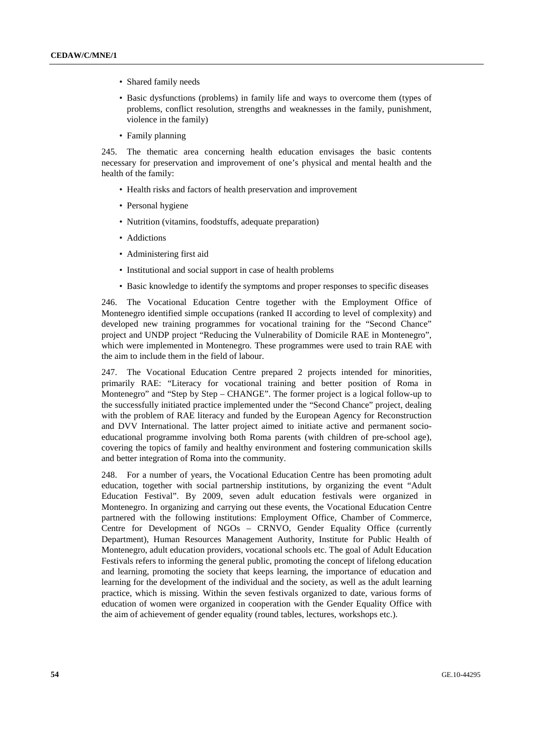- Shared family needs
- Basic dysfunctions (problems) in family life and ways to overcome them (types of problems, conflict resolution, strengths and weaknesses in the family, punishment, violence in the family)
- Family planning

245. The thematic area concerning health education envisages the basic contents necessary for preservation and improvement of one's physical and mental health and the health of the family:

- Health risks and factors of health preservation and improvement
- Personal hygiene
- Nutrition (vitamins, foodstuffs, adequate preparation)
- Addictions
- Administering first aid
- Institutional and social support in case of health problems
- Basic knowledge to identify the symptoms and proper responses to specific diseases

246. The Vocational Education Centre together with the Employment Office of Montenegro identified simple occupations (ranked II according to level of complexity) and developed new training programmes for vocational training for the "Second Chance" project and UNDP project "Reducing the Vulnerability of Domicile RAE in Montenegro", which were implemented in Montenegro. These programmes were used to train RAE with the aim to include them in the field of labour.

247. The Vocational Education Centre prepared 2 projects intended for minorities, primarily RAE: "Literacy for vocational training and better position of Roma in Montenegro" and "Step by Step – CHANGE". The former project is a logical follow-up to the successfully initiated practice implemented under the "Second Chance" project, dealing with the problem of RAE literacy and funded by the European Agency for Reconstruction and DVV International. The latter project aimed to initiate active and permanent socioeducational programme involving both Roma parents (with children of pre-school age), covering the topics of family and healthy environment and fostering communication skills and better integration of Roma into the community.

248. For a number of years, the Vocational Education Centre has been promoting adult education, together with social partnership institutions, by organizing the event "Adult Education Festival". By 2009, seven adult education festivals were organized in Montenegro. In organizing and carrying out these events, the Vocational Education Centre partnered with the following institutions: Employment Office, Chamber of Commerce, Centre for Development of NGOs – CRNVO, Gender Equality Office (currently Department), Human Resources Management Authority, Institute for Public Health of Montenegro, adult education providers, vocational schools etc. The goal of Adult Education Festivals refers to informing the general public, promoting the concept of lifelong education and learning, promoting the society that keeps learning, the importance of education and learning for the development of the individual and the society, as well as the adult learning practice, which is missing. Within the seven festivals organized to date, various forms of education of women were organized in cooperation with the Gender Equality Office with the aim of achievement of gender equality (round tables, lectures, workshops etc.).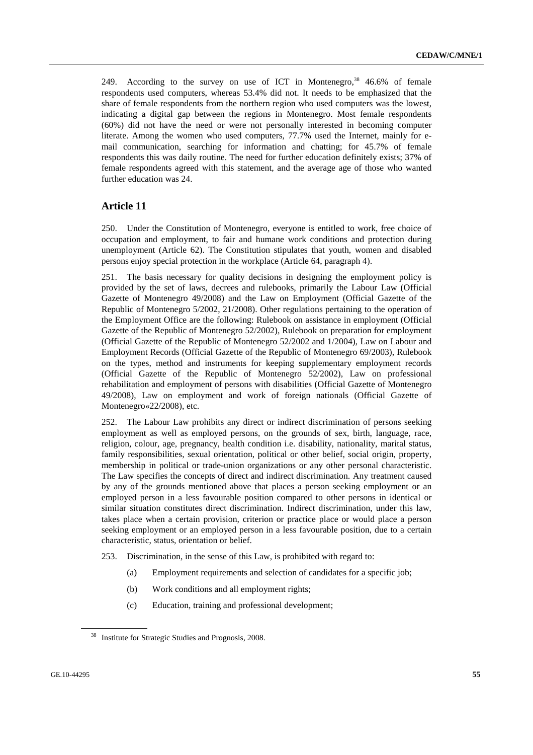249. According to the survey on use of ICT in Montenegro,  $38\,$  46.6% of female respondents used computers, whereas 53.4% did not. It needs to be emphasized that the share of female respondents from the northern region who used computers was the lowest, indicating a digital gap between the regions in Montenegro. Most female respondents (60%) did not have the need or were not personally interested in becoming computer literate. Among the women who used computers, 77.7% used the Internet, mainly for email communication, searching for information and chatting; for 45.7% of female respondents this was daily routine. The need for further education definitely exists; 37% of female respondents agreed with this statement, and the average age of those who wanted further education was 24.

## **Article 11**

250. Under the Constitution of Montenegro, everyone is entitled to work, free choice of occupation and employment, to fair and humane work conditions and protection during unemployment (Article 62). The Constitution stipulates that youth, women and disabled persons enjoy special protection in the workplace (Article 64, paragraph 4).

251. The basis necessary for quality decisions in designing the employment policy is provided by the set of laws, decrees and rulebooks, primarily the Labour Law (Official Gazette of Montenegro 49/2008) and the Law on Employment (Official Gazette of the Republic of Montenegro 5/2002, 21/2008). Other regulations pertaining to the operation of the Employment Office are the following: Rulebook on assistance in employment (Official Gazette of the Republic of Montenegro 52/2002), Rulebook on preparation for employment (Official Gazette of the Republic of Montenegro 52/2002 and 1/2004), Law on Labour and Employment Records (Official Gazette of the Republic of Montenegro 69/2003), Rulebook on the types, method and instruments for keeping supplementary employment records (Official Gazette of the Republic of Montenegro 52/2002), Law on professional rehabilitation and employment of persons with disabilities (Official Gazette of Montenegro 49/2008), Law on employment and work of foreign nationals (Official Gazette of Montenegro«22/2008), etc.

252. The Labour Law prohibits any direct or indirect discrimination of persons seeking employment as well as employed persons, on the grounds of sex, birth, language, race, religion, colour, age, pregnancy, health condition i.e. disability, nationality, marital status, family responsibilities, sexual orientation, political or other belief, social origin, property, membership in political or trade-union organizations or any other personal characteristic. The Law specifies the concepts of direct and indirect discrimination. Any treatment caused by any of the grounds mentioned above that places a person seeking employment or an employed person in a less favourable position compared to other persons in identical or similar situation constitutes direct discrimination. Indirect discrimination, under this law, takes place when a certain provision, criterion or practice place or would place a person seeking employment or an employed person in a less favourable position, due to a certain characteristic, status, orientation or belief.

- 253. Discrimination, in the sense of this Law, is prohibited with regard to:
	- (a) Employment requirements and selection of candidates for a specific job;
	- (b) Work conditions and all employment rights;
	- (c) Education, training and professional development;

<sup>38</sup> Institute for Strategic Studies and Prognosis, 2008.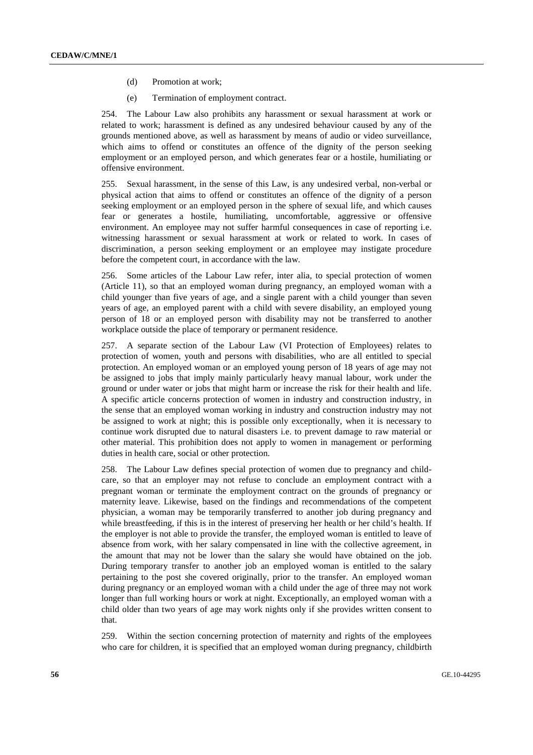- (d) Promotion at work;
- (e) Termination of employment contract.

254. The Labour Law also prohibits any harassment or sexual harassment at work or related to work; harassment is defined as any undesired behaviour caused by any of the grounds mentioned above, as well as harassment by means of audio or video surveillance, which aims to offend or constitutes an offence of the dignity of the person seeking employment or an employed person, and which generates fear or a hostile, humiliating or offensive environment.

255. Sexual harassment, in the sense of this Law, is any undesired verbal, non-verbal or physical action that aims to offend or constitutes an offence of the dignity of a person seeking employment or an employed person in the sphere of sexual life, and which causes fear or generates a hostile, humiliating, uncomfortable, aggressive or offensive environment. An employee may not suffer harmful consequences in case of reporting i.e. witnessing harassment or sexual harassment at work or related to work. In cases of discrimination, a person seeking employment or an employee may instigate procedure before the competent court, in accordance with the law.

256. Some articles of the Labour Law refer, inter alia, to special protection of women (Article 11), so that an employed woman during pregnancy, an employed woman with a child younger than five years of age, and a single parent with a child younger than seven years of age, an employed parent with a child with severe disability, an employed young person of 18 or an employed person with disability may not be transferred to another workplace outside the place of temporary or permanent residence.

257. A separate section of the Labour Law (VI Protection of Employees) relates to protection of women, youth and persons with disabilities, who are all entitled to special protection. An employed woman or an employed young person of 18 years of age may not be assigned to jobs that imply mainly particularly heavy manual labour, work under the ground or under water or jobs that might harm or increase the risk for their health and life. A specific article concerns protection of women in industry and construction industry, in the sense that an employed woman working in industry and construction industry may not be assigned to work at night; this is possible only exceptionally, when it is necessary to continue work disrupted due to natural disasters i.e. to prevent damage to raw material or other material. This prohibition does not apply to women in management or performing duties in health care, social or other protection.

258. The Labour Law defines special protection of women due to pregnancy and childcare, so that an employer may not refuse to conclude an employment contract with a pregnant woman or terminate the employment contract on the grounds of pregnancy or maternity leave. Likewise, based on the findings and recommendations of the competent physician, a woman may be temporarily transferred to another job during pregnancy and while breastfeeding, if this is in the interest of preserving her health or her child's health. If the employer is not able to provide the transfer, the employed woman is entitled to leave of absence from work, with her salary compensated in line with the collective agreement, in the amount that may not be lower than the salary she would have obtained on the job. During temporary transfer to another job an employed woman is entitled to the salary pertaining to the post she covered originally, prior to the transfer. An employed woman during pregnancy or an employed woman with a child under the age of three may not work longer than full working hours or work at night. Exceptionally, an employed woman with a child older than two years of age may work nights only if she provides written consent to that.

259. Within the section concerning protection of maternity and rights of the employees who care for children, it is specified that an employed woman during pregnancy, childbirth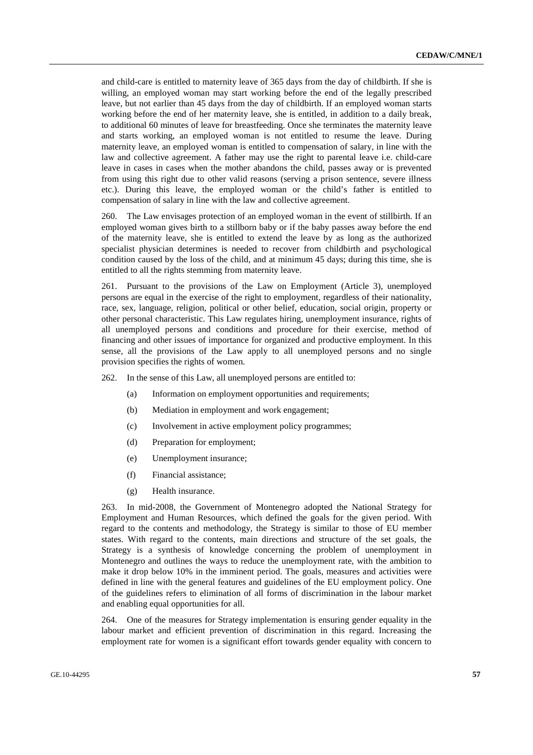and child-care is entitled to maternity leave of 365 days from the day of childbirth. If she is willing, an employed woman may start working before the end of the legally prescribed leave, but not earlier than 45 days from the day of childbirth. If an employed woman starts working before the end of her maternity leave, she is entitled, in addition to a daily break, to additional 60 minutes of leave for breastfeeding. Once she terminates the maternity leave and starts working, an employed woman is not entitled to resume the leave. During maternity leave, an employed woman is entitled to compensation of salary, in line with the law and collective agreement. A father may use the right to parental leave i.e. child-care leave in cases in cases when the mother abandons the child, passes away or is prevented from using this right due to other valid reasons (serving a prison sentence, severe illness etc.). During this leave, the employed woman or the child's father is entitled to compensation of salary in line with the law and collective agreement.

260. The Law envisages protection of an employed woman in the event of stillbirth. If an employed woman gives birth to a stillborn baby or if the baby passes away before the end of the maternity leave, she is entitled to extend the leave by as long as the authorized specialist physician determines is needed to recover from childbirth and psychological condition caused by the loss of the child, and at minimum 45 days; during this time, she is entitled to all the rights stemming from maternity leave.

261. Pursuant to the provisions of the Law on Employment (Article 3), unemployed persons are equal in the exercise of the right to employment, regardless of their nationality, race, sex, language, religion, political or other belief, education, social origin, property or other personal characteristic. This Law regulates hiring, unemployment insurance, rights of all unemployed persons and conditions and procedure for their exercise, method of financing and other issues of importance for organized and productive employment. In this sense, all the provisions of the Law apply to all unemployed persons and no single provision specifies the rights of women.

262. In the sense of this Law, all unemployed persons are entitled to:

- (a) Information on employment opportunities and requirements;
- (b) Mediation in employment and work engagement;
- (c) Involvement in active employment policy programmes;
- (d) Preparation for employment;
- (e) Unemployment insurance;
- (f) Financial assistance;
- (g) Health insurance.

263. In mid-2008, the Government of Montenegro adopted the National Strategy for Employment and Human Resources, which defined the goals for the given period. With regard to the contents and methodology, the Strategy is similar to those of EU member states. With regard to the contents, main directions and structure of the set goals, the Strategy is a synthesis of knowledge concerning the problem of unemployment in Montenegro and outlines the ways to reduce the unemployment rate, with the ambition to make it drop below 10% in the imminent period. The goals, measures and activities were defined in line with the general features and guidelines of the EU employment policy. One of the guidelines refers to elimination of all forms of discrimination in the labour market and enabling equal opportunities for all.

264. One of the measures for Strategy implementation is ensuring gender equality in the labour market and efficient prevention of discrimination in this regard. Increasing the employment rate for women is a significant effort towards gender equality with concern to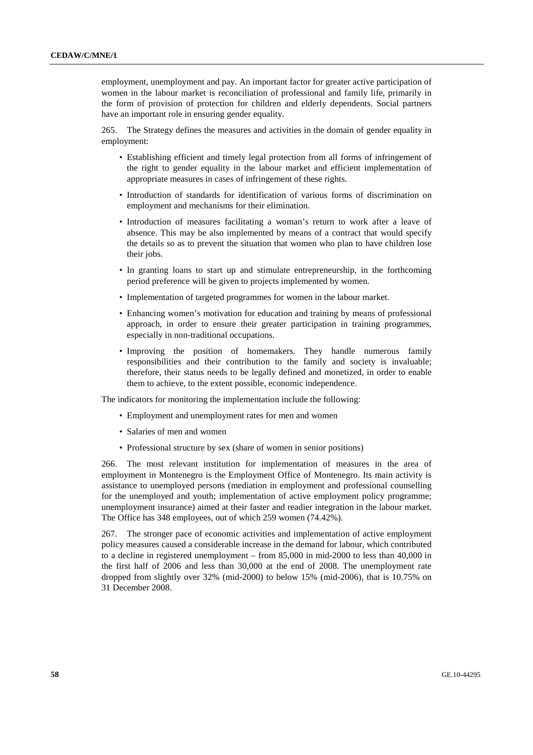employment, unemployment and pay. An important factor for greater active participation of women in the labour market is reconciliation of professional and family life, primarily in the form of provision of protection for children and elderly dependents. Social partners have an important role in ensuring gender equality.

265. The Strategy defines the measures and activities in the domain of gender equality in employment:

- Establishing efficient and timely legal protection from all forms of infringement of the right to gender equality in the labour market and efficient implementation of appropriate measures in cases of infringement of these rights.
- Introduction of standards for identification of various forms of discrimination on employment and mechanisms for their elimination.
- Introduction of measures facilitating a woman's return to work after a leave of absence. This may be also implemented by means of a contract that would specify the details so as to prevent the situation that women who plan to have children lose their jobs.
- In granting loans to start up and stimulate entrepreneurship, in the forthcoming period preference will be given to projects implemented by women.
- Implementation of targeted programmes for women in the labour market.
- Enhancing women's motivation for education and training by means of professional approach, in order to ensure their greater participation in training programmes, especially in non-traditional occupations.
- Improving the position of homemakers. They handle numerous family responsibilities and their contribution to the family and society is invaluable; therefore, their status needs to be legally defined and monetized, in order to enable them to achieve, to the extent possible, economic independence.

The indicators for monitoring the implementation include the following:

- Employment and unemployment rates for men and women
- Salaries of men and women
- Professional structure by sex (share of women in senior positions)

266. The most relevant institution for implementation of measures in the area of employment in Montenegro is the Employment Office of Montenegro. Its main activity is assistance to unemployed persons (mediation in employment and professional counselling for the unemployed and youth; implementation of active employment policy programme; unemployment insurance) aimed at their faster and readier integration in the labour market. The Office has 348 employees, out of which 259 women (74.42%).

267. The stronger pace of economic activities and implementation of active employment policy measures caused a considerable increase in the demand for labour, which contributed to a decline in registered unemployment – from 85,000 in mid-2000 to less than 40,000 in the first half of 2006 and less than 30,000 at the end of 2008. The unemployment rate dropped from slightly over 32% (mid-2000) to below 15% (mid-2006), that is 10.75% on 31 December 2008.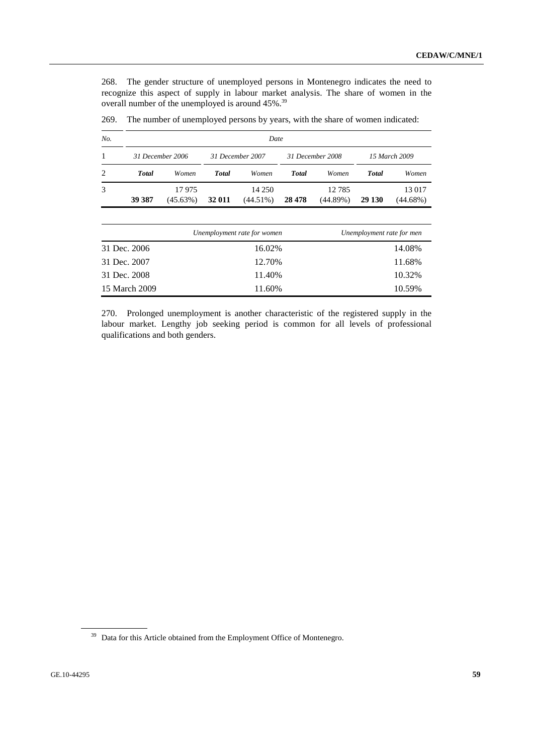268. The gender structure of unemployed persons in Montenegro indicates the need to recognize this aspect of supply in labour market analysis. The share of women in the overall number of the unemployed is around 45%.<sup>39</sup>

| No. | Date         |                   |              |                       |              |                      |               |                       |  |  |  |  |
|-----|--------------|-------------------|--------------|-----------------------|--------------|----------------------|---------------|-----------------------|--|--|--|--|
|     |              | 31 December 2006  |              | 31 December 2007      |              | 31 December 2008     | 15 March 2009 |                       |  |  |  |  |
| 2   | <b>Total</b> | Women             | <b>Total</b> | Women                 | <b>Total</b> | Women                | <b>Total</b>  | Women                 |  |  |  |  |
| 3   | 39 387       | 17975<br>(45.63%) | 32 011       | 14 250<br>$(44.51\%)$ | 28 4 78      | 12 7 8 5<br>(44.89%) | 29 130        | 13 017<br>$(44.68\%)$ |  |  |  |  |

269. The number of unemployed persons by years, with the share of women indicated:

|               | Unemployment rate for women | Unemployment rate for men |
|---------------|-----------------------------|---------------------------|
| 31 Dec. 2006  | 16.02%                      | 14.08%                    |
| 31 Dec. 2007  | 12.70%                      | 11.68%                    |
| 31 Dec. 2008  | 11.40%                      | 10.32%                    |
| 15 March 2009 | 11.60%                      | 10.59%                    |

270. Prolonged unemployment is another characteristic of the registered supply in the labour market. Lengthy job seeking period is common for all levels of professional qualifications and both genders.

<sup>&</sup>lt;sup>39</sup> Data for this Article obtained from the Employment Office of Montenegro.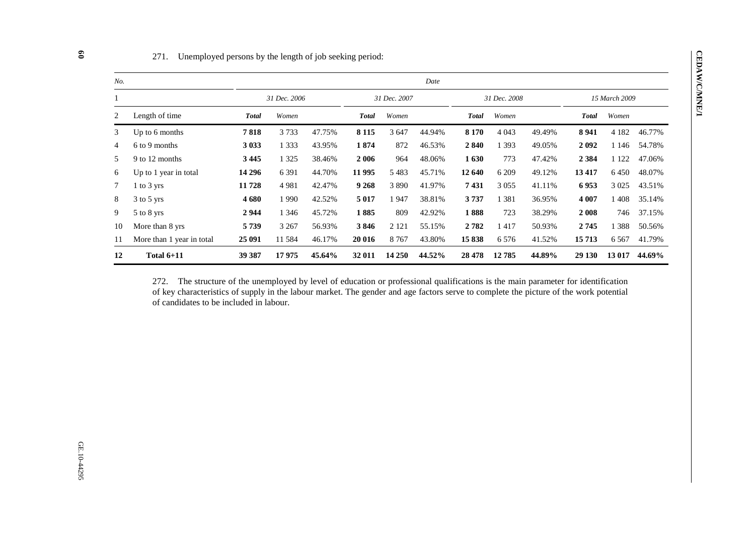| No. |                           |              |              |        |              |         | Date   |              |         |        |               |         |        |
|-----|---------------------------|--------------|--------------|--------|--------------|---------|--------|--------------|---------|--------|---------------|---------|--------|
|     |                           |              | 31 Dec. 2006 |        | 31 Dec. 2007 |         |        | 31 Dec. 2008 |         |        | 15 March 2009 |         |        |
| 2   | Length of time            | <b>Total</b> | Women        |        | <b>Total</b> | Women   |        | <b>Total</b> | Women   |        | <b>Total</b>  | Women   |        |
| 3   | Up to 6 months            | 7818         | 3733         | 47.75% | 8 1 1 5      | 3 647   | 44.94% | 8 1 7 0      | 4 0 43  | 49.49% | 8 9 4 1       | 4 1 8 2 | 46.77% |
| 4   | 6 to 9 months             | 3 0 3 3      | 1 3 3 3      | 43.95% | 1874         | 872     | 46.53% | 2840         | 1 3 9 3 | 49.05% | 2092          | 1 1 4 6 | 54.78% |
| 5   | 9 to 12 months            | 3 4 4 5      | 1 3 2 5      | 38.46% | 2 0 0 6      | 964     | 48.06% | 1630         | 773     | 47.42% | 2 3 8 4       | 1 1 2 2 | 47.06% |
| 6   | Up to 1 year in total     | 14 29 6      | 6 3 9 1      | 44.70% | 11 995       | 5483    | 45.71% | 12 640       | 6 209   | 49.12% | 13 4 17       | 6 4 5 0 | 48.07% |
|     | $1$ to $3$ yrs            | 11728        | 4 9 8 1      | 42.47% | 9 2 6 8      | 3890    | 41.97% | 7431         | 3 0 5 5 | 41.11% | 6953          | 3 0 2 5 | 43.51% |
| 8   | $3$ to $5$ yrs            | 4 6 8 0      | 1990         | 42.52% | 5 0 1 7      | 1947    | 38.81% | 3737         | 1381    | 36.95% | 4 0 0 7       | 1408    | 35.14% |
| 9   | 5 to 8 yrs                | 2944         | 1 3 4 6      | 45.72% | 1885         | 809     | 42.92% | 1888         | 723     | 38.29% | 2 0 0 8       | 746     | 37.15% |
| 10  | More than 8 yrs           | 5 7 3 9      | 3 2 6 7      | 56.93% | 3846         | 2 1 2 1 | 55.15% | 2 7 8 2      | 1 417   | 50.93% | 2745          | 388     | 50.56% |
| 11  | More than 1 year in total | 25 091       | 11584        | 46.17% | 20 016       | 8 7 6 7 | 43.80% | 15838        | 6 5 7 6 | 41.52% | 15713         | 6 5 6 7 | 41.79% |
| 12  | Total $6+11$              | 39 387       | 17975        | 45.64% | 32 011       | 14 250  | 44.52% | 28 478       | 12785   | 44.89% | 29 130        | 13 017  | 44.69% |

## 271. Unemployed persons by the length of job seeking period:

272. The structure of the unemployed by level of education or professional qualifications is the main parameter for identification of key characteristics of supply in the labour market. The gender and age factors serve to complete the picture of the work potential of candidates to be included in labour.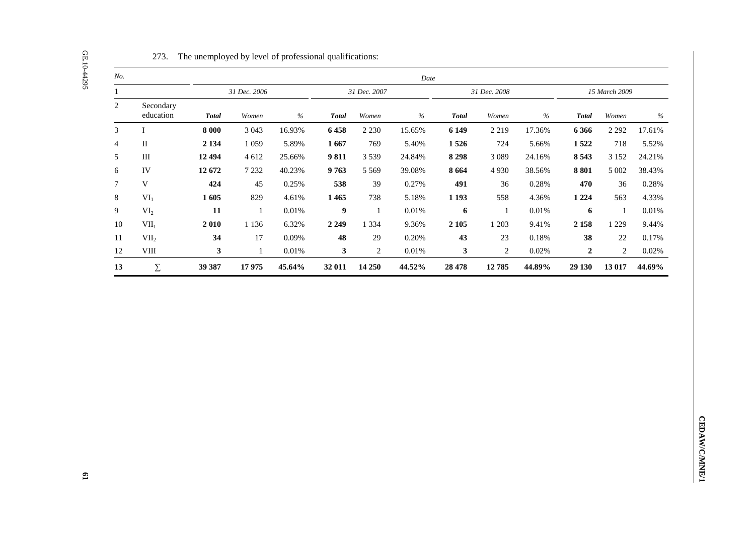| No.                        |                        |                      |              |          |                          |              | Date     |                  |            |          |                  |              |          |
|----------------------------|------------------------|----------------------|--------------|----------|--------------------------|--------------|----------|------------------|------------|----------|------------------|--------------|----------|
| $\mathbf{1}$               |                        |                      | 31 Dec. 2006 |          |                          | 31 Dec. 2007 |          | 31 Dec. 2008     |            |          | 15 March 2009    |              |          |
| $\overline{c}$             | Secondary<br>education | <b>Total</b>         | Women        | $\%$     | $\boldsymbol{\it Total}$ | Women        | $\%$     | <b>Total</b>     | Women      | $\%$     | <b>Total</b>     | Women        | $\%$     |
| 3<br>$\bf{I}$              |                        | 8 000                | 3 0 4 3      | 16.93%   | 6458                     | 2 2 3 0      | 15.65%   | 6 1 4 9          | 2 2 1 9    | 17.36%   | 6 3 6 6          | 2 2 9 2      | 17.61%   |
| $\rm II$<br>$\overline{4}$ |                        | 2 1 3 4              | 1 0 5 9      | 5.89%    | 1667                     | 769          | 5.40%    | 1526             | 724        | 5.66%    | 1522             | 718          | 5.52%    |
| 5<br>$\rm III$             |                        | 12 4 94              | $4\;612$     | 25.66%   | 9811                     | 3 5 3 9      | 24.84%   | 8 2 9 8          | 3 0 8 9    | 24.16%   | 8 5 4 3          | 3 1 5 2      | 24.21%   |
| $\epsilon$<br>IV           |                        | 12 672               | 7 2 3 2      | 40.23%   | 9763                     | 5 5 6 9      | 39.08%   | 8 6 6 4          | 4930       | 38.56%   | 8 8 0 1          | $5\;002$     | 38.43%   |
| $\mathbf V$<br>$\tau$      |                        | 424                  | $45\,$       | 0.25%    | 538                      | 39           | 0.27%    | 491              | 36         | 0.28%    | 470              | 36           | 0.28%    |
| $8\,$<br>VI <sub>1</sub>   |                        | 1605                 | 829          | 4.61%    | 1 4 6 5                  | 738          | 5.18%    | 1 1 9 3          | 558        | 4.36%    | 1 2 2 4          | 563          | 4.33%    |
| 9<br>VI <sub>2</sub>       |                        | ${\bf 11}$           | $\mathbf{1}$ | $0.01\%$ | $\boldsymbol{9}$         | $\mathbf{1}$ | $0.01\%$ | $\boldsymbol{6}$ | $\,1\,$    | $0.01\%$ | $\boldsymbol{6}$ | $\mathbf{1}$ | $0.01\%$ |
| $10\,$<br>VII <sub>1</sub> |                        | $\boldsymbol{2}$ 010 | 1 1 3 6      | 6.32%    | 2 2 4 9                  | 1 3 3 4      | 9.36%    | 2 1 0 5          | 1 2 0 3    | 9.41%    | 2 1 5 8          | 1 2 2 9      | 9.44%    |
| $11\,$<br>VII <sub>2</sub> |                        | 34                   | 17           | 0.09%    | 48                       | 29           | 0.20%    | 43               | $23\,$     | 0.18%    | 38               | $22\,$       | 0.17%    |
| $12\,$<br>${\rm VIII}$     |                        | $\mathbf{3}$         | $1\,$        | $0.01\%$ | $\mathbf{3}$             | $\sqrt{2}$   | $0.01\%$ | $\mathbf{3}$     | $\sqrt{2}$ | $0.02\%$ | $\boldsymbol{2}$ | $\sqrt{2}$   | $0.02\%$ |
| 13                         | $\Sigma$               | 39 387               | 17975        | 45.64%   | 32 011                   | 14 250       | 44.52%   | 28 4 78          | 12785      | 44.89%   | 29 130           | 13 017       | 44.69%   |
|                            |                        |                      |              |          |                          |              |          |                  |            |          |                  |              |          |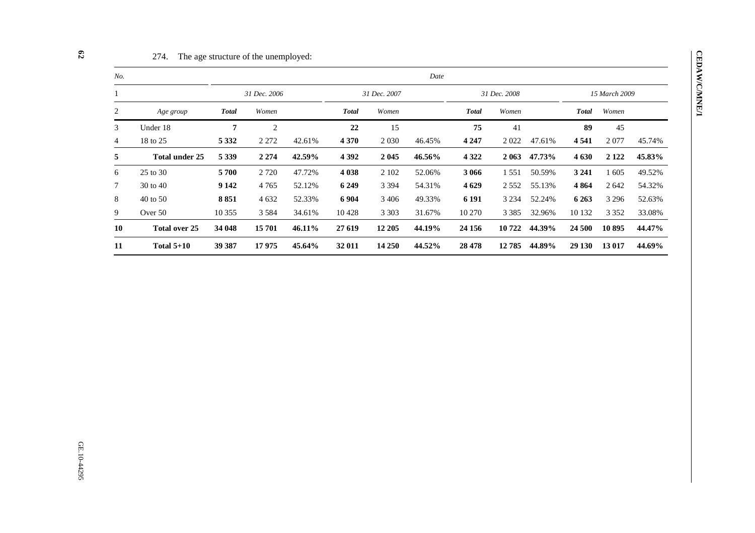| No. |                       |              |         |        |              |              | Date   |              |              |        |              |               |        |  |
|-----|-----------------------|--------------|---------|--------|--------------|--------------|--------|--------------|--------------|--------|--------------|---------------|--------|--|
|     |                       | 31 Dec. 2006 |         |        |              | 31 Dec. 2007 |        |              | 31 Dec. 2008 |        |              | 15 March 2009 |        |  |
| 2   | Age group             | <b>Total</b> | Women   |        | <b>Total</b> | Women        |        | <b>Total</b> | Women        |        | <b>Total</b> | Women         |        |  |
| 3   | Under 18              | 7            | 2       |        | 22           | 15           |        | 75           | 41           |        | 89           | 45            |        |  |
| 4   | 18 to 25              | 5 3 3 2      | 2 2 7 2 | 42.61% | 4 3 7 0      | 2 0 3 0      | 46.45% | 4 2 4 7      | 2022         | 47.61% | 4 5 4 1      | 2077          | 45.74% |  |
| 5   | <b>Total under 25</b> | 5 3 3 9      | 2 2 7 4 | 42.59% | 4 3 9 2      | 2 0 4 5      | 46.56% | 4 3 2 2      | 2 0 6 3      | 47.73% | 4 6 3 0      | 2 1 2 2       | 45.83% |  |
| 6   | 25 to 30              | 5700         | 2 7 2 0 | 47.72% | 4 0 38       | 2 1 0 2      | 52.06% | 3 0 6 6      | 1551         | 50.59% | 3 2 4 1      | 605           | 49.52% |  |
| 7   | 30 to 40              | 9 1 4 2      | 4765    | 52.12% | 6 2 4 9      | 3 3 9 4      | 54.31% | 4 6 29       | 2 5 5 2      | 55.13% | 4 8 6 4      | 2642          | 54.32% |  |
| 8   | 40 to 50              | 8851         | 4 6 32  | 52.33% | 6 9 0 4      | 3 4 0 6      | 49.33% | 6 1 9 1      | 3 2 3 4      | 52.24% | 6 2 6 3      | 3 2 9 6       | 52.63% |  |
| 9   | Over 50               | 10 355       | 3 5 8 4 | 34.61% | 10428        | 3 3 0 3      | 31.67% | 10 270       | 3 3 8 5      | 32.96% | 10 132       | 3 3 5 2       | 33.08% |  |
| 10  | Total over 25         | 34 048       | 15701   | 46.11% | 27 619       | 12 205       | 44.19% | 24 15 6      | 10 722       | 44.39% | 24 500       | 10895         | 44.47% |  |
| 11  | Total $5+10$          | 39 387       | 17975   | 45.64% | 32 011       | 14 250       | 44.52% | 28 4 78      | 12785        | 44.89% | 29 130       | 13 017        | 44.69% |  |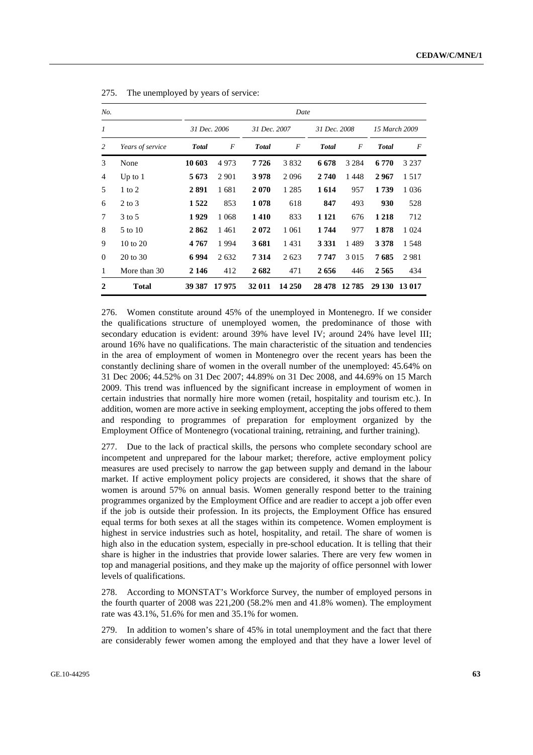| No.            |                  | Date         |              |               |              |              |              |               |         |  |
|----------------|------------------|--------------|--------------|---------------|--------------|--------------|--------------|---------------|---------|--|
| 1              |                  |              | 31 Dec. 2006 |               | 31 Dec. 2007 |              | 31 Dec. 2008 | 15 March 2009 |         |  |
| 2              | Years of service | <b>Total</b> | F            | <b>T</b> otal | F            | <b>Total</b> | F            | <b>Total</b>  | F       |  |
| 3              | None             | 10 603       | 4973         | 7726          | 3832         | 6 678        | 3 2 8 4      | 6 7 7 0       | 3 2 3 7 |  |
| $\overline{4}$ | Up to $1$        | 5 6 7 3      | 2 9 0 1      | 3978          | 2096         | 2 740        | 1448         | 2967          | 1.517   |  |
| 5              | $1$ to $2$       | 2891         | 1681         | 2070          | 1 2 8 5      | 1 6 1 4      | 957          | 1739          | 1 0 3 6 |  |
| 6              | $2$ to $3$       | 1522         | 853          | 1078          | 618          | 847          | 493          | 930           | 528     |  |
| 7              | 3 to 5           | 1929         | 1 0 6 8      | 1410          | 833          | 1 1 2 1      | 676          | 1 2 1 8       | 712     |  |
| 8              | 5 to 10          | 2862         | 1461         | 2072          | 1 0 6 1      | 1 744        | 977          | 1878          | 1 0 2 4 |  |
| 9              | 10 to 20         | 4767         | 1994         | 3681          | 1431         | 3 3 3 1      | 1489         | 3 3 7 8       | 1 5 4 8 |  |
| $\theta$       | 20 to 30         | 6994         | 2 6 3 2      | 7314          | 2623         | 7 7 4 7      | 3 0 1 5      | 7685          | 2981    |  |
| 1              | More than 30     | 2 1 4 6      | 412          | 2682          | 471          | 2656         | 446          | 2565          | 434     |  |
| $\mathbf{2}$   | <b>Total</b>     | 39 387       | 17975        | 32 011        | 14 250       | 28 478       | 12785        | 29 130        | 13 017  |  |

| 275.<br>The unemployed by years of service: |  |
|---------------------------------------------|--|
|---------------------------------------------|--|

276. Women constitute around 45% of the unemployed in Montenegro. If we consider the qualifications structure of unemployed women, the predominance of those with secondary education is evident: around 39% have level IV; around 24% have level III; around 16% have no qualifications. The main characteristic of the situation and tendencies in the area of employment of women in Montenegro over the recent years has been the constantly declining share of women in the overall number of the unemployed: 45.64% on 31 Dec 2006; 44.52% on 31 Dec 2007; 44.89% on 31 Dec 2008, and 44.69% on 15 March 2009. This trend was influenced by the significant increase in employment of women in certain industries that normally hire more women (retail, hospitality and tourism etc.). In addition, women are more active in seeking employment, accepting the jobs offered to them and responding to programmes of preparation for employment organized by the Employment Office of Montenegro (vocational training, retraining, and further training).

277. Due to the lack of practical skills, the persons who complete secondary school are incompetent and unprepared for the labour market; therefore, active employment policy measures are used precisely to narrow the gap between supply and demand in the labour market. If active employment policy projects are considered, it shows that the share of women is around 57% on annual basis. Women generally respond better to the training programmes organized by the Employment Office and are readier to accept a job offer even if the job is outside their profession. In its projects, the Employment Office has ensured equal terms for both sexes at all the stages within its competence. Women employment is highest in service industries such as hotel, hospitality, and retail. The share of women is high also in the education system, especially in pre-school education. It is telling that their share is higher in the industries that provide lower salaries. There are very few women in top and managerial positions, and they make up the majority of office personnel with lower levels of qualifications.

278. According to MONSTAT's Workforce Survey, the number of employed persons in the fourth quarter of 2008 was 221,200 (58.2% men and 41.8% women). The employment rate was 43.1%, 51.6% for men and 35.1% for women.

279. In addition to women's share of 45% in total unemployment and the fact that there are considerably fewer women among the employed and that they have a lower level of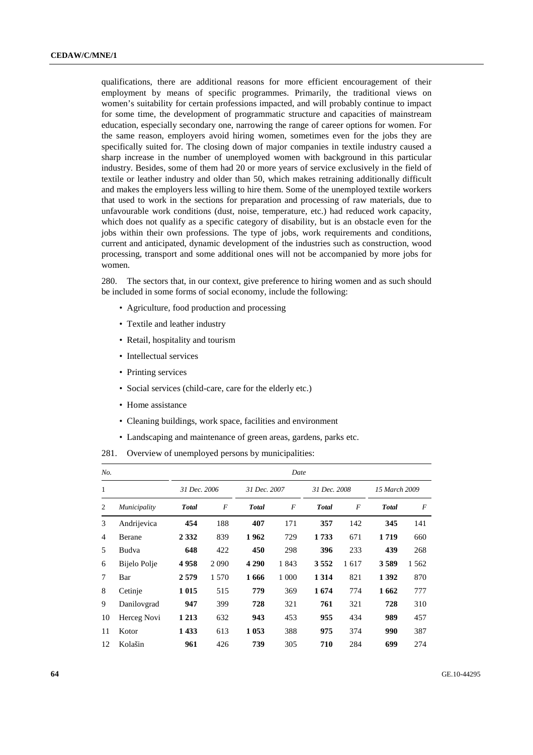qualifications, there are additional reasons for more efficient encouragement of their employment by means of specific programmes. Primarily, the traditional views on women's suitability for certain professions impacted, and will probably continue to impact for some time, the development of programmatic structure and capacities of mainstream education, especially secondary one, narrowing the range of career options for women. For the same reason, employers avoid hiring women, sometimes even for the jobs they are specifically suited for. The closing down of major companies in textile industry caused a sharp increase in the number of unemployed women with background in this particular industry. Besides, some of them had 20 or more years of service exclusively in the field of textile or leather industry and older than 50, which makes retraining additionally difficult and makes the employers less willing to hire them. Some of the unemployed textile workers that used to work in the sections for preparation and processing of raw materials, due to unfavourable work conditions (dust, noise, temperature, etc.) had reduced work capacity, which does not qualify as a specific category of disability, but is an obstacle even for the jobs within their own professions. The type of jobs, work requirements and conditions, current and anticipated, dynamic development of the industries such as construction, wood processing, transport and some additional ones will not be accompanied by more jobs for women.

280. The sectors that, in our context, give preference to hiring women and as such should be included in some forms of social economy, include the following:

- Agriculture, food production and processing
- Textile and leather industry
- Retail, hospitality and tourism
- Intellectual services
- Printing services
- Social services (child-care, care for the elderly etc.)
- Home assistance
- Cleaning buildings, work space, facilities and environment
- Landscaping and maintenance of green areas, gardens, parks etc.

281. Overview of unemployed persons by municipalities:

| No.            |              | Date         |                |              |                |              |                |               |       |  |
|----------------|--------------|--------------|----------------|--------------|----------------|--------------|----------------|---------------|-------|--|
| $\mathbf{1}$   |              | 31 Dec. 2006 |                | 31 Dec. 2007 |                | 31 Dec. 2008 |                | 15 March 2009 |       |  |
| 2              | Municipality | <b>Total</b> | $\overline{F}$ | <b>Total</b> | $\overline{F}$ | <b>Total</b> | $\overline{F}$ | <b>T</b> otal | F     |  |
| 3              | Andrijevica  | 454          | 188            | 407          | 171            | 357          | 142            | 345           | 141   |  |
| $\overline{4}$ | Berane       | 2 3 3 2      | 839            | 1962         | 729            | 1733         | 671            | 1719          | 660   |  |
| 5              | Budva        | 648          | 422            | 450          | 298            | 396          | 233            | 439           | 268   |  |
| 6              | Bijelo Polje | 4958         | 2090           | 4 2 9 0      | 1843           | 3 5 5 2      | 1617           | 3589          | 1 562 |  |
| 7              | Bar          | 2579         | 1.570          | 1666         | 1 0 0 0        | 1 3 1 4      | 821            | 1 3 9 2       | 870   |  |
| 8              | Cetinje      | 1 0 1 5      | 515            | 779          | 369            | 1674         | 774            | 1662          | 777   |  |
| 9              | Danilovgrad  | 947          | 399            | 728          | 321            | 761          | 321            | 728           | 310   |  |
| 10             | Herceg Novi  | 1 2 1 3      | 632            | 943          | 453            | 955          | 434            | 989           | 457   |  |
| 11             | Kotor        | 1433         | 613            | 1 0 5 3      | 388            | 975          | 374            | 990           | 387   |  |
| 12             | Kolašin      | 961          | 426            | 739          | 305            | 710          | 284            | 699           | 274   |  |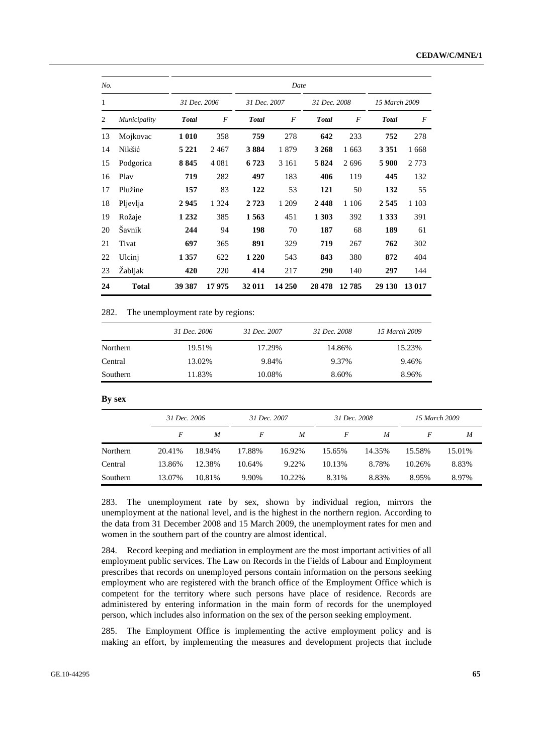| No. |                |              |         |               | Date    |              |         |               |         |
|-----|----------------|--------------|---------|---------------|---------|--------------|---------|---------------|---------|
| 1   |                | 31 Dec. 2006 |         | 31 Dec. 2007  |         | 31 Dec. 2008 |         | 15 March 2009 |         |
| 2   | Municipality   | <b>Total</b> | F       | <b>T</b> otal | F       | <b>Total</b> | F       | <b>T</b> otal | F       |
| 13  | Mojkovac       | 1 0 1 0      | 358     | 759           | 278     | 642          | 233     | 752           | 278     |
| 14  | Nikšić         | 5 2 2 1      | 2467    | 3884          | 1879    | 3 2 6 8      | 1 663   | 3 3 5 1       | 1668    |
| 15  | Podgorica      | 8845         | 4 0 8 1 | 6 7 23        | 3 1 6 1 | 5 8 2 4      | 2696    | 5 9 0 0       | 2 7 7 3 |
| 16  | Play           | 719          | 282     | 497           | 183     | 406          | 119     | 445           | 132     |
| 17  | Plužine        | 157          | 83      | 122           | 53      | 121          | 50      | 132           | 55      |
| 18  | Pljevlja       | 2945         | 1 3 2 4 | 2 7 2 3       | 1 209   | 2448         | 1 1 0 6 | 2545          | 1 1 0 3 |
| 19  | Rožaje         | 1 2 3 2      | 385     | 1563          | 451     | 1 303        | 392     | 1 3 3 3       | 391     |
| 20  | Šavnik         | 244          | 94      | 198           | 70      | 187          | 68      | 189           | 61      |
| 21  | Tivat          | 697          | 365     | 891           | 329     | 719          | 267     | 762           | 302     |
| 22  | Ulcinj         | 1 3 5 7      | 622     | 1 2 2 0       | 543     | 843          | 380     | 872           | 404     |
| 23  | <b>Zabljak</b> | 420          | 220     | 414           | 217     | 290          | 140     | 297           | 144     |
| 24  | <b>Total</b>   | 39 387       | 17975   | 32 011        | 14 250  | 28 4 78      | 12785   | 29 130        | 13 017  |

282. The unemployment rate by regions:

|          | 31 Dec. 2006 | 31 Dec. 2007 | 31 Dec. 2008 | 15 March 2009 |
|----------|--------------|--------------|--------------|---------------|
| Northern | 19.51%       | 17.29%       | 14.86%       | 15.23%        |
| Central  | 13.02%       | 9.84%        | 9.37%        | 9.46%         |
| Southern | 11.83%       | 10.08%       | 8.60%        | 8.96%         |

 **By sex** 

|          |        | 31 Dec. 2006 |        | 31 Dec. 2007 |        | 31 Dec. 2008 | 15 March 2009 |        |
|----------|--------|--------------|--------|--------------|--------|--------------|---------------|--------|
|          | F      | M            | F      | M            | F      | M            | F             | M      |
| Northern | 20.41% | 18.94%       | 17.88% | 16.92%       | 15.65% | 14.35%       | 15.58%        | 15.01% |
| Central  | 13.86% | 12.38%       | 10.64% | 9.22%        | 10.13% | 8.78%        | 10.26%        | 8.83%  |
| Southern | 13.07% | 10.81%       | 9.90%  | 10.22%       | 8.31%  | 8.83%        | 8.95%         | 8.97%  |

283. The unemployment rate by sex, shown by individual region, mirrors the unemployment at the national level, and is the highest in the northern region. According to the data from 31 December 2008 and 15 March 2009, the unemployment rates for men and women in the southern part of the country are almost identical.

284. Record keeping and mediation in employment are the most important activities of all employment public services. The Law on Records in the Fields of Labour and Employment prescribes that records on unemployed persons contain information on the persons seeking employment who are registered with the branch office of the Employment Office which is competent for the territory where such persons have place of residence. Records are administered by entering information in the main form of records for the unemployed person, which includes also information on the sex of the person seeking employment.

285. The Employment Office is implementing the active employment policy and is making an effort, by implementing the measures and development projects that include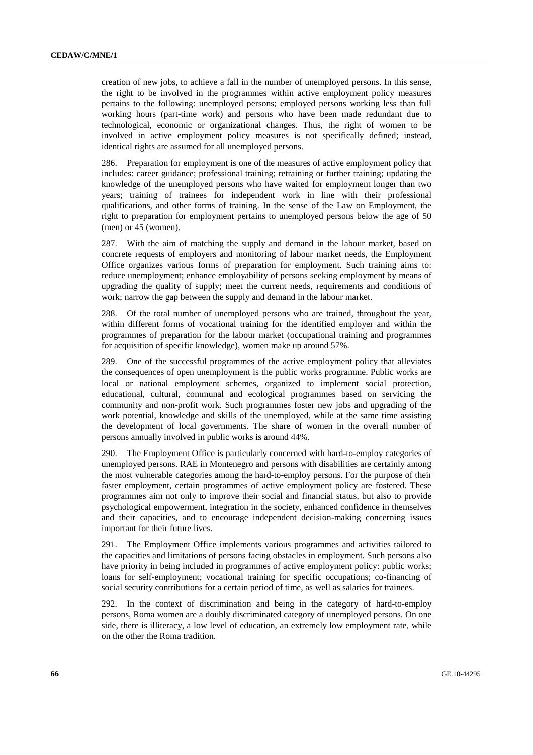creation of new jobs, to achieve a fall in the number of unemployed persons. In this sense, the right to be involved in the programmes within active employment policy measures pertains to the following: unemployed persons; employed persons working less than full working hours (part-time work) and persons who have been made redundant due to technological, economic or organizational changes. Thus, the right of women to be involved in active employment policy measures is not specifically defined; instead, identical rights are assumed for all unemployed persons.

286. Preparation for employment is one of the measures of active employment policy that includes: career guidance; professional training; retraining or further training; updating the knowledge of the unemployed persons who have waited for employment longer than two years; training of trainees for independent work in line with their professional qualifications, and other forms of training. In the sense of the Law on Employment, the right to preparation for employment pertains to unemployed persons below the age of 50 (men) or 45 (women).

287. With the aim of matching the supply and demand in the labour market, based on concrete requests of employers and monitoring of labour market needs, the Employment Office organizes various forms of preparation for employment. Such training aims to: reduce unemployment; enhance employability of persons seeking employment by means of upgrading the quality of supply; meet the current needs, requirements and conditions of work; narrow the gap between the supply and demand in the labour market.

288. Of the total number of unemployed persons who are trained, throughout the year, within different forms of vocational training for the identified employer and within the programmes of preparation for the labour market (occupational training and programmes for acquisition of specific knowledge), women make up around 57%.

289. One of the successful programmes of the active employment policy that alleviates the consequences of open unemployment is the public works programme. Public works are local or national employment schemes, organized to implement social protection, educational, cultural, communal and ecological programmes based on servicing the community and non-profit work. Such programmes foster new jobs and upgrading of the work potential, knowledge and skills of the unemployed, while at the same time assisting the development of local governments. The share of women in the overall number of persons annually involved in public works is around 44%.

The Employment Office is particularly concerned with hard-to-employ categories of unemployed persons. RAE in Montenegro and persons with disabilities are certainly among the most vulnerable categories among the hard-to-employ persons. For the purpose of their faster employment, certain programmes of active employment policy are fostered. These programmes aim not only to improve their social and financial status, but also to provide psychological empowerment, integration in the society, enhanced confidence in themselves and their capacities, and to encourage independent decision-making concerning issues important for their future lives.

291. The Employment Office implements various programmes and activities tailored to the capacities and limitations of persons facing obstacles in employment. Such persons also have priority in being included in programmes of active employment policy: public works; loans for self-employment; vocational training for specific occupations; co-financing of social security contributions for a certain period of time, as well as salaries for trainees.

292. In the context of discrimination and being in the category of hard-to-employ persons, Roma women are a doubly discriminated category of unemployed persons. On one side, there is illiteracy, a low level of education, an extremely low employment rate, while on the other the Roma tradition.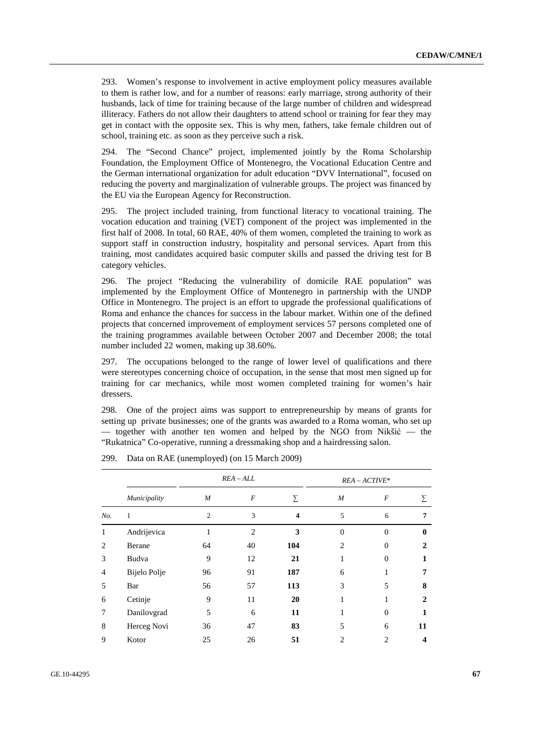293. Women's response to involvement in active employment policy measures available to them is rather low, and for a number of reasons: early marriage, strong authority of their husbands, lack of time for training because of the large number of children and widespread illiteracy. Fathers do not allow their daughters to attend school or training for fear they may get in contact with the opposite sex. This is why men, fathers, take female children out of school, training etc. as soon as they perceive such a risk.

294. The "Second Chance" project, implemented jointly by the Roma Scholarship Foundation, the Employment Office of Montenegro, the Vocational Education Centre and the German international organization for adult education "DVV International", focused on reducing the poverty and marginalization of vulnerable groups. The project was financed by the EU via the European Agency for Reconstruction.

295. The project included training, from functional literacy to vocational training. The vocation education and training (VET) component of the project was implemented in the first half of 2008. In total, 60 RAE, 40% of them women, completed the training to work as support staff in construction industry, hospitality and personal services. Apart from this training, most candidates acquired basic computer skills and passed the driving test for B category vehicles.

296. The project "Reducing the vulnerability of domicile RAE population" was implemented by the Employment Office of Montenegro in partnership with the UNDP Office in Montenegro. The project is an effort to upgrade the professional qualifications of Roma and enhance the chances for success in the labour market. Within one of the defined projects that concerned improvement of employment services 57 persons completed one of the training programmes available between October 2007 and December 2008; the total number included 22 women, making up 38.60%.

297. The occupations belonged to the range of lower level of qualifications and there were stereotypes concerning choice of occupation, in the sense that most men signed up for training for car mechanics, while most women completed training for women's hair dressers.

298. One of the project aims was support to entrepreneurship by means of grants for setting up private businesses; one of the grants was awarded to a Roma woman, who set up — together with another ten women and helped by the NGO from Nikšić — the "Rukatnica" Co-operative, running a dressmaking shop and a hairdressing salon.

|                |              | $REA-ALL$      |                |                         | $REA - ACTIVE*$ |                |              |  |
|----------------|--------------|----------------|----------------|-------------------------|-----------------|----------------|--------------|--|
|                | Municipality | M              | F              | Σ                       | M               | $\overline{F}$ | Σ            |  |
| No.            | 1            | $\overline{c}$ | 3              | $\overline{\mathbf{4}}$ | 5               | 6              | 7            |  |
|                | Andrijevica  | 1              | $\overline{2}$ | 3                       | $\theta$        | $\overline{0}$ | $\mathbf{0}$ |  |
| $\mathfrak{D}$ | Berane       | 64             | 40             | 104                     | $\overline{c}$  | $\Omega$       | 2            |  |
| 3              | Budva        | 9              | 12             | 21                      | 1               | $\Omega$       |              |  |
| 4              | Bijelo Polje | 96             | 91             | 187                     | 6               |                |              |  |
| 5              | Bar          | 56             | 57             | 113                     | 3               | 5              | 8            |  |
| 6              | Cetinje      | 9              | 11             | 20                      | 1               |                | 2            |  |
| 7              | Danilovgrad  | 5              | 6              | 11                      | 1               | $\overline{0}$ |              |  |
| 8              | Herceg Novi  | 36             | 47             | 83                      | 5               | 6              | 11           |  |
| 9              | Kotor        | 25             | 26             | 51                      | $\overline{2}$  | 2              |              |  |

299. Data on RAE (unemployed) (on 15 March 2009)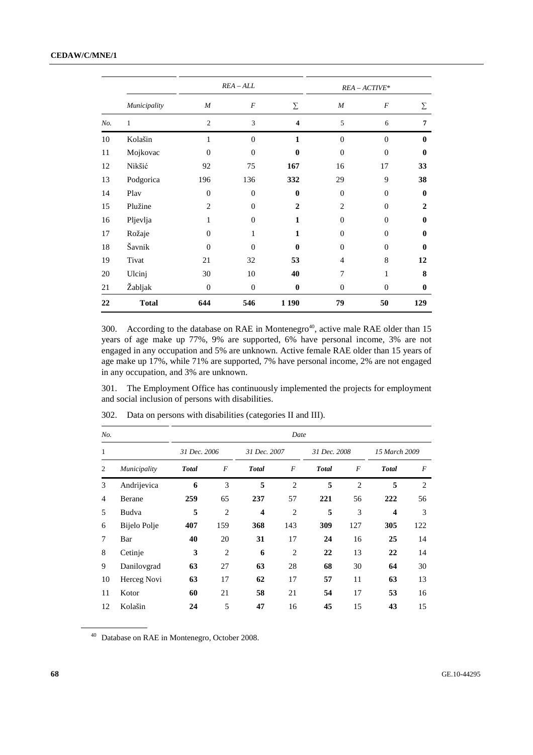## **CEDAW/C/MNE/1**

|     |              |                  | $REA - ALL$      |                         |                  | $REA - ACTIVE*$  |              |
|-----|--------------|------------------|------------------|-------------------------|------------------|------------------|--------------|
|     | Municipality | $\boldsymbol{M}$ | $\boldsymbol{F}$ | Σ                       | $\boldsymbol{M}$ | $\boldsymbol{F}$ | Σ            |
| No. | $\mathbf{1}$ | $\overline{2}$   | 3                | $\overline{\mathbf{4}}$ | 5                | 6                | 7            |
| 10  | Kolašin      | 1                | $\overline{0}$   | $\mathbf{1}$            | $\theta$         | $\theta$         | $\mathbf{0}$ |
| 11  | Mojkovac     | $\theta$         | $\theta$         | $\bf{0}$                | $\overline{0}$   | $\theta$         | $\mathbf{0}$ |
| 12  | Nikšić       | 92               | 75               | 167                     | 16               | 17               | 33           |
| 13  | Podgorica    | 196              | 136              | 332                     | 29               | 9                | 38           |
| 14  | Play         | $\theta$         | $\mathbf{0}$     | $\bf{0}$                | $\boldsymbol{0}$ | $\boldsymbol{0}$ | $\mathbf{0}$ |
| 15  | Plužine      | $\overline{c}$   | $\theta$         | $\overline{2}$          | $\overline{2}$   | $\mathbf{0}$     | $\mathbf{2}$ |
| 16  | Pljevlja     | 1                | $\theta$         | $\mathbf{1}$            | $\overline{0}$   | $\mathbf{0}$     | $\mathbf{0}$ |
| 17  | Rožaje       | $\theta$         | 1                | 1                       | $\boldsymbol{0}$ | $\mathbf{0}$     | $\mathbf{0}$ |
| 18  | Šavnik       | $\theta$         | $\theta$         | $\mathbf{0}$            | $\theta$         | $\theta$         | $\mathbf{0}$ |
| 19  | Tivat        | 21               | 32               | 53                      | 4                | 8                | 12           |
| 20  | Ulcinj       | 30               | 10               | 40                      | 7                | 1                | 8            |
| 21  | Žabljak      | $\boldsymbol{0}$ | $\boldsymbol{0}$ | $\bf{0}$                | $\boldsymbol{0}$ | $\boldsymbol{0}$ | $\bf{0}$     |
| 22  | <b>Total</b> | 644              | 546              | 1 1 9 0                 | 79               | 50               | 129          |

300. According to the database on RAE in Montenegro<sup>40</sup>, active male RAE older than 15 years of age make up 77%, 9% are supported, 6% have personal income, 3% are not engaged in any occupation and 5% are unknown. Active female RAE older than 15 years of age make up 17%, while 71% are supported, 7% have personal income, 2% are not engaged in any occupation, and 3% are unknown.

301. The Employment Office has continuously implemented the projects for employment and social inclusion of persons with disabilities.

| No.            |              |              |                |                         | Date           |              |                |                         |                |
|----------------|--------------|--------------|----------------|-------------------------|----------------|--------------|----------------|-------------------------|----------------|
| 1              |              | 31 Dec. 2006 |                | 31 Dec. 2007            |                | 31 Dec. 2008 |                | 15 March 2009           |                |
| 2              | Municipality | <b>Total</b> | $\overline{F}$ | <b>Total</b>            | $\overline{F}$ | <b>Total</b> | $\overline{F}$ | <b>Total</b>            | F              |
| 3              | Andrijevica  | 6            | 3              | 5                       | $\overline{2}$ | 5            | $\overline{2}$ | 5                       | $\overline{2}$ |
| $\overline{4}$ | Berane       | 259          | 65             | 237                     | 57             | 221          | 56             | 222                     | 56             |
| 5              | Budva        | 5            | $\overline{2}$ | $\overline{\mathbf{4}}$ | $\overline{2}$ | 5            | 3              | $\overline{\mathbf{4}}$ | 3              |
| 6              | Bijelo Polje | 407          | 159            | 368                     | 143            | 309          | 127            | 305                     | 122            |
| 7              | Bar          | 40           | 20             | 31                      | 17             | 24           | 16             | 25                      | 14             |
| 8              | Cetinje      | 3            | $\overline{2}$ | 6                       | $\overline{2}$ | 22           | 13             | 22                      | 14             |
| 9              | Danilovgrad  | 63           | 27             | 63                      | 28             | 68           | 30             | 64                      | 30             |
| 10             | Herceg Novi  | 63           | 17             | 62                      | 17             | 57           | 11             | 63                      | 13             |
| 11             | Kotor        | 60           | 21             | 58                      | 21             | 54           | 17             | 53                      | 16             |
| 12             | Kolašin      | 24           | 5              | 47                      | 16             | 45           | 15             | 43                      | 15             |

302. Data on persons with disabilities (categories II and III).

40 Database on RAE in Montenegro, October 2008.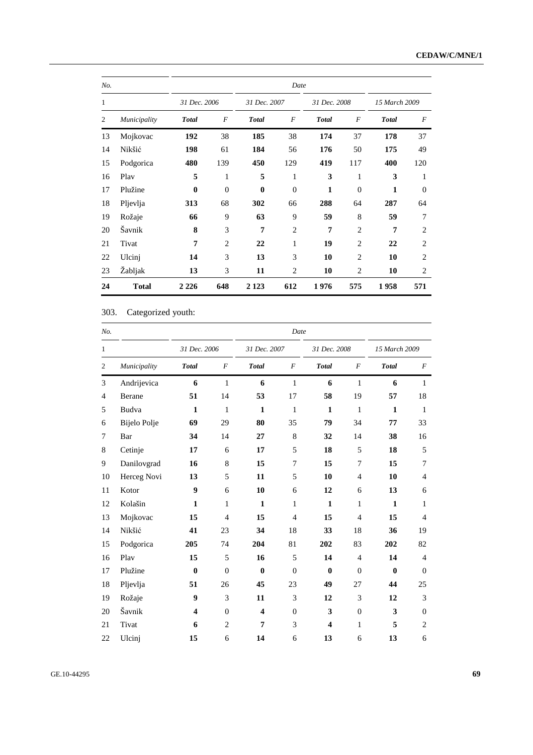| No. |              |              |                |                | Date             |              |                  |              |                  |
|-----|--------------|--------------|----------------|----------------|------------------|--------------|------------------|--------------|------------------|
| 1   |              | 31 Dec. 2006 |                |                | 31 Dec. 2007     |              | 31 Dec. 2008     |              | 15 March 2009    |
| 2   | Municipality | <b>Total</b> | $\overline{F}$ | <b>Total</b>   | $\boldsymbol{F}$ | <b>Total</b> | $\boldsymbol{F}$ | <b>Total</b> | $\boldsymbol{F}$ |
| 13  | Mojkovac     | 192          | 38             | 185            | 38               | 174          | 37               | 178          | 37               |
| 14  | Nikšić       | 198          | 61             | 184            | 56               | 176          | 50               | 175          | 49               |
| 15  | Podgorica    | 480          | 139            | 450            | 129              | 419          | 117              | 400          | 120              |
| 16  | Play         | 5            | 1              | 5              | 1                | 3            | 1                | 3            | 1                |
| 17  | Plužine      | $\bf{0}$     | $\mathbf{0}$   | $\bf{0}$       | $\theta$         | $\mathbf{1}$ | $\overline{0}$   | 1            | $\overline{0}$   |
| 18  | Pljevlja     | 313          | 68             | 302            | 66               | 288          | 64               | 287          | 64               |
| 19  | Rožaje       | 66           | 9              | 63             | 9                | 59           | 8                | 59           | 7                |
| 20  | Šavnik       | 8            | 3              | $\overline{7}$ | $\overline{c}$   | 7            | $\overline{2}$   | 7            | $\overline{2}$   |
| 21  | Tivat        | 7            | $\overline{2}$ | 22             | 1                | 19           | $\overline{2}$   | 22           | $\overline{2}$   |
| 22  | Ulcinj       | 14           | 3              | 13             | 3                | 10           | $\overline{2}$   | 10           | $\overline{2}$   |
| 23  | Žabljak      | 13           | 3              | 11             | 2                | 10           | 2                | 10           | 2                |
| 24  | <b>Total</b> | 2 2 2 6      | 648            | 2 1 2 3        | 612              | 1976         | 575              | 1958         | 571              |

303. Categorized youth:

| No.            |              | Date         |                |                         |                  |                         |                |               |                  |  |  |  |  |
|----------------|--------------|--------------|----------------|-------------------------|------------------|-------------------------|----------------|---------------|------------------|--|--|--|--|
| $\mathbf{1}$   |              | 31 Dec. 2006 |                | 31 Dec. 2007            |                  | 31 Dec. 2008            |                | 15 March 2009 |                  |  |  |  |  |
| $\mathfrak{2}$ | Municipality | <b>Total</b> | $\cal F$       | <b>Total</b>            | $\cal F$         | <b>Total</b>            | $\cal F$       | <b>Total</b>  | $\boldsymbol{F}$ |  |  |  |  |
| 3              | Andrijevica  | 6            | 1              | 6                       | 1                | 6                       | 1              | 6             | 1                |  |  |  |  |
| $\overline{4}$ | Berane       | 51           | 14             | 53                      | 17               | 58                      | 19             | 57            | 18               |  |  |  |  |
| 5              | Budva        | $\mathbf{1}$ | 1              | $\mathbf{1}$            | 1                | $\mathbf{1}$            | 1              | $\mathbf{1}$  | 1                |  |  |  |  |
| 6              | Bijelo Polje | 69           | 29             | 80                      | 35               | 79                      | 34             | 77            | 33               |  |  |  |  |
| 7              | Bar          | 34           | 14             | 27                      | $\,$ 8 $\,$      | 32                      | 14             | 38            | 16               |  |  |  |  |
| 8              | Cetinje      | 17           | 6              | 17                      | 5                | 18                      | 5              | 18            | 5                |  |  |  |  |
| 9              | Danilovgrad  | 16           | $\,$ 8 $\,$    | 15                      | 7                | 15                      | 7              | 15            | 7                |  |  |  |  |
| 10             | Herceg Novi  | 13           | 5              | 11                      | 5                | 10                      | $\overline{4}$ | 10            | $\overline{4}$   |  |  |  |  |
| 11             | Kotor        | 9            | 6              | 10                      | 6                | 12                      | 6              | 13            | 6                |  |  |  |  |
| 12             | Kolašin      | 1            | $\mathbf{1}$   | $\mathbf{1}$            | $\mathbf{1}$     | $\mathbf{1}$            | $\mathbf{1}$   | $\mathbf{1}$  | $\mathbf{1}$     |  |  |  |  |
| 13             | Mojkovac     | 15           | $\overline{4}$ | 15                      | $\overline{4}$   | 15                      | $\overline{4}$ | 15            | $\overline{4}$   |  |  |  |  |
| 14             | Nikšić       | 41           | 23             | 34                      | 18               | 33                      | 18             | 36            | 19               |  |  |  |  |
| 15             | Podgorica    | 205          | 74             | 204                     | 81               | 202                     | 83             | 202           | 82               |  |  |  |  |
| 16             | Play         | 15           | 5              | 16                      | 5                | 14                      | $\overline{4}$ | 14            | $\overline{4}$   |  |  |  |  |
| 17             | Plužine      | $\bf{0}$     | $\overline{0}$ | $\bf{0}$                | $\overline{0}$   | $\bf{0}$                | $\theta$       | $\bf{0}$      | $\mathbf{0}$     |  |  |  |  |
| 18             | Pljevlja     | 51           | 26             | 45                      | 23               | 49                      | 27             | 44            | 25               |  |  |  |  |
| 19             | Rožaje       | 9            | 3              | 11                      | 3                | 12                      | 3              | 12            | 3                |  |  |  |  |
| 20             | Šavnik       | 4            | $\theta$       | $\overline{\mathbf{4}}$ | $\boldsymbol{0}$ | $\mathbf{3}$            | $\theta$       | 3             | $\mathbf{0}$     |  |  |  |  |
| 21             | Tivat        | 6            | $\mathbf{2}$   | 7                       | 3                | $\overline{\mathbf{4}}$ | 1              | 5             | $\overline{2}$   |  |  |  |  |
| 22             | Ulcinj       | 15           | 6              | 14                      | 6                | 13                      | 6              | 13            | 6                |  |  |  |  |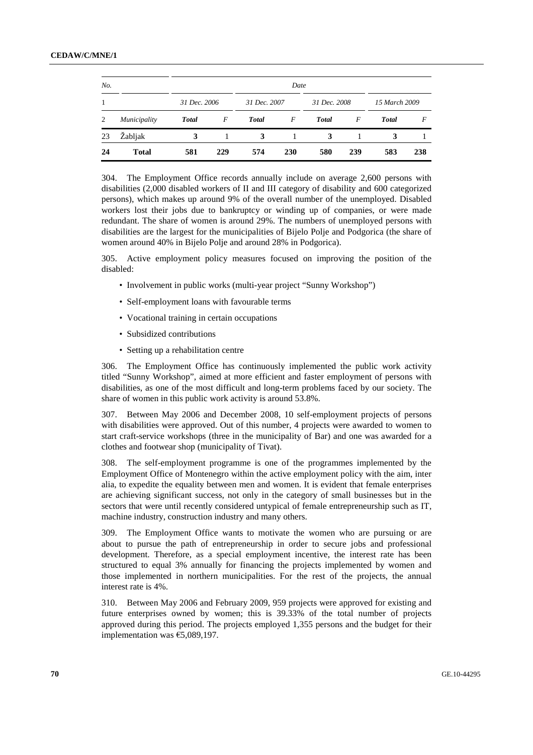| No. |              |              |     |              | Date |              |     |               |     |
|-----|--------------|--------------|-----|--------------|------|--------------|-----|---------------|-----|
| 1   |              | 31 Dec. 2006 |     | 31 Dec. 2007 |      | 31 Dec. 2008 |     | 15 March 2009 |     |
| 2   | Municipality | <b>Total</b> | F   | <b>Total</b> | F    | <b>Total</b> | F   | <b>Total</b>  | F   |
| 23  | Žabljak      | 3            |     | 3            |      | 3            |     | 3             |     |
| 24  | <b>Total</b> | 581          | 229 | 574          | 230  | 580          | 239 | 583           | 238 |

304. The Employment Office records annually include on average 2,600 persons with disabilities (2,000 disabled workers of II and III category of disability and 600 categorized persons), which makes up around 9% of the overall number of the unemployed. Disabled workers lost their jobs due to bankruptcy or winding up of companies, or were made redundant. The share of women is around 29%. The numbers of unemployed persons with disabilities are the largest for the municipalities of Bijelo Polje and Podgorica (the share of women around 40% in Bijelo Polje and around 28% in Podgorica).

305. Active employment policy measures focused on improving the position of the disabled:

- Involvement in public works (multi-year project "Sunny Workshop")
- Self-employment loans with favourable terms
- Vocational training in certain occupations
- Subsidized contributions
- Setting up a rehabilitation centre

306. The Employment Office has continuously implemented the public work activity titled "Sunny Workshop", aimed at more efficient and faster employment of persons with disabilities, as one of the most difficult and long-term problems faced by our society. The share of women in this public work activity is around 53.8%.

307. Between May 2006 and December 2008, 10 self-employment projects of persons with disabilities were approved. Out of this number, 4 projects were awarded to women to start craft-service workshops (three in the municipality of Bar) and one was awarded for a clothes and footwear shop (municipality of Tivat).

308. The self-employment programme is one of the programmes implemented by the Employment Office of Montenegro within the active employment policy with the aim, inter alia, to expedite the equality between men and women. It is evident that female enterprises are achieving significant success, not only in the category of small businesses but in the sectors that were until recently considered untypical of female entrepreneurship such as IT, machine industry, construction industry and many others.

309. The Employment Office wants to motivate the women who are pursuing or are about to pursue the path of entrepreneurship in order to secure jobs and professional development. Therefore, as a special employment incentive, the interest rate has been structured to equal 3% annually for financing the projects implemented by women and those implemented in northern municipalities. For the rest of the projects, the annual interest rate is 4%.

310. Between May 2006 and February 2009, 959 projects were approved for existing and future enterprises owned by women; this is 39.33% of the total number of projects approved during this period. The projects employed 1,355 persons and the budget for their implementation was €5,089,197.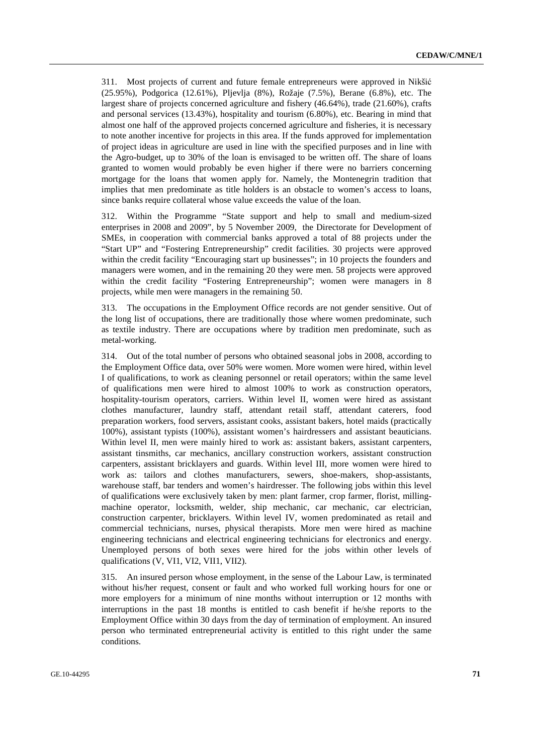311. Most projects of current and future female entrepreneurs were approved in Nikšić (25.95%), Podgorica (12.61%), Pljevlja (8%), Rožaje (7.5%), Berane (6.8%), etc. The largest share of projects concerned agriculture and fishery (46.64%), trade (21.60%), crafts and personal services (13.43%), hospitality and tourism (6.80%), etc. Bearing in mind that almost one half of the approved projects concerned agriculture and fisheries, it is necessary to note another incentive for projects in this area. If the funds approved for implementation of project ideas in agriculture are used in line with the specified purposes and in line with the Agro-budget, up to 30% of the loan is envisaged to be written off. The share of loans granted to women would probably be even higher if there were no barriers concerning mortgage for the loans that women apply for. Namely, the Montenegrin tradition that implies that men predominate as title holders is an obstacle to women's access to loans, since banks require collateral whose value exceeds the value of the loan.

312. Within the Programme "State support and help to small and medium-sized enterprises in 2008 and 2009", by 5 November 2009, the Directorate for Development of SMEs, in cooperation with commercial banks approved a total of 88 projects under the "Start UP" and "Fostering Entrepreneurship" credit facilities. 30 projects were approved within the credit facility "Encouraging start up businesses"; in 10 projects the founders and managers were women, and in the remaining 20 they were men. 58 projects were approved within the credit facility "Fostering Entrepreneurship"; women were managers in 8 projects, while men were managers in the remaining 50.

313. The occupations in the Employment Office records are not gender sensitive. Out of the long list of occupations, there are traditionally those where women predominate, such as textile industry. There are occupations where by tradition men predominate, such as metal-working.

314. Out of the total number of persons who obtained seasonal jobs in 2008, according to the Employment Office data, over 50% were women. More women were hired, within level I of qualifications, to work as cleaning personnel or retail operators; within the same level of qualifications men were hired to almost 100% to work as construction operators, hospitality-tourism operators, carriers. Within level II, women were hired as assistant clothes manufacturer, laundry staff, attendant retail staff, attendant caterers, food preparation workers, food servers, assistant cooks, assistant bakers, hotel maids (practically 100%), assistant typists (100%), assistant women's hairdressers and assistant beauticians. Within level II, men were mainly hired to work as: assistant bakers, assistant carpenters, assistant tinsmiths, car mechanics, ancillary construction workers, assistant construction carpenters, assistant bricklayers and guards. Within level III, more women were hired to work as: tailors and clothes manufacturers, sewers, shoe-makers, shop-assistants, warehouse staff, bar tenders and women's hairdresser. The following jobs within this level of qualifications were exclusively taken by men: plant farmer, crop farmer, florist, millingmachine operator, locksmith, welder, ship mechanic, car mechanic, car electrician, construction carpenter, bricklayers. Within level IV, women predominated as retail and commercial technicians, nurses, physical therapists. More men were hired as machine engineering technicians and electrical engineering technicians for electronics and energy. Unemployed persons of both sexes were hired for the jobs within other levels of qualifications (V, VI1, VI2, VII1, VII2).

315. An insured person whose employment, in the sense of the Labour Law, is terminated without his/her request, consent or fault and who worked full working hours for one or more employers for a minimum of nine months without interruption or 12 months with interruptions in the past 18 months is entitled to cash benefit if he/she reports to the Employment Office within 30 days from the day of termination of employment. An insured person who terminated entrepreneurial activity is entitled to this right under the same conditions.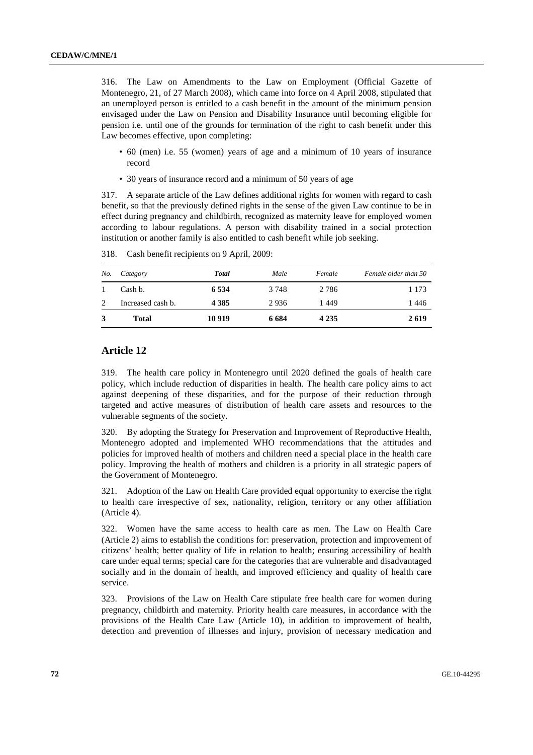316. The Law on Amendments to the Law on Employment (Official Gazette of Montenegro, 21, of 27 March 2008), which came into force on 4 April 2008, stipulated that an unemployed person is entitled to a cash benefit in the amount of the minimum pension envisaged under the Law on Pension and Disability Insurance until becoming eligible for pension i.e. until one of the grounds for termination of the right to cash benefit under this Law becomes effective, upon completing:

- 60 (men) i.e. 55 (women) years of age and a minimum of 10 years of insurance record
- 30 years of insurance record and a minimum of 50 years of age

317. A separate article of the Law defines additional rights for women with regard to cash benefit, so that the previously defined rights in the sense of the given Law continue to be in effect during pregnancy and childbirth, recognized as maternity leave for employed women according to labour regulations. A person with disability trained in a social protection institution or another family is also entitled to cash benefit while job seeking.

| No. | Category          | Total   | Male    | Female  | Female older than 50 |
|-----|-------------------|---------|---------|---------|----------------------|
|     | Cash b.           | 6 5 3 4 | 3 7 4 8 | 2 7 8 6 | 1 1 7 3              |
| 2   | Increased cash b. | 4 3 8 5 | 2936    | 1449    | 1446                 |
| 3   | <b>Total</b>      | 10 9 19 | 6 6 8 4 | 4 2 3 5 | 2619                 |

318. Cash benefit recipients on 9 April, 2009:

# **Article 12**

319. The health care policy in Montenegro until 2020 defined the goals of health care policy, which include reduction of disparities in health. The health care policy aims to act against deepening of these disparities, and for the purpose of their reduction through targeted and active measures of distribution of health care assets and resources to the vulnerable segments of the society.

320. By adopting the Strategy for Preservation and Improvement of Reproductive Health, Montenegro adopted and implemented WHO recommendations that the attitudes and policies for improved health of mothers and children need a special place in the health care policy. Improving the health of mothers and children is a priority in all strategic papers of the Government of Montenegro.

321. Adoption of the Law on Health Care provided equal opportunity to exercise the right to health care irrespective of sex, nationality, religion, territory or any other affiliation (Article 4).

322. Women have the same access to health care as men. The Law on Health Care (Article 2) aims to establish the conditions for: preservation, protection and improvement of citizens' health; better quality of life in relation to health; ensuring accessibility of health care under equal terms; special care for the categories that are vulnerable and disadvantaged socially and in the domain of health, and improved efficiency and quality of health care service.

323. Provisions of the Law on Health Care stipulate free health care for women during pregnancy, childbirth and maternity. Priority health care measures, in accordance with the provisions of the Health Care Law (Article 10), in addition to improvement of health, detection and prevention of illnesses and injury, provision of necessary medication and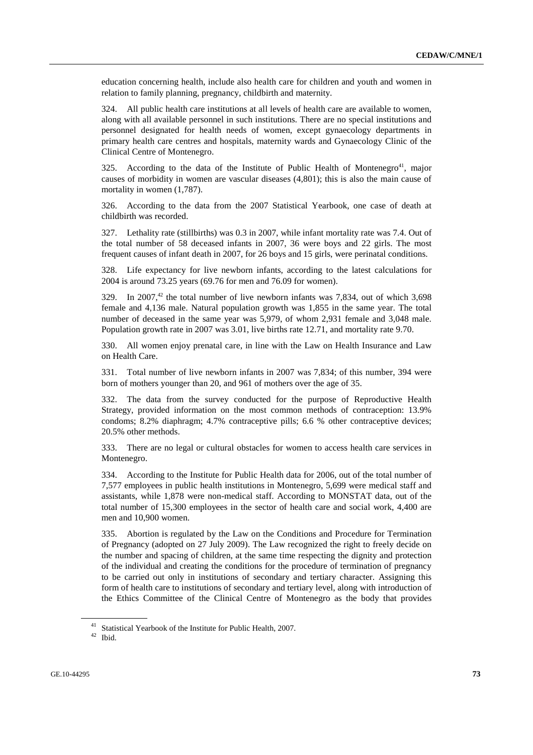education concerning health, include also health care for children and youth and women in relation to family planning, pregnancy, childbirth and maternity.

324. All public health care institutions at all levels of health care are available to women, along with all available personnel in such institutions. There are no special institutions and personnel designated for health needs of women, except gynaecology departments in primary health care centres and hospitals, maternity wards and Gynaecology Clinic of the Clinical Centre of Montenegro.

325. According to the data of the Institute of Public Health of Montenegro<sup>41</sup>, major causes of morbidity in women are vascular diseases (4,801); this is also the main cause of mortality in women (1,787).

326. According to the data from the 2007 Statistical Yearbook, one case of death at childbirth was recorded.

327. Lethality rate (stillbirths) was 0.3 in 2007, while infant mortality rate was 7.4. Out of the total number of 58 deceased infants in 2007, 36 were boys and 22 girls. The most frequent causes of infant death in 2007, for 26 boys and 15 girls, were perinatal conditions.

328. Life expectancy for live newborn infants, according to the latest calculations for 2004 is around 73.25 years (69.76 for men and 76.09 for women).

 $329.$  In  $2007<sup>42</sup>$  the total number of live newborn infants was 7.834, out of which 3.698 female and 4,136 male. Natural population growth was 1,855 in the same year. The total number of deceased in the same year was 5,979, of whom 2,931 female and 3,048 male. Population growth rate in 2007 was 3.01, live births rate 12.71, and mortality rate 9.70.

330. All women enjoy prenatal care, in line with the Law on Health Insurance and Law on Health Care.

331. Total number of live newborn infants in 2007 was 7,834; of this number, 394 were born of mothers younger than 20, and 961 of mothers over the age of 35.

332. The data from the survey conducted for the purpose of Reproductive Health Strategy, provided information on the most common methods of contraception: 13.9% condoms; 8.2% diaphragm; 4.7% contraceptive pills; 6.6 % other contraceptive devices; 20.5% other methods.

333. There are no legal or cultural obstacles for women to access health care services in Montenegro.

334. According to the Institute for Public Health data for 2006, out of the total number of 7,577 employees in public health institutions in Montenegro, 5,699 were medical staff and assistants, while 1,878 were non-medical staff. According to MONSTAT data, out of the total number of 15,300 employees in the sector of health care and social work, 4,400 are men and 10,900 women.

335. Abortion is regulated by the Law on the Conditions and Procedure for Termination of Pregnancy (adopted on 27 July 2009). The Law recognized the right to freely decide on the number and spacing of children, at the same time respecting the dignity and protection of the individual and creating the conditions for the procedure of termination of pregnancy to be carried out only in institutions of secondary and tertiary character. Assigning this form of health care to institutions of secondary and tertiary level, along with introduction of the Ethics Committee of the Clinical Centre of Montenegro as the body that provides

<sup>41</sup> Statistical Yearbook of the Institute for Public Health, 2007.

<sup>42</sup> Ibid.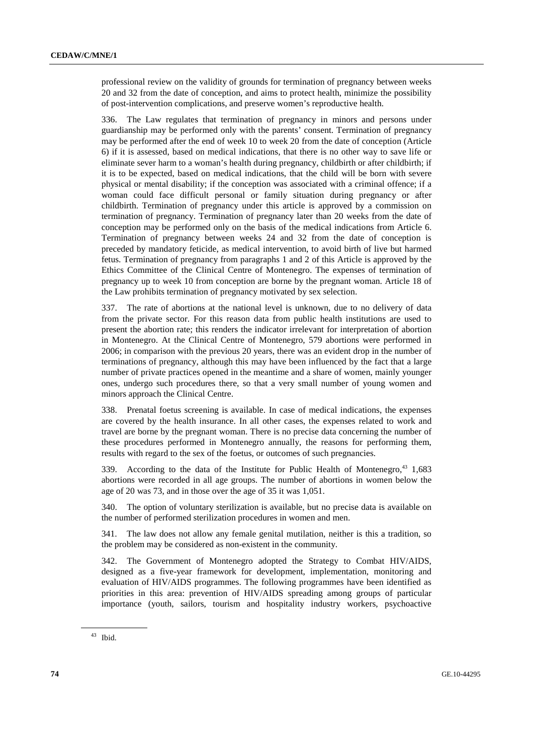professional review on the validity of grounds for termination of pregnancy between weeks 20 and 32 from the date of conception, and aims to protect health, minimize the possibility of post-intervention complications, and preserve women's reproductive health.

336. The Law regulates that termination of pregnancy in minors and persons under guardianship may be performed only with the parents' consent. Termination of pregnancy may be performed after the end of week 10 to week 20 from the date of conception (Article 6) if it is assessed, based on medical indications, that there is no other way to save life or eliminate sever harm to a woman's health during pregnancy, childbirth or after childbirth; if it is to be expected, based on medical indications, that the child will be born with severe physical or mental disability; if the conception was associated with a criminal offence; if a woman could face difficult personal or family situation during pregnancy or after childbirth. Termination of pregnancy under this article is approved by a commission on termination of pregnancy. Termination of pregnancy later than 20 weeks from the date of conception may be performed only on the basis of the medical indications from Article 6. Termination of pregnancy between weeks 24 and 32 from the date of conception is preceded by mandatory feticide, as medical intervention, to avoid birth of live but harmed fetus. Termination of pregnancy from paragraphs 1 and 2 of this Article is approved by the Ethics Committee of the Clinical Centre of Montenegro. The expenses of termination of pregnancy up to week 10 from conception are borne by the pregnant woman. Article 18 of the Law prohibits termination of pregnancy motivated by sex selection.

337. The rate of abortions at the national level is unknown, due to no delivery of data from the private sector. For this reason data from public health institutions are used to present the abortion rate; this renders the indicator irrelevant for interpretation of abortion in Montenegro. At the Clinical Centre of Montenegro, 579 abortions were performed in 2006; in comparison with the previous 20 years, there was an evident drop in the number of terminations of pregnancy, although this may have been influenced by the fact that a large number of private practices opened in the meantime and a share of women, mainly younger ones, undergo such procedures there, so that a very small number of young women and minors approach the Clinical Centre.

338. Prenatal foetus screening is available. In case of medical indications, the expenses are covered by the health insurance. In all other cases, the expenses related to work and travel are borne by the pregnant woman. There is no precise data concerning the number of these procedures performed in Montenegro annually, the reasons for performing them, results with regard to the sex of the foetus, or outcomes of such pregnancies.

339. According to the data of the Institute for Public Health of Montenegro, $43 \t1,683$ abortions were recorded in all age groups. The number of abortions in women below the age of 20 was 73, and in those over the age of 35 it was 1,051.

340. The option of voluntary sterilization is available, but no precise data is available on the number of performed sterilization procedures in women and men.

341. The law does not allow any female genital mutilation, neither is this a tradition, so the problem may be considered as non-existent in the community.

342. The Government of Montenegro adopted the Strategy to Combat HIV/AIDS, designed as a five-year framework for development, implementation, monitoring and evaluation of HIV/AIDS programmes. The following programmes have been identified as priorities in this area: prevention of HIV/AIDS spreading among groups of particular importance (youth, sailors, tourism and hospitality industry workers, psychoactive

<sup>43</sup> Ibid.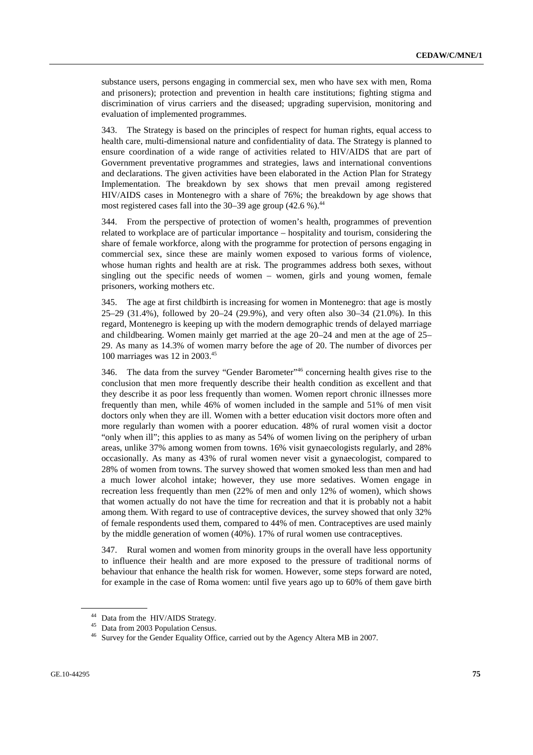substance users, persons engaging in commercial sex, men who have sex with men, Roma and prisoners); protection and prevention in health care institutions; fighting stigma and discrimination of virus carriers and the diseased; upgrading supervision, monitoring and evaluation of implemented programmes.

343. The Strategy is based on the principles of respect for human rights, equal access to health care, multi-dimensional nature and confidentiality of data. The Strategy is planned to ensure coordination of a wide range of activities related to HIV/AIDS that are part of Government preventative programmes and strategies, laws and international conventions and declarations. The given activities have been elaborated in the Action Plan for Strategy Implementation. The breakdown by sex shows that men prevail among registered HIV/AIDS cases in Montenegro with a share of 76%; the breakdown by age shows that most registered cases fall into the  $30-39$  age group  $(42.6\%)$ .<sup>44</sup>

344. From the perspective of protection of women's health, programmes of prevention related to workplace are of particular importance – hospitality and tourism, considering the share of female workforce, along with the programme for protection of persons engaging in commercial sex, since these are mainly women exposed to various forms of violence, whose human rights and health are at risk. The programmes address both sexes, without singling out the specific needs of women – women, girls and young women, female prisoners, working mothers etc.

345. The age at first childbirth is increasing for women in Montenegro: that age is mostly 25–29 (31.4%), followed by 20–24 (29.9%), and very often also 30–34 (21.0%). In this regard, Montenegro is keeping up with the modern demographic trends of delayed marriage and childbearing. Women mainly get married at the age 20–24 and men at the age of 25– 29. As many as 14.3% of women marry before the age of 20. The number of divorces per 100 marriages was 12 in 2003.45

346. The data from the survey "Gender Barometer"46 concerning health gives rise to the conclusion that men more frequently describe their health condition as excellent and that they describe it as poor less frequently than women. Women report chronic illnesses more frequently than men, while 46% of women included in the sample and 51% of men visit doctors only when they are ill. Women with a better education visit doctors more often and more regularly than women with a poorer education. 48% of rural women visit a doctor "only when ill"; this applies to as many as 54% of women living on the periphery of urban areas, unlike 37% among women from towns. 16% visit gynaecologists regularly, and 28% occasionally. As many as 43% of rural women never visit a gynaecologist, compared to 28% of women from towns. The survey showed that women smoked less than men and had a much lower alcohol intake; however, they use more sedatives. Women engage in recreation less frequently than men (22% of men and only 12% of women), which shows that women actually do not have the time for recreation and that it is probably not a habit among them. With regard to use of contraceptive devices, the survey showed that only 32% of female respondents used them, compared to 44% of men. Contraceptives are used mainly by the middle generation of women (40%). 17% of rural women use contraceptives.

347. Rural women and women from minority groups in the overall have less opportunity to influence their health and are more exposed to the pressure of traditional norms of behaviour that enhance the health risk for women. However, some steps forward are noted, for example in the case of Roma women: until five years ago up to 60% of them gave birth

<sup>44</sup> Data from the HIV/AIDS Strategy.

<sup>45</sup> Data from 2003 Population Census.

<sup>46</sup> Survey for the Gender Equality Office, carried out by the Agency Altera MB in 2007.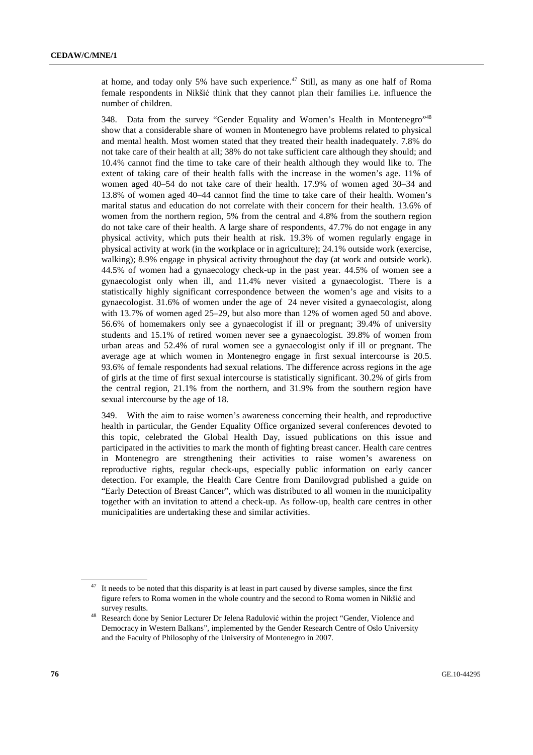at home, and today only 5% have such experience.<sup>47</sup> Still, as many as one half of Roma female respondents in Nikšić think that they cannot plan their families i.e. influence the number of children.

348. Data from the survey "Gender Equality and Women's Health in Montenegro"48 show that a considerable share of women in Montenegro have problems related to physical and mental health. Most women stated that they treated their health inadequately. 7.8% do not take care of their health at all; 38% do not take sufficient care although they should; and 10.4% cannot find the time to take care of their health although they would like to. The extent of taking care of their health falls with the increase in the women's age. 11% of women aged 40–54 do not take care of their health. 17.9% of women aged 30–34 and 13.8% of women aged 40–44 cannot find the time to take care of their health. Women's marital status and education do not correlate with their concern for their health. 13.6% of women from the northern region, 5% from the central and 4.8% from the southern region do not take care of their health. A large share of respondents, 47.7% do not engage in any physical activity, which puts their health at risk. 19.3% of women regularly engage in physical activity at work (in the workplace or in agriculture); 24.1% outside work (exercise, walking); 8.9% engage in physical activity throughout the day (at work and outside work). 44.5% of women had a gynaecology check-up in the past year. 44.5% of women see a gynaecologist only when ill, and 11.4% never visited a gynaecologist. There is a statistically highly significant correspondence between the women's age and visits to a gynaecologist. 31.6% of women under the age of 24 never visited a gynaecologist, along with 13.7% of women aged 25–29, but also more than 12% of women aged 50 and above. 56.6% of homemakers only see a gynaecologist if ill or pregnant; 39.4% of university students and 15.1% of retired women never see a gynaecologist. 39.8% of women from urban areas and 52.4% of rural women see a gynaecologist only if ill or pregnant. The average age at which women in Montenegro engage in first sexual intercourse is 20.5. 93.6% of female respondents had sexual relations. The difference across regions in the age of girls at the time of first sexual intercourse is statistically significant. 30.2% of girls from the central region, 21.1% from the northern, and 31.9% from the southern region have sexual intercourse by the age of 18.

349. With the aim to raise women's awareness concerning their health, and reproductive health in particular, the Gender Equality Office organized several conferences devoted to this topic, celebrated the Global Health Day, issued publications on this issue and participated in the activities to mark the month of fighting breast cancer. Health care centres in Montenegro are strengthening their activities to raise women's awareness on reproductive rights, regular check-ups, especially public information on early cancer detection. For example, the Health Care Centre from Danilovgrad published a guide on "Early Detection of Breast Cancer", which was distributed to all women in the municipality together with an invitation to attend a check-up. As follow-up, health care centres in other municipalities are undertaking these and similar activities.

 $47$  It needs to be noted that this disparity is at least in part caused by diverse samples, since the first figure refers to Roma women in the whole country and the second to Roma women in Nikšić and

survey results. 48 Research done by Senior Lecturer Dr Jelena Radulovi<sup>ć</sup> within the project "Gender, Violence and Democracy in Western Balkans", implemented by the Gender Research Centre of Oslo University and the Faculty of Philosophy of the University of Montenegro in 2007.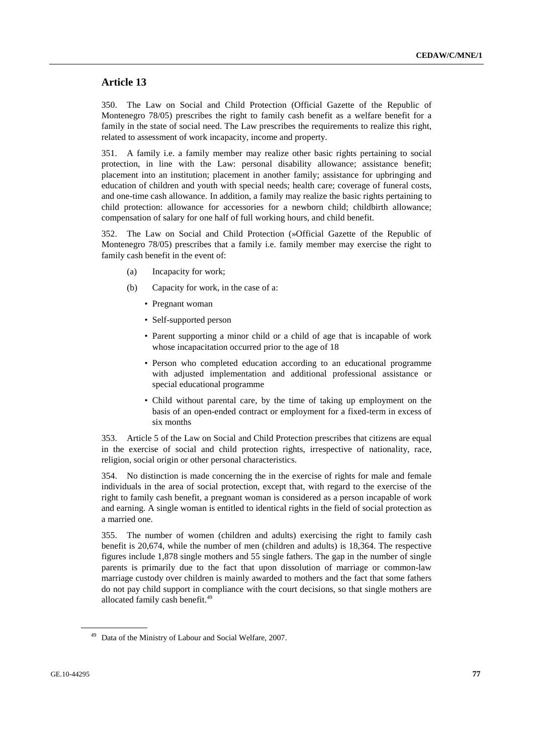## **Article 13**

350. The Law on Social and Child Protection (Official Gazette of the Republic of Montenegro 78/05) prescribes the right to family cash benefit as a welfare benefit for a family in the state of social need. The Law prescribes the requirements to realize this right, related to assessment of work incapacity, income and property.

351. A family i.e. a family member may realize other basic rights pertaining to social protection, in line with the Law: personal disability allowance; assistance benefit; placement into an institution; placement in another family; assistance for upbringing and education of children and youth with special needs; health care; coverage of funeral costs, and one-time cash allowance. In addition, a family may realize the basic rights pertaining to child protection: allowance for accessories for a newborn child; childbirth allowance; compensation of salary for one half of full working hours, and child benefit.

352. The Law on Social and Child Protection (»Official Gazette of the Republic of Montenegro 78/05) prescribes that a family i.e. family member may exercise the right to family cash benefit in the event of:

- (a) Incapacity for work;
- (b) Capacity for work, in the case of a:
	- Pregnant woman
	- Self-supported person
	- Parent supporting a minor child or a child of age that is incapable of work whose incapacitation occurred prior to the age of 18
	- Person who completed education according to an educational programme with adjusted implementation and additional professional assistance or special educational programme
	- Child without parental care, by the time of taking up employment on the basis of an open-ended contract or employment for a fixed-term in excess of six months

353. Article 5 of the Law on Social and Child Protection prescribes that citizens are equal in the exercise of social and child protection rights, irrespective of nationality, race, religion, social origin or other personal characteristics.

354. No distinction is made concerning the in the exercise of rights for male and female individuals in the area of social protection, except that, with regard to the exercise of the right to family cash benefit, a pregnant woman is considered as a person incapable of work and earning. A single woman is entitled to identical rights in the field of social protection as a married one.

355. The number of women (children and adults) exercising the right to family cash benefit is 20,674, while the number of men (children and adults) is 18,364. The respective figures include 1,878 single mothers and 55 single fathers. The gap in the number of single parents is primarily due to the fact that upon dissolution of marriage or common-law marriage custody over children is mainly awarded to mothers and the fact that some fathers do not pay child support in compliance with the court decisions, so that single mothers are allocated family cash benefit.<sup>49</sup>

Data of the Ministry of Labour and Social Welfare, 2007.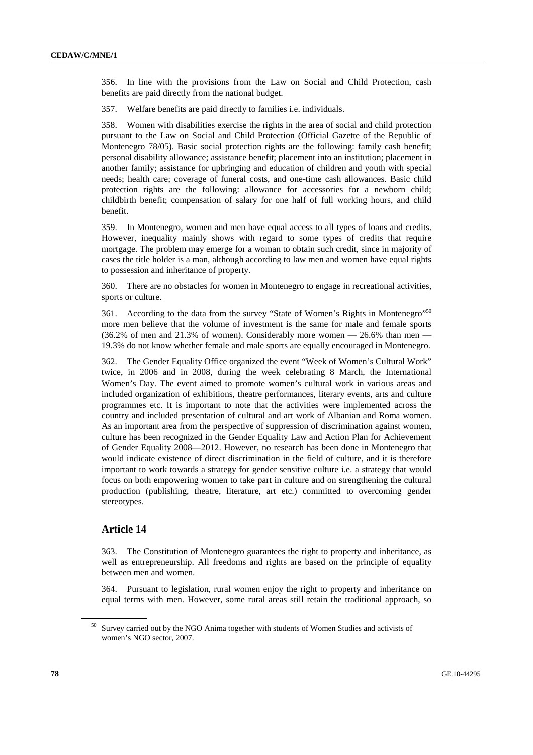356. In line with the provisions from the Law on Social and Child Protection, cash benefits are paid directly from the national budget.

357. Welfare benefits are paid directly to families i.e. individuals.

358. Women with disabilities exercise the rights in the area of social and child protection pursuant to the Law on Social and Child Protection (Official Gazette of the Republic of Montenegro 78/05). Basic social protection rights are the following: family cash benefit; personal disability allowance; assistance benefit; placement into an institution; placement in another family; assistance for upbringing and education of children and youth with special needs; health care; coverage of funeral costs, and one-time cash allowances. Basic child protection rights are the following: allowance for accessories for a newborn child; childbirth benefit; compensation of salary for one half of full working hours, and child benefit.

359. In Montenegro, women and men have equal access to all types of loans and credits. However, inequality mainly shows with regard to some types of credits that require mortgage. The problem may emerge for a woman to obtain such credit, since in majority of cases the title holder is a man, although according to law men and women have equal rights to possession and inheritance of property.

360. There are no obstacles for women in Montenegro to engage in recreational activities, sports or culture.

361. According to the data from the survey "State of Women's Rights in Montenegro"<sup>50</sup> more men believe that the volume of investment is the same for male and female sports  $(36.2\% \text{ of men and } 21.3\% \text{ of women})$ . Considerably more women  $-26.6\%$  than men  $-$ 19.3% do not know whether female and male sports are equally encouraged in Montenegro.

362. The Gender Equality Office organized the event "Week of Women's Cultural Work" twice, in 2006 and in 2008, during the week celebrating 8 March, the International Women's Day. The event aimed to promote women's cultural work in various areas and included organization of exhibitions, theatre performances, literary events, arts and culture programmes etc. It is important to note that the activities were implemented across the country and included presentation of cultural and art work of Albanian and Roma women. As an important area from the perspective of suppression of discrimination against women, culture has been recognized in the Gender Equality Law and Action Plan for Achievement of Gender Equality 2008—2012. However, no research has been done in Montenegro that would indicate existence of direct discrimination in the field of culture, and it is therefore important to work towards a strategy for gender sensitive culture i.e. a strategy that would focus on both empowering women to take part in culture and on strengthening the cultural production (publishing, theatre, literature, art etc.) committed to overcoming gender stereotypes.

## **Article 14**

363. The Constitution of Montenegro guarantees the right to property and inheritance, as well as entrepreneurship. All freedoms and rights are based on the principle of equality between men and women.

364. Pursuant to legislation, rural women enjoy the right to property and inheritance on equal terms with men. However, some rural areas still retain the traditional approach, so

<sup>&</sup>lt;sup>50</sup> Survey carried out by the NGO Anima together with students of Women Studies and activists of women's NGO sector, 2007.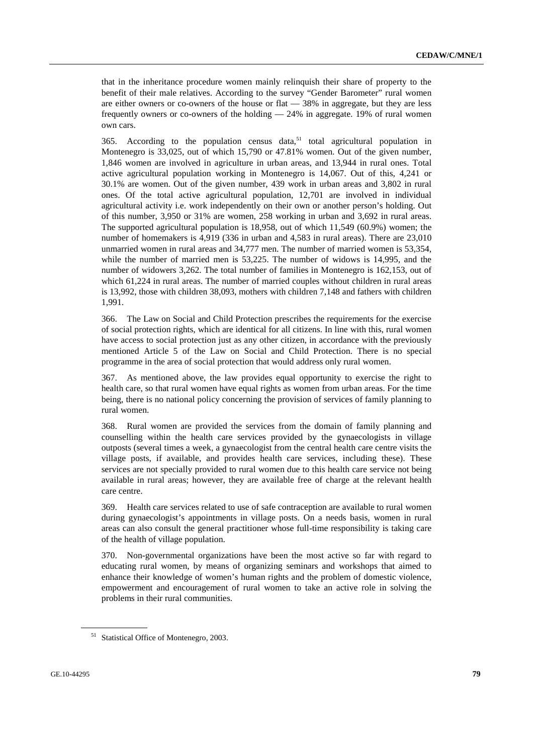that in the inheritance procedure women mainly relinquish their share of property to the benefit of their male relatives. According to the survey "Gender Barometer" rural women are either owners or co-owners of the house or flat — 38% in aggregate, but they are less frequently owners or co-owners of the holding  $-24\%$  in aggregate. 19% of rural women own cars.

365. According to the population census data, $51$  total agricultural population in Montenegro is 33,025, out of which 15,790 or 47.81% women. Out of the given number, 1,846 women are involved in agriculture in urban areas, and 13,944 in rural ones. Total active agricultural population working in Montenegro is 14,067. Out of this, 4,241 or 30.1% are women. Out of the given number, 439 work in urban areas and 3,802 in rural ones. Of the total active agricultural population, 12,701 are involved in individual agricultural activity i.e. work independently on their own or another person's holding. Out of this number, 3,950 or 31% are women, 258 working in urban and 3,692 in rural areas. The supported agricultural population is 18,958, out of which 11,549 (60.9%) women; the number of homemakers is 4,919 (336 in urban and 4,583 in rural areas). There are 23,010 unmarried women in rural areas and 34,777 men. The number of married women is 53,354, while the number of married men is 53,225. The number of widows is 14,995, and the number of widowers 3,262. The total number of families in Montenegro is 162,153, out of which 61,224 in rural areas. The number of married couples without children in rural areas is 13,992, those with children 38,093, mothers with children 7,148 and fathers with children 1,991.

366. The Law on Social and Child Protection prescribes the requirements for the exercise of social protection rights, which are identical for all citizens. In line with this, rural women have access to social protection just as any other citizen, in accordance with the previously mentioned Article 5 of the Law on Social and Child Protection. There is no special programme in the area of social protection that would address only rural women.

367. As mentioned above, the law provides equal opportunity to exercise the right to health care, so that rural women have equal rights as women from urban areas. For the time being, there is no national policy concerning the provision of services of family planning to rural women.

368. Rural women are provided the services from the domain of family planning and counselling within the health care services provided by the gynaecologists in village outposts (several times a week, a gynaecologist from the central health care centre visits the village posts, if available, and provides health care services, including these). These services are not specially provided to rural women due to this health care service not being available in rural areas; however, they are available free of charge at the relevant health care centre.

369. Health care services related to use of safe contraception are available to rural women during gynaecologist's appointments in village posts. On a needs basis, women in rural areas can also consult the general practitioner whose full-time responsibility is taking care of the health of village population.

370. Non-governmental organizations have been the most active so far with regard to educating rural women, by means of organizing seminars and workshops that aimed to enhance their knowledge of women's human rights and the problem of domestic violence, empowerment and encouragement of rural women to take an active role in solving the problems in their rural communities.

<sup>51</sup> Statistical Office of Montenegro, 2003.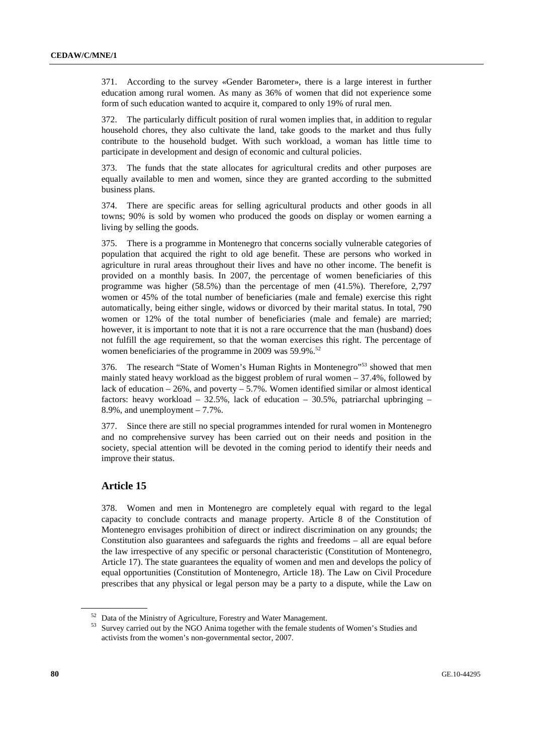371. According to the survey «Gender Barometer», there is a large interest in further education among rural women. As many as 36% of women that did not experience some form of such education wanted to acquire it, compared to only 19% of rural men.

372. The particularly difficult position of rural women implies that, in addition to regular household chores, they also cultivate the land, take goods to the market and thus fully contribute to the household budget. With such workload, a woman has little time to participate in development and design of economic and cultural policies.

373. The funds that the state allocates for agricultural credits and other purposes are equally available to men and women, since they are granted according to the submitted business plans.

374. There are specific areas for selling agricultural products and other goods in all towns; 90% is sold by women who produced the goods on display or women earning a living by selling the goods.

375. There is a programme in Montenegro that concerns socially vulnerable categories of population that acquired the right to old age benefit. These are persons who worked in agriculture in rural areas throughout their lives and have no other income. The benefit is provided on a monthly basis. In 2007, the percentage of women beneficiaries of this programme was higher (58.5%) than the percentage of men (41.5%). Therefore, 2,797 women or 45% of the total number of beneficiaries (male and female) exercise this right automatically, being either single, widows or divorced by their marital status. In total, 790 women or 12% of the total number of beneficiaries (male and female) are married; however, it is important to note that it is not a rare occurrence that the man (husband) does not fulfill the age requirement, so that the woman exercises this right. The percentage of women beneficiaries of the programme in 2009 was 59.9%.<sup>52</sup>

376. The research "State of Women's Human Rights in Montenegro"53 showed that men mainly stated heavy workload as the biggest problem of rural women – 37.4%, followed by lack of education  $-26\%$ , and poverty  $-5.7\%$ . Women identified similar or almost identical factors: heavy workload – 32.5%, lack of education – 30.5%, patriarchal upbringing – 8.9%, and unemployment – 7.7%.

377. Since there are still no special programmes intended for rural women in Montenegro and no comprehensive survey has been carried out on their needs and position in the society, special attention will be devoted in the coming period to identify their needs and improve their status.

## **Article 15**

378. Women and men in Montenegro are completely equal with regard to the legal capacity to conclude contracts and manage property. Article 8 of the Constitution of Montenegro envisages prohibition of direct or indirect discrimination on any grounds; the Constitution also guarantees and safeguards the rights and freedoms – all are equal before the law irrespective of any specific or personal characteristic (Constitution of Montenegro, Article 17). The state guarantees the equality of women and men and develops the policy of equal opportunities (Constitution of Montenegro, Article 18). The Law on Civil Procedure prescribes that any physical or legal person may be a party to a dispute, while the Law on

<sup>52</sup> Data of the Ministry of Agriculture, Forestry and Water Management.

<sup>53</sup> Survey carried out by the NGO Anima together with the female students of Women's Studies and activists from the women's non-governmental sector, 2007.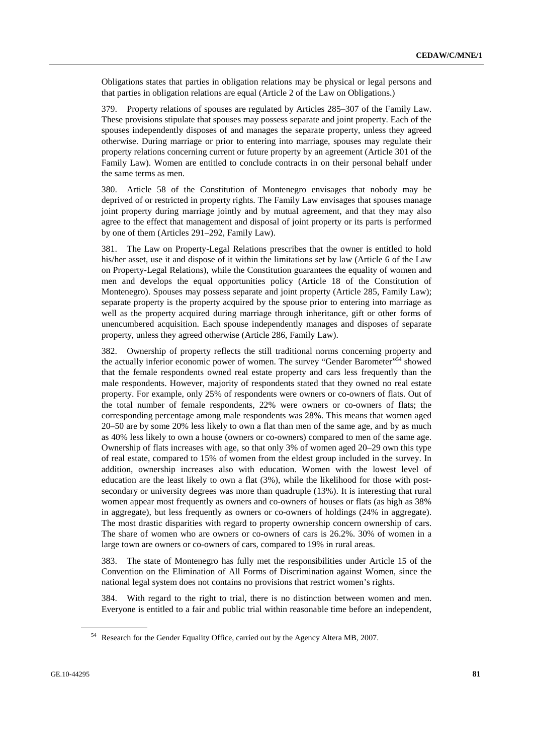Obligations states that parties in obligation relations may be physical or legal persons and that parties in obligation relations are equal (Article 2 of the Law on Obligations.)

379. Property relations of spouses are regulated by Articles 285–307 of the Family Law. These provisions stipulate that spouses may possess separate and joint property. Each of the spouses independently disposes of and manages the separate property, unless they agreed otherwise. During marriage or prior to entering into marriage, spouses may regulate their property relations concerning current or future property by an agreement (Article 301 of the Family Law). Women are entitled to conclude contracts in on their personal behalf under the same terms as men.

380. Article 58 of the Constitution of Montenegro envisages that nobody may be deprived of or restricted in property rights. The Family Law envisages that spouses manage joint property during marriage jointly and by mutual agreement, and that they may also agree to the effect that management and disposal of joint property or its parts is performed by one of them (Articles 291–292, Family Law).

381. The Law on Property-Legal Relations prescribes that the owner is entitled to hold his/her asset, use it and dispose of it within the limitations set by law (Article 6 of the Law on Property-Legal Relations), while the Constitution guarantees the equality of women and men and develops the equal opportunities policy (Article 18 of the Constitution of Montenegro). Spouses may possess separate and joint property (Article 285, Family Law); separate property is the property acquired by the spouse prior to entering into marriage as well as the property acquired during marriage through inheritance, gift or other forms of unencumbered acquisition. Each spouse independently manages and disposes of separate property, unless they agreed otherwise (Article 286, Family Law).

382. Ownership of property reflects the still traditional norms concerning property and the actually inferior economic power of women. The survey "Gender Barometer"<sup>54</sup> showed that the female respondents owned real estate property and cars less frequently than the male respondents. However, majority of respondents stated that they owned no real estate property. For example, only 25% of respondents were owners or co-owners of flats. Out of the total number of female respondents, 22% were owners or co-owners of flats; the corresponding percentage among male respondents was 28%. This means that women aged 20–50 are by some 20% less likely to own a flat than men of the same age, and by as much as 40% less likely to own a house (owners or co-owners) compared to men of the same age. Ownership of flats increases with age, so that only 3% of women aged 20–29 own this type of real estate, compared to 15% of women from the eldest group included in the survey. In addition, ownership increases also with education. Women with the lowest level of education are the least likely to own a flat (3%), while the likelihood for those with postsecondary or university degrees was more than quadruple (13%). It is interesting that rural women appear most frequently as owners and co-owners of houses or flats (as high as 38% in aggregate), but less frequently as owners or co-owners of holdings (24% in aggregate). The most drastic disparities with regard to property ownership concern ownership of cars. The share of women who are owners or co-owners of cars is 26.2%. 30% of women in a large town are owners or co-owners of cars, compared to 19% in rural areas.

383. The state of Montenegro has fully met the responsibilities under Article 15 of the Convention on the Elimination of All Forms of Discrimination against Women, since the national legal system does not contains no provisions that restrict women's rights.

384. With regard to the right to trial, there is no distinction between women and men. Everyone is entitled to a fair and public trial within reasonable time before an independent,

<sup>54</sup> Research for the Gender Equality Office, carried out by the Agency Altera MB, 2007.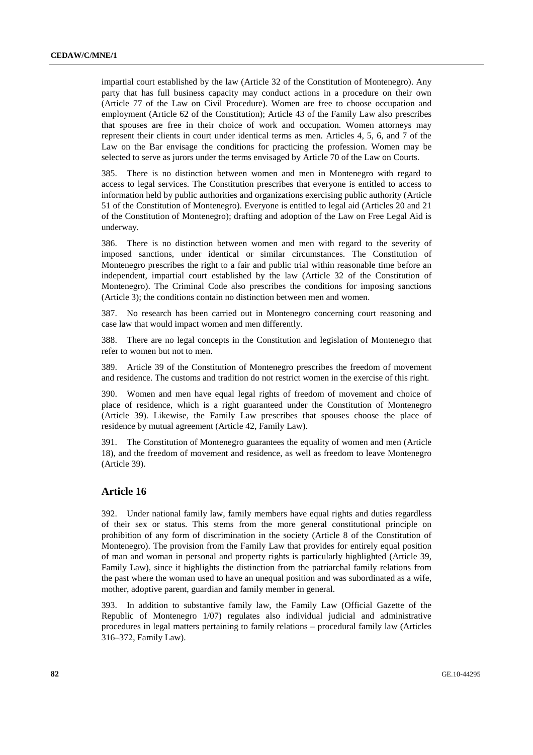impartial court established by the law (Article 32 of the Constitution of Montenegro). Any party that has full business capacity may conduct actions in a procedure on their own (Article 77 of the Law on Civil Procedure). Women are free to choose occupation and employment (Article 62 of the Constitution); Article 43 of the Family Law also prescribes that spouses are free in their choice of work and occupation. Women attorneys may represent their clients in court under identical terms as men. Articles 4, 5, 6, and 7 of the Law on the Bar envisage the conditions for practicing the profession. Women may be selected to serve as jurors under the terms envisaged by Article 70 of the Law on Courts.

385. There is no distinction between women and men in Montenegro with regard to access to legal services. The Constitution prescribes that everyone is entitled to access to information held by public authorities and organizations exercising public authority (Article 51 of the Constitution of Montenegro). Everyone is entitled to legal aid (Articles 20 and 21 of the Constitution of Montenegro); drafting and adoption of the Law on Free Legal Aid is underway.

386. There is no distinction between women and men with regard to the severity of imposed sanctions, under identical or similar circumstances. The Constitution of Montenegro prescribes the right to a fair and public trial within reasonable time before an independent, impartial court established by the law (Article 32 of the Constitution of Montenegro). The Criminal Code also prescribes the conditions for imposing sanctions (Article 3); the conditions contain no distinction between men and women.

387. No research has been carried out in Montenegro concerning court reasoning and case law that would impact women and men differently.

388. There are no legal concepts in the Constitution and legislation of Montenegro that refer to women but not to men.

389. Article 39 of the Constitution of Montenegro prescribes the freedom of movement and residence. The customs and tradition do not restrict women in the exercise of this right.

390. Women and men have equal legal rights of freedom of movement and choice of place of residence, which is a right guaranteed under the Constitution of Montenegro (Article 39). Likewise, the Family Law prescribes that spouses choose the place of residence by mutual agreement (Article 42, Family Law).

391. The Constitution of Montenegro guarantees the equality of women and men (Article 18), and the freedom of movement and residence, as well as freedom to leave Montenegro (Article 39).

## **Article 16**

392. Under national family law, family members have equal rights and duties regardless of their sex or status. This stems from the more general constitutional principle on prohibition of any form of discrimination in the society (Article 8 of the Constitution of Montenegro). The provision from the Family Law that provides for entirely equal position of man and woman in personal and property rights is particularly highlighted (Article 39, Family Law), since it highlights the distinction from the patriarchal family relations from the past where the woman used to have an unequal position and was subordinated as a wife, mother, adoptive parent, guardian and family member in general.

393. In addition to substantive family law, the Family Law (Official Gazette of the Republic of Montenegro 1/07) regulates also individual judicial and administrative procedures in legal matters pertaining to family relations – procedural family law (Articles 316–372, Family Law).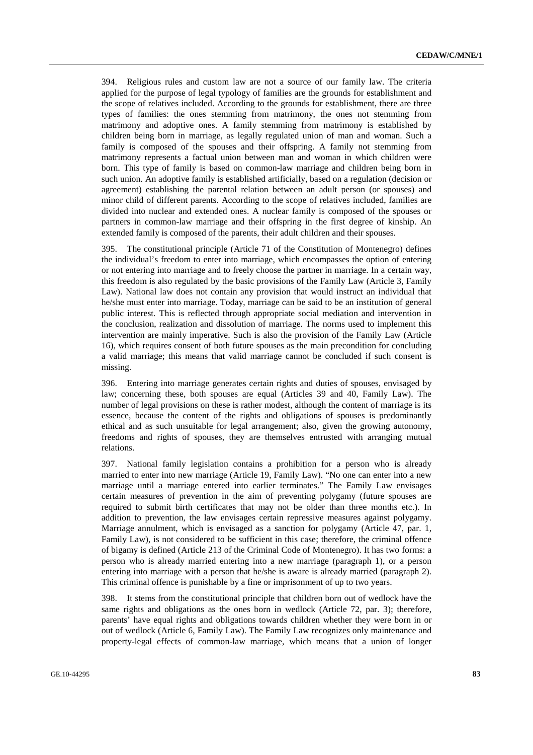394. Religious rules and custom law are not a source of our family law. The criteria applied for the purpose of legal typology of families are the grounds for establishment and the scope of relatives included. According to the grounds for establishment, there are three types of families: the ones stemming from matrimony, the ones not stemming from matrimony and adoptive ones. A family stemming from matrimony is established by children being born in marriage, as legally regulated union of man and woman. Such a family is composed of the spouses and their offspring. A family not stemming from matrimony represents a factual union between man and woman in which children were born. This type of family is based on common-law marriage and children being born in such union. An adoptive family is established artificially, based on a regulation (decision or agreement) establishing the parental relation between an adult person (or spouses) and minor child of different parents. According to the scope of relatives included, families are divided into nuclear and extended ones. A nuclear family is composed of the spouses or partners in common-law marriage and their offspring in the first degree of kinship. An extended family is composed of the parents, their adult children and their spouses.

395. The constitutional principle (Article 71 of the Constitution of Montenegro) defines the individual's freedom to enter into marriage, which encompasses the option of entering or not entering into marriage and to freely choose the partner in marriage. In a certain way, this freedom is also regulated by the basic provisions of the Family Law (Article 3, Family Law). National law does not contain any provision that would instruct an individual that he/she must enter into marriage. Today, marriage can be said to be an institution of general public interest. This is reflected through appropriate social mediation and intervention in the conclusion, realization and dissolution of marriage. The norms used to implement this intervention are mainly imperative. Such is also the provision of the Family Law (Article 16), which requires consent of both future spouses as the main precondition for concluding a valid marriage; this means that valid marriage cannot be concluded if such consent is missing.

396. Entering into marriage generates certain rights and duties of spouses, envisaged by law; concerning these, both spouses are equal (Articles 39 and 40, Family Law). The number of legal provisions on these is rather modest, although the content of marriage is its essence, because the content of the rights and obligations of spouses is predominantly ethical and as such unsuitable for legal arrangement; also, given the growing autonomy, freedoms and rights of spouses, they are themselves entrusted with arranging mutual relations.

397. National family legislation contains a prohibition for a person who is already married to enter into new marriage (Article 19, Family Law). "No one can enter into a new marriage until a marriage entered into earlier terminates." The Family Law envisages certain measures of prevention in the aim of preventing polygamy (future spouses are required to submit birth certificates that may not be older than three months etc.). In addition to prevention, the law envisages certain repressive measures against polygamy. Marriage annulment, which is envisaged as a sanction for polygamy (Article 47, par. 1, Family Law), is not considered to be sufficient in this case; therefore, the criminal offence of bigamy is defined (Article 213 of the Criminal Code of Montenegro). It has two forms: a person who is already married entering into a new marriage (paragraph 1), or a person entering into marriage with a person that he/she is aware is already married (paragraph 2). This criminal offence is punishable by a fine or imprisonment of up to two years.

398. It stems from the constitutional principle that children born out of wedlock have the same rights and obligations as the ones born in wedlock (Article 72, par. 3); therefore, parents' have equal rights and obligations towards children whether they were born in or out of wedlock (Article 6, Family Law). The Family Law recognizes only maintenance and property-legal effects of common-law marriage, which means that a union of longer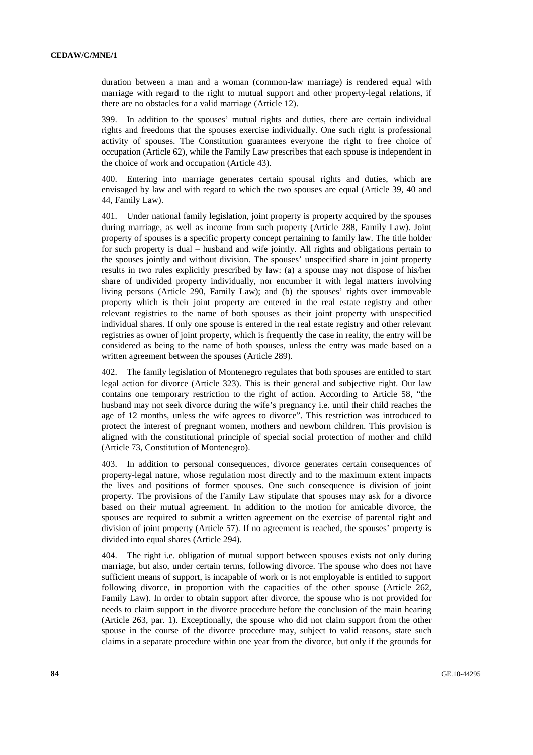duration between a man and a woman (common-law marriage) is rendered equal with marriage with regard to the right to mutual support and other property-legal relations, if there are no obstacles for a valid marriage (Article 12).

399. In addition to the spouses' mutual rights and duties, there are certain individual rights and freedoms that the spouses exercise individually. One such right is professional activity of spouses. The Constitution guarantees everyone the right to free choice of occupation (Article 62), while the Family Law prescribes that each spouse is independent in the choice of work and occupation (Article 43).

400. Entering into marriage generates certain spousal rights and duties, which are envisaged by law and with regard to which the two spouses are equal (Article 39, 40 and 44, Family Law).

401. Under national family legislation, joint property is property acquired by the spouses during marriage, as well as income from such property (Article 288, Family Law). Joint property of spouses is a specific property concept pertaining to family law. The title holder for such property is dual – husband and wife jointly. All rights and obligations pertain to the spouses jointly and without division. The spouses' unspecified share in joint property results in two rules explicitly prescribed by law: (a) a spouse may not dispose of his/her share of undivided property individually, nor encumber it with legal matters involving living persons (Article 290, Family Law); and (b) the spouses' rights over immovable property which is their joint property are entered in the real estate registry and other relevant registries to the name of both spouses as their joint property with unspecified individual shares. If only one spouse is entered in the real estate registry and other relevant registries as owner of joint property, which is frequently the case in reality, the entry will be considered as being to the name of both spouses, unless the entry was made based on a written agreement between the spouses (Article 289).

402. The family legislation of Montenegro regulates that both spouses are entitled to start legal action for divorce (Article 323). This is their general and subjective right. Our law contains one temporary restriction to the right of action. According to Article 58, "the husband may not seek divorce during the wife's pregnancy i.e. until their child reaches the age of 12 months, unless the wife agrees to divorce". This restriction was introduced to protect the interest of pregnant women, mothers and newborn children. This provision is aligned with the constitutional principle of special social protection of mother and child (Article 73, Constitution of Montenegro).

403. In addition to personal consequences, divorce generates certain consequences of property-legal nature, whose regulation most directly and to the maximum extent impacts the lives and positions of former spouses. One such consequence is division of joint property. The provisions of the Family Law stipulate that spouses may ask for a divorce based on their mutual agreement. In addition to the motion for amicable divorce, the spouses are required to submit a written agreement on the exercise of parental right and division of joint property (Article 57). If no agreement is reached, the spouses' property is divided into equal shares (Article 294).

404. The right i.e. obligation of mutual support between spouses exists not only during marriage, but also, under certain terms, following divorce. The spouse who does not have sufficient means of support, is incapable of work or is not employable is entitled to support following divorce, in proportion with the capacities of the other spouse (Article 262, Family Law). In order to obtain support after divorce, the spouse who is not provided for needs to claim support in the divorce procedure before the conclusion of the main hearing (Article 263, par. 1). Exceptionally, the spouse who did not claim support from the other spouse in the course of the divorce procedure may, subject to valid reasons, state such claims in a separate procedure within one year from the divorce, but only if the grounds for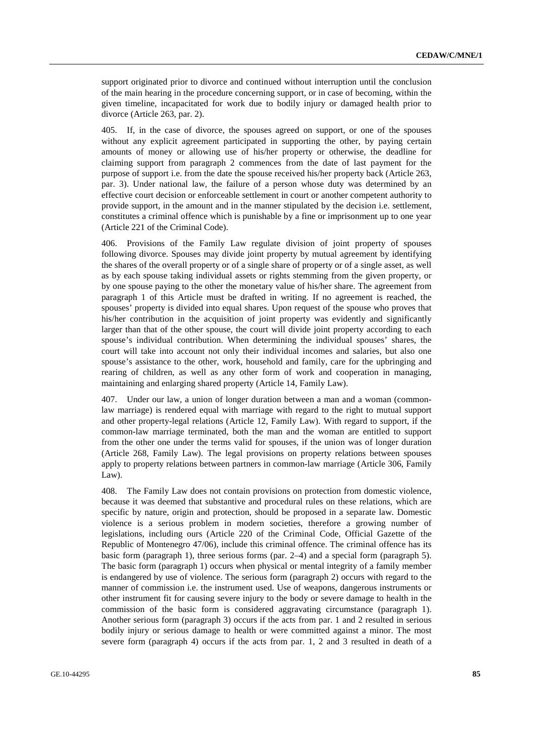support originated prior to divorce and continued without interruption until the conclusion of the main hearing in the procedure concerning support, or in case of becoming, within the given timeline, incapacitated for work due to bodily injury or damaged health prior to divorce (Article 263, par. 2).

405. If, in the case of divorce, the spouses agreed on support, or one of the spouses without any explicit agreement participated in supporting the other, by paying certain amounts of money or allowing use of his/her property or otherwise, the deadline for claiming support from paragraph 2 commences from the date of last payment for the purpose of support i.e. from the date the spouse received his/her property back (Article 263, par. 3). Under national law, the failure of a person whose duty was determined by an effective court decision or enforceable settlement in court or another competent authority to provide support, in the amount and in the manner stipulated by the decision i.e. settlement, constitutes a criminal offence which is punishable by a fine or imprisonment up to one year (Article 221 of the Criminal Code).

406. Provisions of the Family Law regulate division of joint property of spouses following divorce. Spouses may divide joint property by mutual agreement by identifying the shares of the overall property or of a single share of property or of a single asset, as well as by each spouse taking individual assets or rights stemming from the given property, or by one spouse paying to the other the monetary value of his/her share. The agreement from paragraph 1 of this Article must be drafted in writing. If no agreement is reached, the spouses' property is divided into equal shares. Upon request of the spouse who proves that his/her contribution in the acquisition of joint property was evidently and significantly larger than that of the other spouse, the court will divide joint property according to each spouse's individual contribution. When determining the individual spouses' shares, the court will take into account not only their individual incomes and salaries, but also one spouse's assistance to the other, work, household and family, care for the upbringing and rearing of children, as well as any other form of work and cooperation in managing, maintaining and enlarging shared property (Article 14, Family Law).

407. Under our law, a union of longer duration between a man and a woman (commonlaw marriage) is rendered equal with marriage with regard to the right to mutual support and other property-legal relations (Article 12, Family Law). With regard to support, if the common-law marriage terminated, both the man and the woman are entitled to support from the other one under the terms valid for spouses, if the union was of longer duration (Article 268, Family Law). The legal provisions on property relations between spouses apply to property relations between partners in common-law marriage (Article 306, Family Law).

408. The Family Law does not contain provisions on protection from domestic violence, because it was deemed that substantive and procedural rules on these relations, which are specific by nature, origin and protection, should be proposed in a separate law. Domestic violence is a serious problem in modern societies, therefore a growing number of legislations, including ours (Article 220 of the Criminal Code, Official Gazette of the Republic of Montenegro 47/06), include this criminal offence. The criminal offence has its basic form (paragraph 1), three serious forms (par. 2–4) and a special form (paragraph 5). The basic form (paragraph 1) occurs when physical or mental integrity of a family member is endangered by use of violence. The serious form (paragraph 2) occurs with regard to the manner of commission i.e. the instrument used. Use of weapons, dangerous instruments or other instrument fit for causing severe injury to the body or severe damage to health in the commission of the basic form is considered aggravating circumstance (paragraph 1). Another serious form (paragraph 3) occurs if the acts from par. 1 and 2 resulted in serious bodily injury or serious damage to health or were committed against a minor. The most severe form (paragraph 4) occurs if the acts from par. 1, 2 and 3 resulted in death of a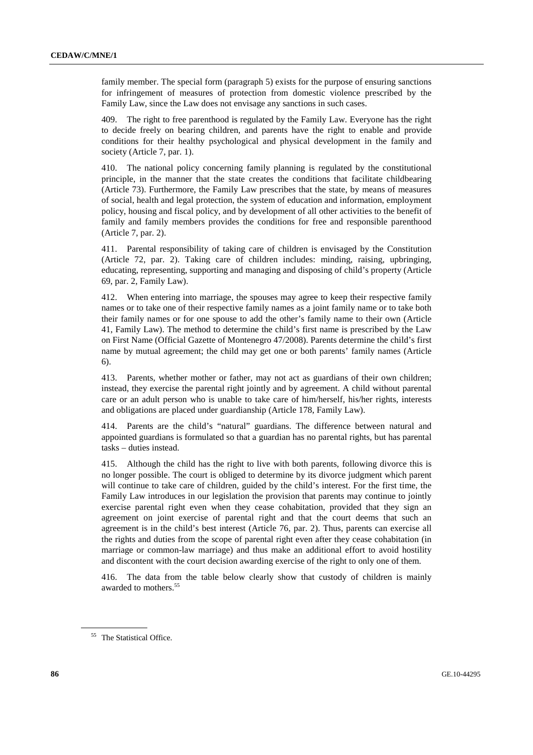family member. The special form (paragraph 5) exists for the purpose of ensuring sanctions for infringement of measures of protection from domestic violence prescribed by the Family Law, since the Law does not envisage any sanctions in such cases.

409. The right to free parenthood is regulated by the Family Law. Everyone has the right to decide freely on bearing children, and parents have the right to enable and provide conditions for their healthy psychological and physical development in the family and society (Article 7, par. 1).

410. The national policy concerning family planning is regulated by the constitutional principle, in the manner that the state creates the conditions that facilitate childbearing (Article 73). Furthermore, the Family Law prescribes that the state, by means of measures of social, health and legal protection, the system of education and information, employment policy, housing and fiscal policy, and by development of all other activities to the benefit of family and family members provides the conditions for free and responsible parenthood (Article 7, par. 2).

411. Parental responsibility of taking care of children is envisaged by the Constitution (Article 72, par. 2). Taking care of children includes: minding, raising, upbringing, educating, representing, supporting and managing and disposing of child's property (Article 69, par. 2, Family Law).

412. When entering into marriage, the spouses may agree to keep their respective family names or to take one of their respective family names as a joint family name or to take both their family names or for one spouse to add the other's family name to their own (Article 41, Family Law). The method to determine the child's first name is prescribed by the Law on First Name (Official Gazette of Montenegro 47/2008). Parents determine the child's first name by mutual agreement; the child may get one or both parents' family names (Article 6).

413. Parents, whether mother or father, may not act as guardians of their own children; instead, they exercise the parental right jointly and by agreement. A child without parental care or an adult person who is unable to take care of him/herself, his/her rights, interests and obligations are placed under guardianship (Article 178, Family Law).

Parents are the child's "natural" guardians. The difference between natural and appointed guardians is formulated so that a guardian has no parental rights, but has parental tasks – duties instead.

415. Although the child has the right to live with both parents, following divorce this is no longer possible. The court is obliged to determine by its divorce judgment which parent will continue to take care of children, guided by the child's interest. For the first time, the Family Law introduces in our legislation the provision that parents may continue to jointly exercise parental right even when they cease cohabitation, provided that they sign an agreement on joint exercise of parental right and that the court deems that such an agreement is in the child's best interest (Article 76, par. 2). Thus, parents can exercise all the rights and duties from the scope of parental right even after they cease cohabitation (in marriage or common-law marriage) and thus make an additional effort to avoid hostility and discontent with the court decision awarding exercise of the right to only one of them.

416. The data from the table below clearly show that custody of children is mainly awarded to mothers.<sup>55</sup>

<sup>&</sup>lt;sup>55</sup> The Statistical Office.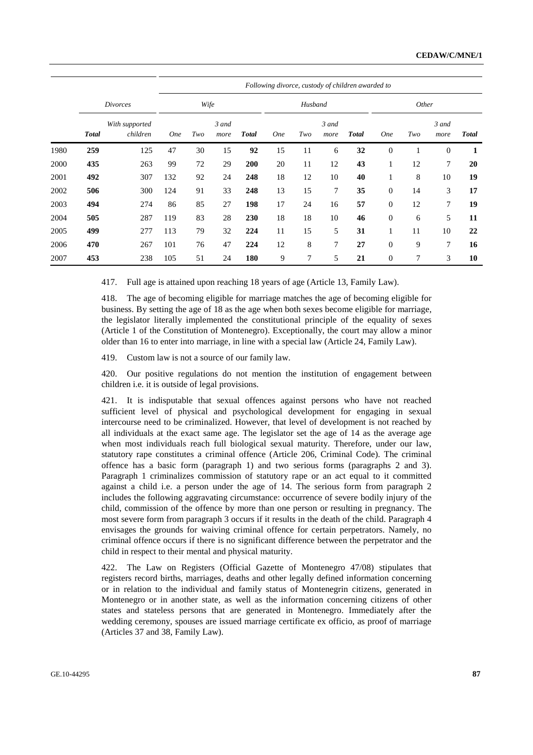|      | Following divorce, custody of children awarded to |                            |            |     |               |              |            |     |                |              |                |     |               |              |
|------|---------------------------------------------------|----------------------------|------------|-----|---------------|--------------|------------|-----|----------------|--------------|----------------|-----|---------------|--------------|
|      | <i>Divorces</i>                                   |                            | Wife       |     |               |              | Husband    |     |                |              | Other          |     |               |              |
|      | <b>Total</b>                                      | With supported<br>children | <b>One</b> | Two | 3 and<br>more | <b>Total</b> | <b>One</b> | Two | 3 and<br>more  | <b>Total</b> | <b>One</b>     | Two | 3 and<br>more | <b>Total</b> |
| 1980 | 259                                               | 125                        | 47         | 30  | 15            | 92           | 15         | 11  | 6              | 32           | $\overline{0}$ |     | $\Omega$      | 1            |
| 2000 | 435                                               | 263                        | 99         | 72  | 29            | 200          | 20         | 11  | 12             | 43           | 1              | 12  | 7             | 20           |
| 2001 | 492                                               | 307                        | 132        | 92  | 24            | 248          | 18         | 12  | 10             | 40           |                | 8   | 10            | 19           |
| 2002 | 506                                               | 300                        | 124        | 91  | 33            | 248          | 13         | 15  | $\overline{7}$ | 35           | $\theta$       | 14  | 3             | 17           |
| 2003 | 494                                               | 274                        | 86         | 85  | 27            | 198          | 17         | 24  | 16             | 57           | $\Omega$       | 12  | 7             | 19           |
| 2004 | 505                                               | 287                        | 119        | 83  | 28            | 230          | 18         | 18  | 10             | 46           | $\mathbf{0}$   | 6   | 5             | 11           |
| 2005 | 499                                               | 277                        | 113        | 79  | 32            | 224          | 11         | 15  | 5              | 31           |                | 11  | 10            | 22           |
| 2006 | 470                                               | 267                        | 101        | 76  | 47            | 224          | 12         | 8   | 7              | 27           | $\theta$       | 9   | 7             | 16           |
| 2007 | 453                                               | 238                        | 105        | 51  | 24            | 180          | 9          | 7   | 5              | 21           | $\mathbf{0}$   | 7   | 3             | 10           |

417. Full age is attained upon reaching 18 years of age (Article 13, Family Law).

418. The age of becoming eligible for marriage matches the age of becoming eligible for business. By setting the age of 18 as the age when both sexes become eligible for marriage, the legislator literally implemented the constitutional principle of the equality of sexes (Article 1 of the Constitution of Montenegro). Exceptionally, the court may allow a minor older than 16 to enter into marriage, in line with a special law (Article 24, Family Law).

419. Custom law is not a source of our family law.

420. Our positive regulations do not mention the institution of engagement between children i.e. it is outside of legal provisions.

421. It is indisputable that sexual offences against persons who have not reached sufficient level of physical and psychological development for engaging in sexual intercourse need to be criminalized. However, that level of development is not reached by all individuals at the exact same age. The legislator set the age of 14 as the average age when most individuals reach full biological sexual maturity. Therefore, under our law, statutory rape constitutes a criminal offence (Article 206, Criminal Code). The criminal offence has a basic form (paragraph 1) and two serious forms (paragraphs 2 and 3). Paragraph 1 criminalizes commission of statutory rape or an act equal to it committed against a child i.e. a person under the age of 14. The serious form from paragraph 2 includes the following aggravating circumstance: occurrence of severe bodily injury of the child, commission of the offence by more than one person or resulting in pregnancy. The most severe form from paragraph 3 occurs if it results in the death of the child. Paragraph 4 envisages the grounds for waiving criminal offence for certain perpetrators. Namely, no criminal offence occurs if there is no significant difference between the perpetrator and the child in respect to their mental and physical maturity.

422. The Law on Registers (Official Gazette of Montenegro 47/08) stipulates that registers record births, marriages, deaths and other legally defined information concerning or in relation to the individual and family status of Montenegrin citizens, generated in Montenegro or in another state, as well as the information concerning citizens of other states and stateless persons that are generated in Montenegro. Immediately after the wedding ceremony, spouses are issued marriage certificate ex officio, as proof of marriage (Articles 37 and 38, Family Law).